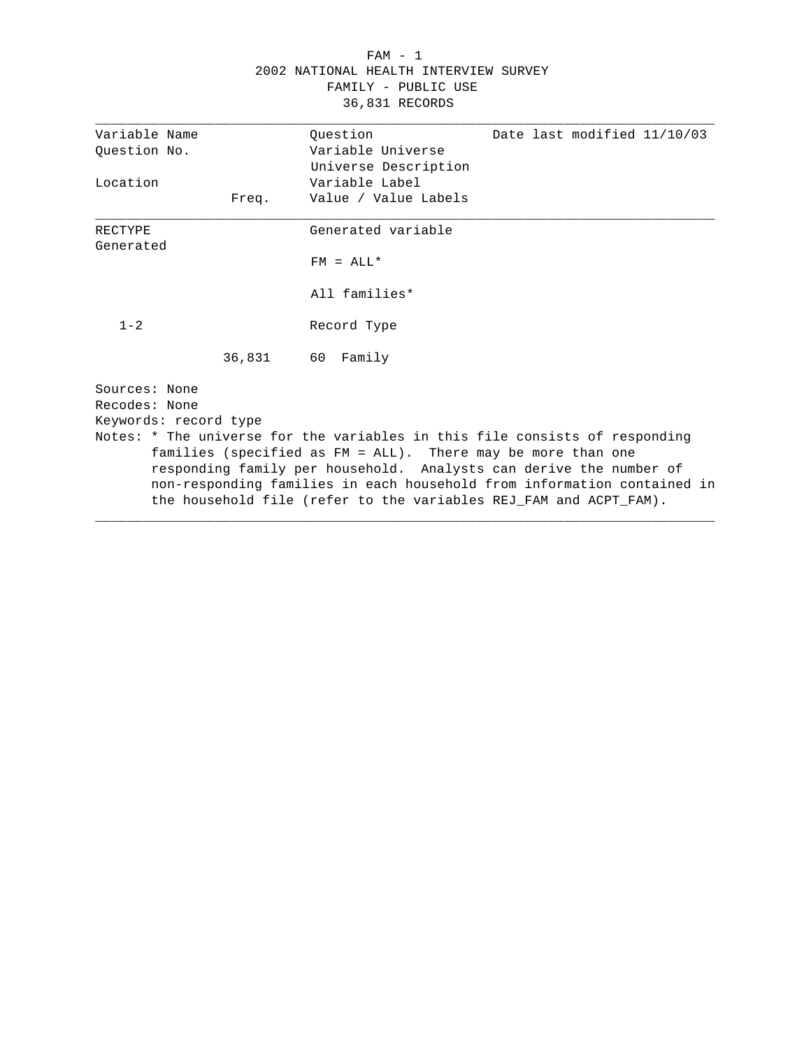## FAM - 1 2002 NATIONAL HEALTH INTERVIEW SURVEY FAMILY - PUBLIC USE 36,831 RECORDS

| Variable Name         |       | Ouestion<br>Date last modified 11/10/03                                                                                                     |
|-----------------------|-------|---------------------------------------------------------------------------------------------------------------------------------------------|
| Ouestion No.          |       | Variable Universe                                                                                                                           |
|                       |       | Universe Description                                                                                                                        |
| Location              |       | Variable Label                                                                                                                              |
|                       | Freq. | Value / Value Labels                                                                                                                        |
| <b>RECTYPE</b>        |       | Generated variable                                                                                                                          |
| Generated             |       |                                                                                                                                             |
|                       |       | $FM = ALL*$                                                                                                                                 |
|                       |       | All families*                                                                                                                               |
| $1 - 2$               |       | Record Type                                                                                                                                 |
|                       |       | 36,831 60 Family                                                                                                                            |
| Sources: None         |       |                                                                                                                                             |
| Recodes: None         |       |                                                                                                                                             |
| Keywords: record type |       |                                                                                                                                             |
|                       |       | Notes: * The universe for the variables in this file consists of responding<br>families (specified as FM = ALL). There may be more than one |
|                       |       | responding family per household. Analysts can derive the number of                                                                          |
|                       |       | non-responding families in each household from information contained in                                                                     |
|                       |       | the household file (refer to the variables REJ FAM and ACPT FAM).                                                                           |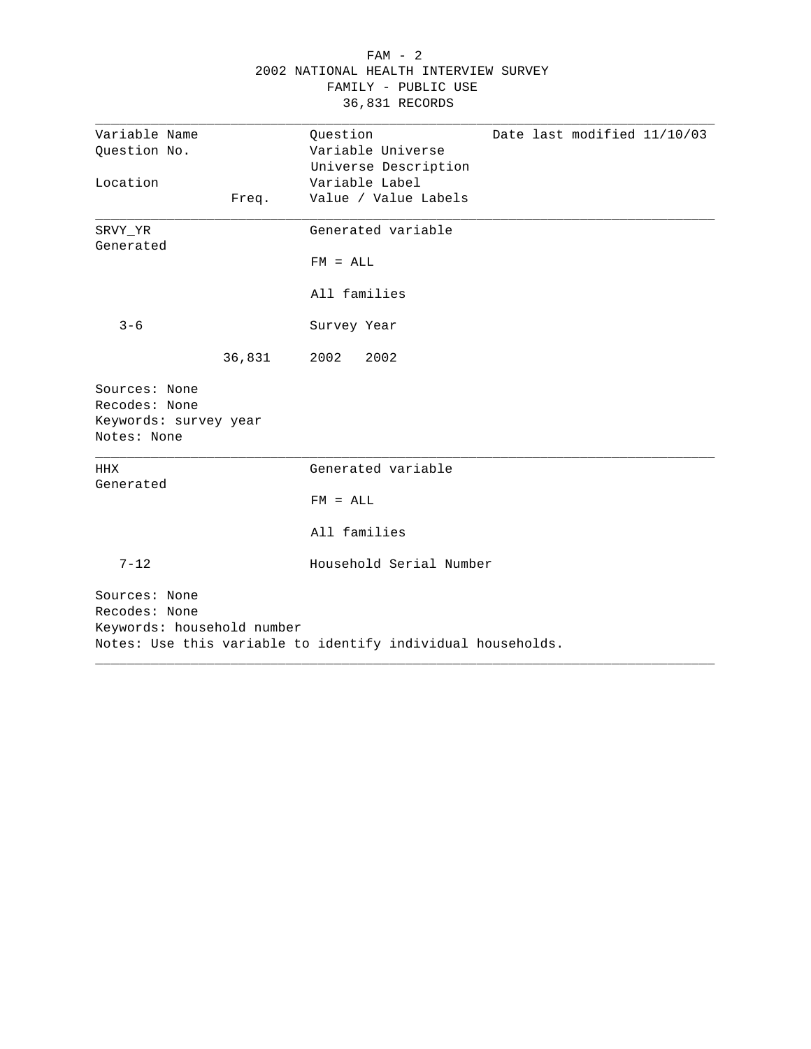|                                                                        |        | 2002 NATIONAL HEALTH INTERVIEW SURVEY<br>FAMILY - PUBLIC USE<br>36,831 RECORDS |                             |
|------------------------------------------------------------------------|--------|--------------------------------------------------------------------------------|-----------------------------|
| Variable Name<br>Question No.                                          |        | Question<br>Variable Universe<br>Universe Description                          | Date last modified 11/10/03 |
| Location                                                               | Freq.  | Variable Label<br>Value / Value Labels                                         |                             |
| SRVY_YR<br>Generated                                                   |        | Generated variable                                                             |                             |
|                                                                        |        | $FM = ALL$<br>All families                                                     |                             |
| $3 - 6$                                                                |        | Survey Year                                                                    |                             |
|                                                                        | 36,831 | 2002<br>2002                                                                   |                             |
| Sources: None<br>Recodes: None<br>Keywords: survey year<br>Notes: None |        |                                                                                |                             |
| HHX<br>Generated                                                       |        | Generated variable                                                             |                             |
|                                                                        |        | $FM = ALL$                                                                     |                             |
|                                                                        |        | All families                                                                   |                             |
| $7 - 12$                                                               |        | Household Serial Number                                                        |                             |
| Sources: None<br>Recodes: None<br>Keywords: household number           |        | Notes: Use this variable to identify individual households.                    |                             |

# FAM - 2 2002 NATIONAL HEALTH INTERVIEW SURVEY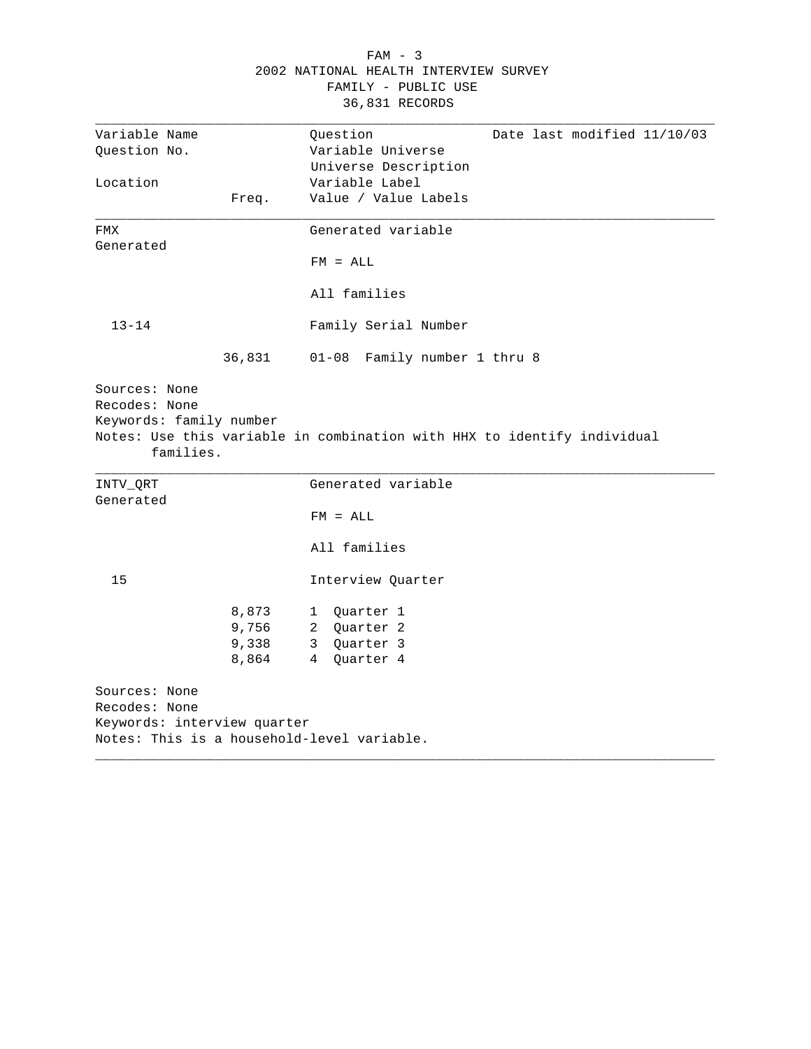|                                                       |        | $FAM - 3$                                                               |
|-------------------------------------------------------|--------|-------------------------------------------------------------------------|
|                                                       |        | 2002 NATIONAL HEALTH INTERVIEW SURVEY                                   |
|                                                       |        | FAMILY - PUBLIC USE                                                     |
|                                                       |        | 36,831 RECORDS                                                          |
|                                                       |        |                                                                         |
| Variable Name                                         |        | Date last modified 11/10/03<br>Question                                 |
| Question No.                                          |        | Variable Universe                                                       |
|                                                       |        | Universe Description                                                    |
| Location                                              |        | Variable Label                                                          |
|                                                       | Freq.  | Value / Value Labels                                                    |
| <b>FMX</b>                                            |        | Generated variable                                                      |
| Generated                                             |        |                                                                         |
|                                                       |        | $FM = ALL$                                                              |
|                                                       |        | All families                                                            |
| $13 - 14$                                             |        | Family Serial Number                                                    |
|                                                       | 36,831 | 01-08 Family number 1 thru 8                                            |
| Recodes: None<br>Keywords: family number<br>families. |        | Notes: Use this variable in combination with HHX to identify individual |
| INTV_QRT                                              |        | Generated variable                                                      |
| Generated                                             |        |                                                                         |
|                                                       |        | $FM = ALL$                                                              |
|                                                       |        | All families                                                            |
| 15                                                    |        | Interview Quarter                                                       |
|                                                       | 8,873  | 1 Quarter 1                                                             |
|                                                       | 9,756  | 2 Quarter 2                                                             |
|                                                       | 9,338  | 3 Quarter 3                                                             |
|                                                       | 8,864  | 4 Quarter 4                                                             |
| Sources: None                                         |        |                                                                         |
| Recodes: None                                         |        |                                                                         |
| Keywords: interview quarter                           |        |                                                                         |
|                                                       |        | Notes: This is a household-level variable.                              |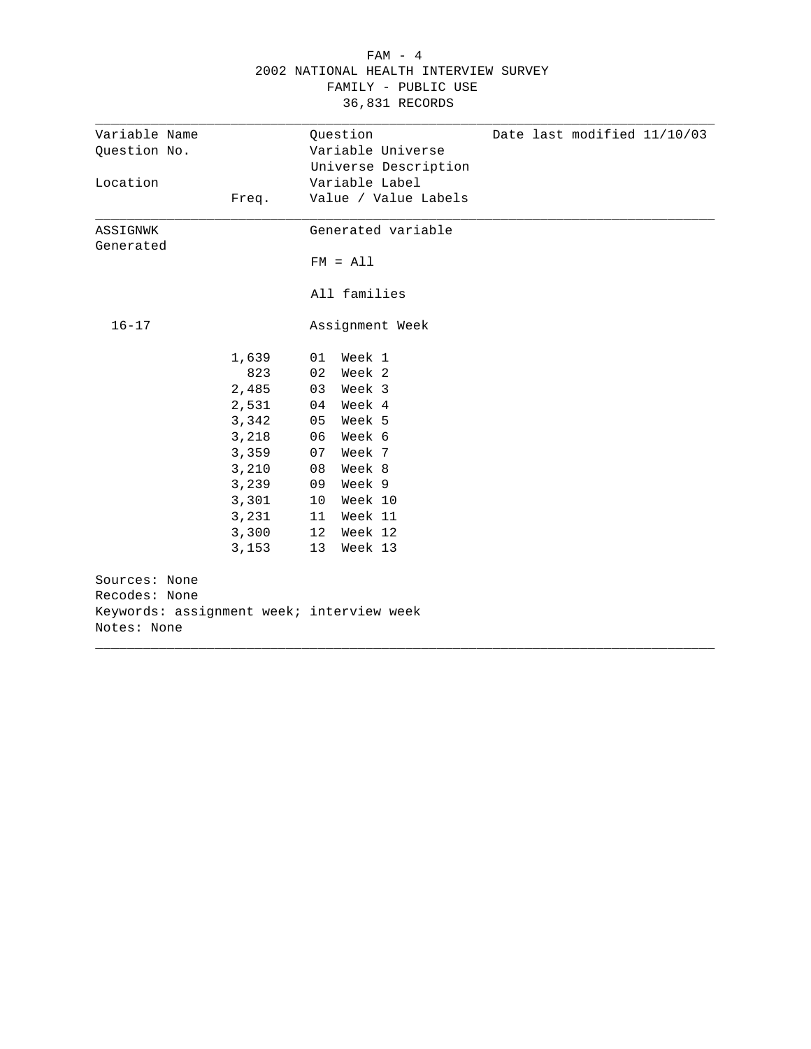|                                |       | FAMILY - PUBLIC USE<br>36,831 RECORDS                                                |  |
|--------------------------------|-------|--------------------------------------------------------------------------------------|--|
| Variable Name<br>Question No.  |       | Question<br>Date last modified 11/10/03<br>Variable Universe<br>Universe Description |  |
| Location                       | Freq. | Variable Label<br>Value / Value Labels                                               |  |
| ASSIGNWK<br>Generated          |       | Generated variable                                                                   |  |
|                                |       | $FM = A11$                                                                           |  |
|                                |       | All families                                                                         |  |
| $16 - 17$                      |       | Assignment Week                                                                      |  |
|                                | 1,639 | 01 Week 1                                                                            |  |
|                                | 823   | 02 Week 2                                                                            |  |
|                                | 2,485 | Week 3<br>03                                                                         |  |
|                                | 2,531 | Week 4<br>04                                                                         |  |
|                                | 3,342 | Week 5<br>05                                                                         |  |
|                                | 3,218 | Week 6<br>06                                                                         |  |
|                                | 3,359 | Week 7<br>07                                                                         |  |
|                                | 3,210 | Week 8<br>08                                                                         |  |
|                                | 3,239 | Week 9<br>09                                                                         |  |
|                                | 3,301 | Week 10<br>10 <sub>1</sub>                                                           |  |
|                                | 3,231 | Week 11<br>11                                                                        |  |
|                                | 3,300 | 12<br>Week 12                                                                        |  |
|                                | 3,153 | 13<br>Week 13                                                                        |  |
| Sources: None<br>Recodes: None |       |                                                                                      |  |
|                                |       | Keywords: assignment week; interview week                                            |  |
| Notes: None                    |       |                                                                                      |  |
|                                |       |                                                                                      |  |

# FAM - 4 2002 NATIONAL HEALTH INTERVIEW SURVEY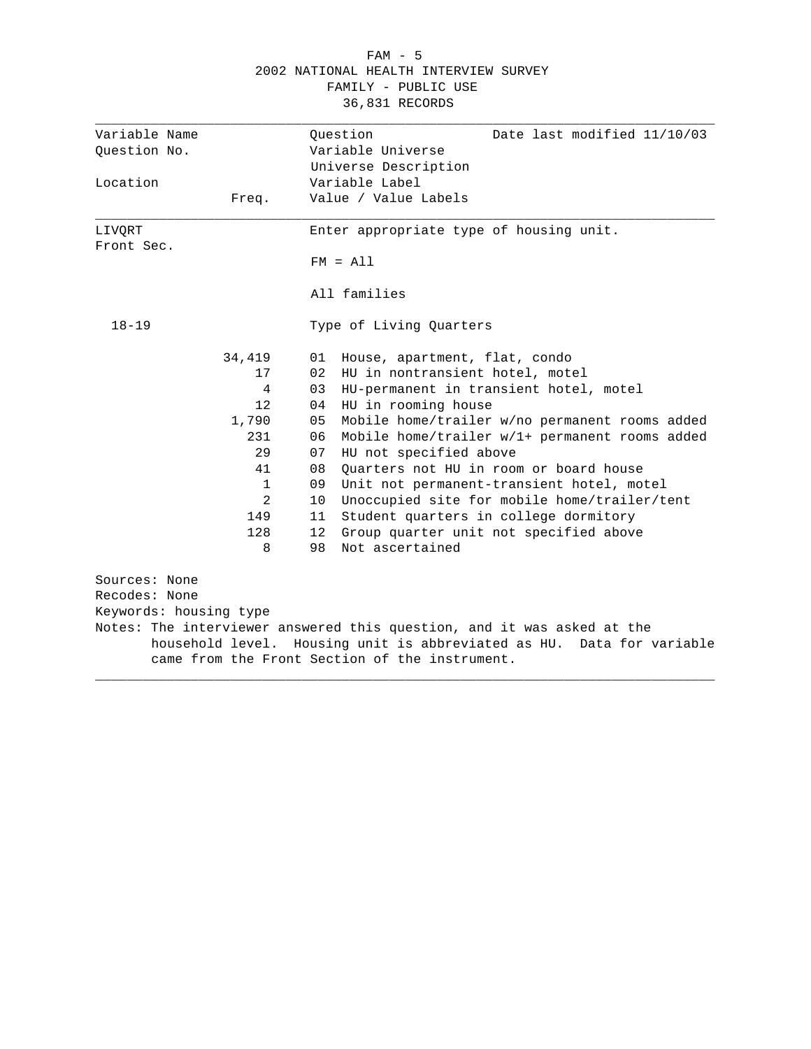|                        | FAMILY - PUBLIC USE<br>36,831 RECORDS                                                                                   |
|------------------------|-------------------------------------------------------------------------------------------------------------------------|
|                        |                                                                                                                         |
| Variable Name          | Date last modified 11/10/03<br>Ouestion                                                                                 |
| Question No.           | Variable Universe                                                                                                       |
|                        | Universe Description                                                                                                    |
| Location               | Variable Label                                                                                                          |
| Freq.                  | Value / Value Labels                                                                                                    |
| LIVORT                 | Enter appropriate type of housing unit.                                                                                 |
| Front Sec.             |                                                                                                                         |
|                        | $FM = A11$                                                                                                              |
|                        | All families                                                                                                            |
| $18 - 19$              | Type of Living Quarters                                                                                                 |
| 34,419                 | House, apartment, flat, condo<br>01                                                                                     |
| 17                     | 02<br>HU in nontransient hotel, motel                                                                                   |
| 4                      | 03<br>HU-permanent in transient hotel, motel                                                                            |
| 12                     | HU in rooming house<br>04                                                                                               |
| 1,790                  | 05<br>Mobile home/trailer w/no permanent rooms added                                                                    |
| 231                    | Mobile home/trailer w/1+ permanent rooms added<br>06                                                                    |
| 29                     | 07<br>HU not specified above                                                                                            |
| 41                     | 08<br>Quarters not HU in room or board house                                                                            |
| $\mathbf{1}$           | 09<br>Unit not permanent-transient hotel, motel                                                                         |
| 2                      | Unoccupied site for mobile home/trailer/tent<br>10                                                                      |
| 149                    | 11<br>Student quarters in college dormitory                                                                             |
| 128                    | 12<br>Group quarter unit not specified above                                                                            |
| 8                      | Not ascertained<br>98                                                                                                   |
| Sources: None          |                                                                                                                         |
| Recodes: None          |                                                                                                                         |
| Keywords: housing type |                                                                                                                         |
|                        | Notes: The interviewer answered this question, and it was asked at the                                                  |
|                        | household level. Housing unit is abbreviated as HU. Data for variable<br>came from the Front Section of the instrument. |
|                        |                                                                                                                         |

 FAM - 5 2002 NATIONAL HEALTH INTERVIEW SURVEY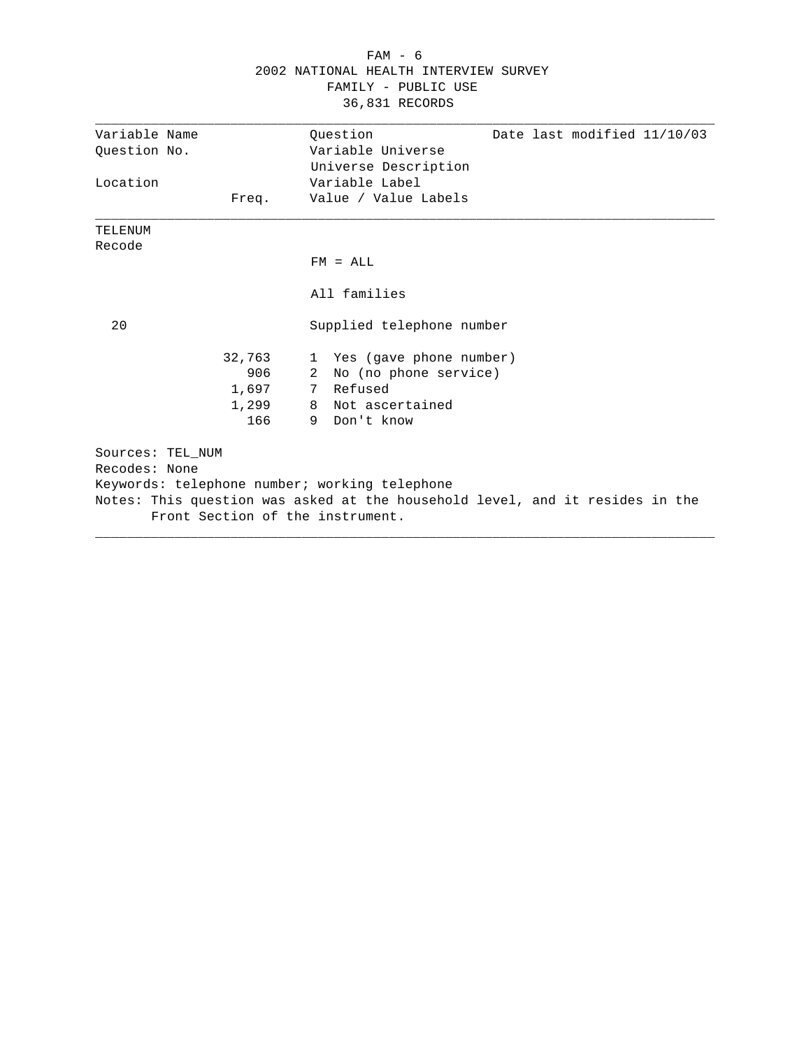| $FAM - 6$                             |  |
|---------------------------------------|--|
| 2002 NATIONAL HEALTH INTERVIEW SURVEY |  |
| FAMILY - PUBLIC USE                   |  |
| 36,831 RECORDS                        |  |

| Variable Name    |        | Date last modified 11/10/03<br>Ouestion                                      |
|------------------|--------|------------------------------------------------------------------------------|
| Question No.     |        | Variable Universe                                                            |
|                  |        | Universe Description                                                         |
| Location         |        | Variable Label                                                               |
|                  | Freq.  | Value / Value Labels                                                         |
| TELENUM          |        |                                                                              |
| Recode           |        |                                                                              |
|                  |        | $FM = ALL$                                                                   |
|                  |        | All families                                                                 |
| 20               |        | Supplied telephone number                                                    |
|                  | 32,763 | 1 Yes (gave phone number)                                                    |
|                  | 906    | No (no phone service)<br>2                                                   |
|                  | 1,697  | 7 Refused                                                                    |
|                  | 1,299  | 8 Not ascertained                                                            |
|                  | 166    | 9 Don't know                                                                 |
| Sources: TEL NUM |        |                                                                              |
| Recodes: None    |        |                                                                              |
|                  |        | Keywords: telephone number; working telephone                                |
|                  |        | Notes: This question was asked at the household level, and it resides in the |
|                  |        | Front Section of the instrument.                                             |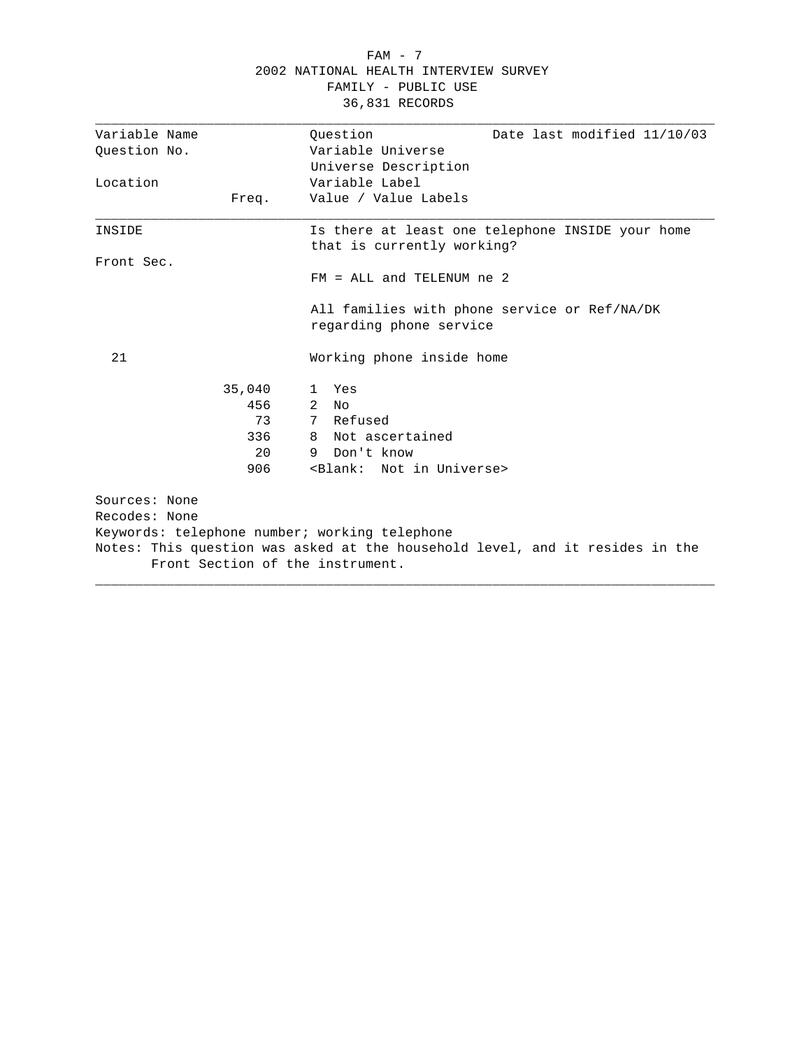## FAM - 7 2002 NATIONAL HEALTH INTERVIEW SURVEY FAMILY - PUBLIC USE 36,831 RECORDS

| Variable Name |        | Ouestion<br>Date last modified 11/10/03                                                                          |
|---------------|--------|------------------------------------------------------------------------------------------------------------------|
| Question No.  |        | Variable Universe                                                                                                |
|               |        | Universe Description                                                                                             |
| Location      |        | Variable Label                                                                                                   |
|               | Freq.  | Value / Value Labels                                                                                             |
| INSIDE        |        | Is there at least one telephone INSIDE your home<br>that is currently working?                                   |
| Front Sec.    |        |                                                                                                                  |
|               |        | $FM = ALL and TELENUM ne 2$                                                                                      |
|               |        | All families with phone service or Ref/NA/DK<br>regarding phone service                                          |
| 21            |        | Working phone inside home                                                                                        |
|               | 35,040 | Yes<br>1.                                                                                                        |
|               | 456    | 2<br>No                                                                                                          |
|               | 73     | 7 Refused                                                                                                        |
|               | 336    | 8 Not ascertained                                                                                                |
|               | 20     | Don't know<br>9                                                                                                  |
|               | 906    | <blank: in="" not="" universe=""></blank:>                                                                       |
| Sources: None |        |                                                                                                                  |
| Recodes: None |        |                                                                                                                  |
|               |        | Keywords: telephone number; working telephone                                                                    |
|               |        | Notes: This question was asked at the household level, and it resides in the<br>Front Section of the instrument. |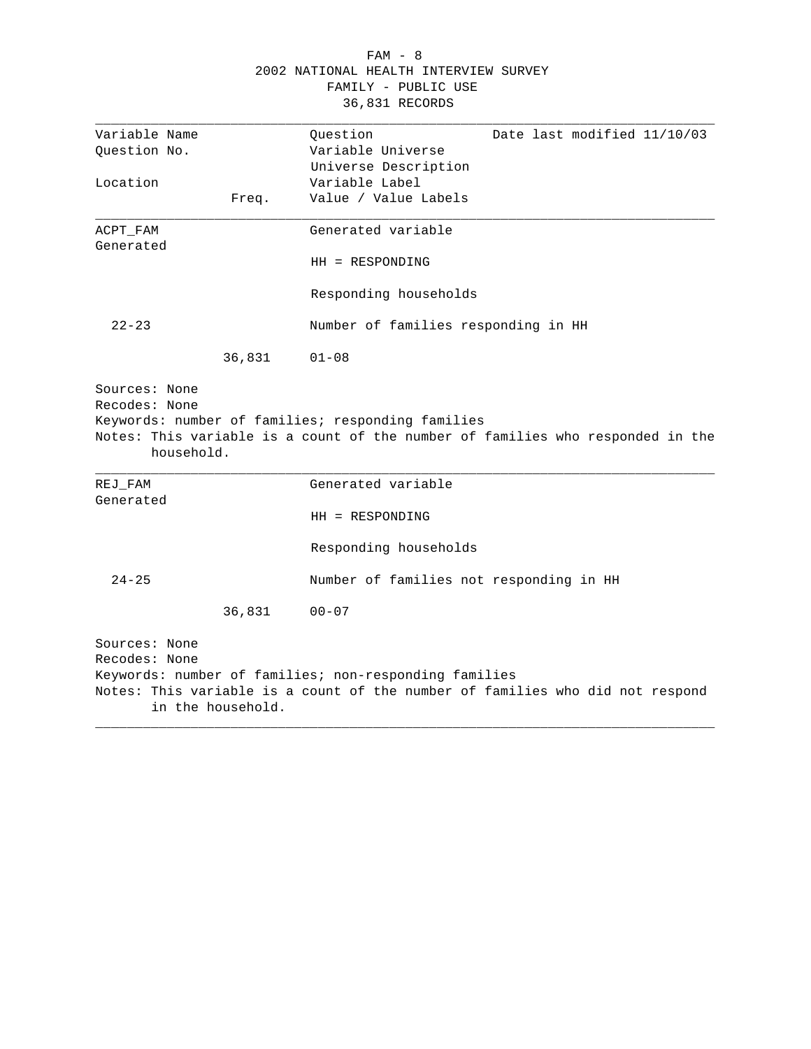# FAM - 8 2002 NATIONAL HEALTH INTERVIEW SURVEY FAMILY - PUBLIC USE 36,831 RECORDS

| Variable Name                  |                   | Ouestion                                              | Date last modified 11/10/03                                                    |
|--------------------------------|-------------------|-------------------------------------------------------|--------------------------------------------------------------------------------|
| Question No.                   |                   | Variable Universe                                     |                                                                                |
|                                |                   | Universe Description                                  |                                                                                |
| Location                       |                   | Variable Label                                        |                                                                                |
|                                | Freq.             | Value / Value Labels                                  |                                                                                |
| ACPT_FAM<br>Generated          |                   | Generated variable                                    |                                                                                |
|                                |                   | $HH = RESPONDING$                                     |                                                                                |
|                                |                   | Responding households                                 |                                                                                |
| $22 - 23$                      |                   | Number of families responding in HH                   |                                                                                |
|                                | 36,831            | $01 - 08$                                             |                                                                                |
|                                | household.        | Keywords: number of families; responding families     | Notes: This variable is a count of the number of families who responded in the |
| $REJ_FAM$<br>Generated         |                   | Generated variable                                    |                                                                                |
|                                |                   | $HH = RESPONDING$                                     |                                                                                |
|                                |                   | Responding households                                 |                                                                                |
| $24 - 25$                      |                   | Number of families not responding in HH               |                                                                                |
|                                | 36,831            | $00 - 07$                                             |                                                                                |
| Sources: None<br>Recodes: None | in the household. | Keywords: number of families; non-responding families | Notes: This variable is a count of the number of families who did not respond  |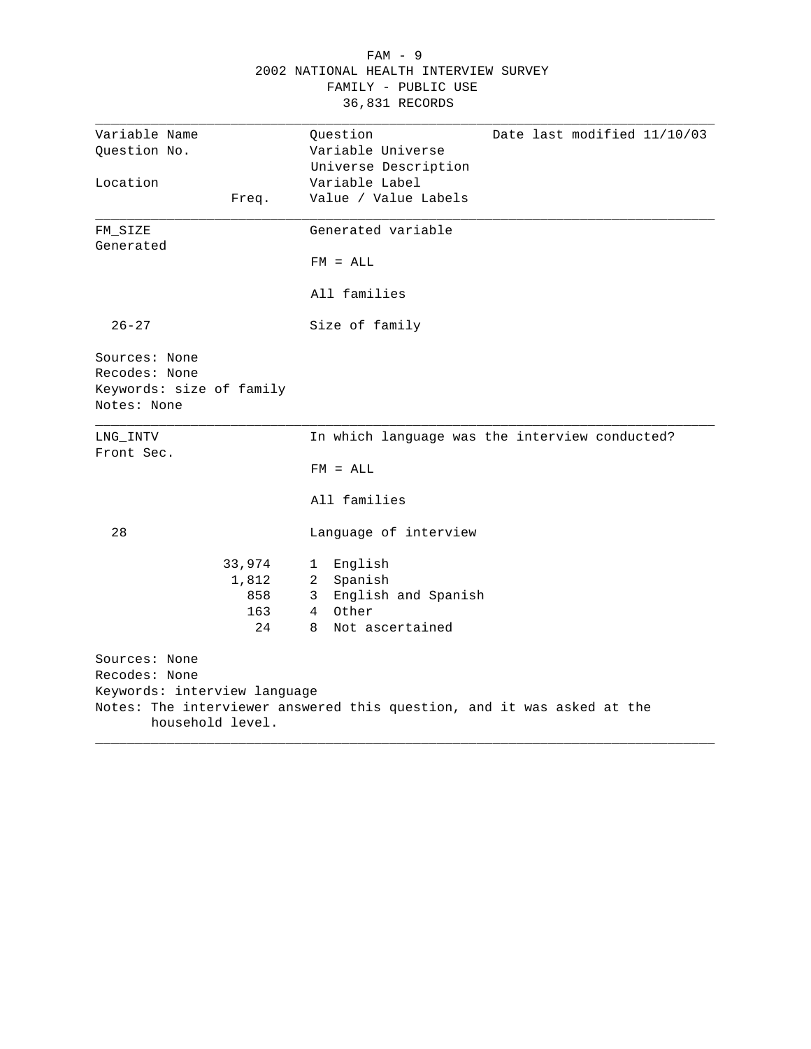|                                                                                    |                                     | 2002 NATIONAL HEALTH INTERVIEW SURVEY<br>FAMILY - PUBLIC USE<br>36,831 RECORDS                                                 |
|------------------------------------------------------------------------------------|-------------------------------------|--------------------------------------------------------------------------------------------------------------------------------|
| Variable Name<br>Ouestion No.<br>Location                                          | Freq.                               | Question<br>Date last modified 11/10/03<br>Variable Universe<br>Universe Description<br>Variable Label<br>Value / Value Labels |
| FM_SIZE<br>Generated                                                               |                                     | Generated variable<br>$FM = ALL$                                                                                               |
| $26 - 27$                                                                          |                                     | All families<br>Size of family                                                                                                 |
| Sources: None<br>Recodes: None<br>Keywords: size of family<br>Notes: None          |                                     |                                                                                                                                |
| LNG_INTV<br>Front Sec.                                                             |                                     | In which language was the interview conducted?<br>$FM = ALL$<br>All families                                                   |
| 28                                                                                 | 33,974<br>1,812<br>858<br>163<br>24 | Language of interview<br>English<br>1<br>2 Spanish<br>English and Spanish<br>3<br>Other<br>$4^{\circ}$<br>Not ascertained<br>8 |
| Sources: None<br>Recodes: None<br>Keywords: interview language<br>household level. |                                     | Notes: The interviewer answered this question, and it was asked at the                                                         |

FAM - 9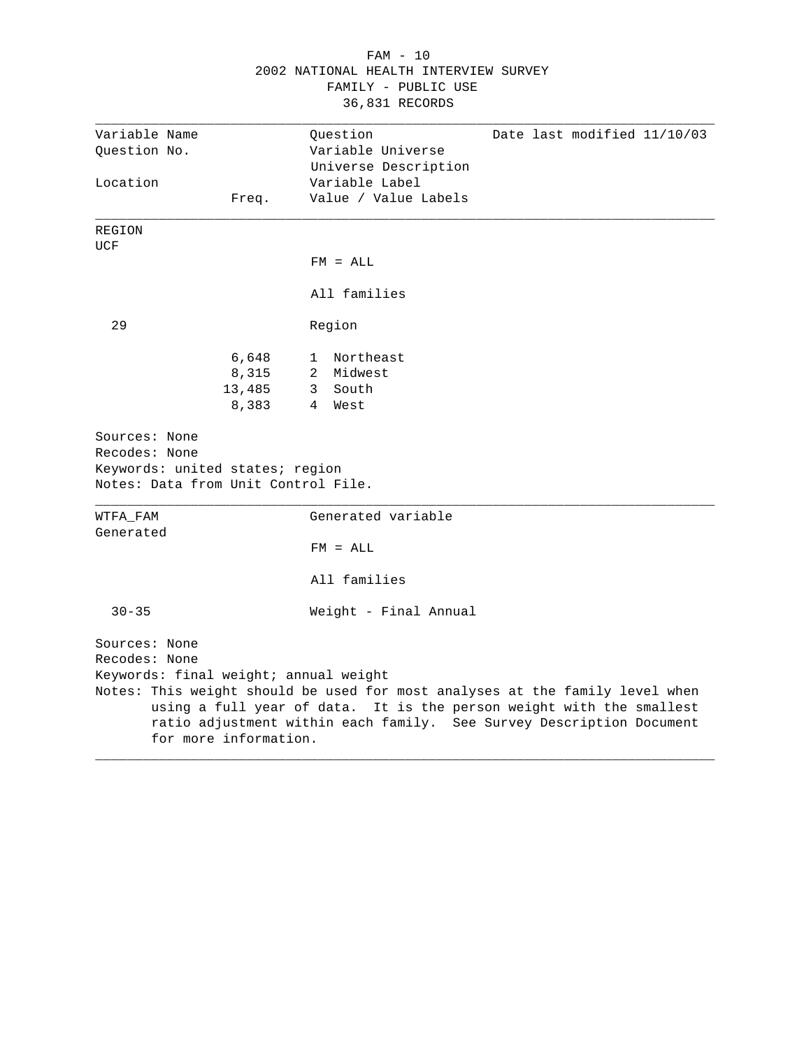|                                                                                                          |                                   | 2002 NATIONAL HEALTH INTERVIEW SURVEY<br>FAMILY - PUBLIC USE<br>36,831 RECORDS |                                                                                                                                                                                                                              |
|----------------------------------------------------------------------------------------------------------|-----------------------------------|--------------------------------------------------------------------------------|------------------------------------------------------------------------------------------------------------------------------------------------------------------------------------------------------------------------------|
| Variable Name<br>Question No.                                                                            |                                   | Question<br>Variable Universe                                                  | Date last modified 11/10/03                                                                                                                                                                                                  |
| Location                                                                                                 | Freq.                             | Universe Description<br>Variable Label<br>Value / Value Labels                 |                                                                                                                                                                                                                              |
| REGION<br>UCF                                                                                            |                                   |                                                                                |                                                                                                                                                                                                                              |
|                                                                                                          |                                   | $FM = ALL$                                                                     |                                                                                                                                                                                                                              |
|                                                                                                          |                                   | All families                                                                   |                                                                                                                                                                                                                              |
| 29                                                                                                       |                                   | Region                                                                         |                                                                                                                                                                                                                              |
|                                                                                                          | 6,648<br>8,315<br>13,485<br>8,383 | Northeast<br>1<br>Midwest<br>$\mathbf{2}$<br>3 South<br>$4 \quad$<br>West      |                                                                                                                                                                                                                              |
| Sources: None<br>Recodes: None<br>Keywords: united states; region<br>Notes: Data from Unit Control File. |                                   |                                                                                |                                                                                                                                                                                                                              |
| WTFA FAM<br>Generated                                                                                    |                                   | Generated variable                                                             |                                                                                                                                                                                                                              |
|                                                                                                          |                                   | $FM = ALL$                                                                     |                                                                                                                                                                                                                              |
|                                                                                                          |                                   | All families                                                                   |                                                                                                                                                                                                                              |
| $30 - 35$                                                                                                |                                   | Weight - Final Annual                                                          |                                                                                                                                                                                                                              |
| Sources: None<br>Recodes: None<br>Keywords: final weight; annual weight                                  | for more information.             |                                                                                | Notes: This weight should be used for most analyses at the family level when<br>using a full year of data. It is the person weight with the smallest<br>ratio adjustment within each family. See Survey Description Document |

# FAM - 10 2002 NATIONAL HEALTH INTERVIEW SURVEY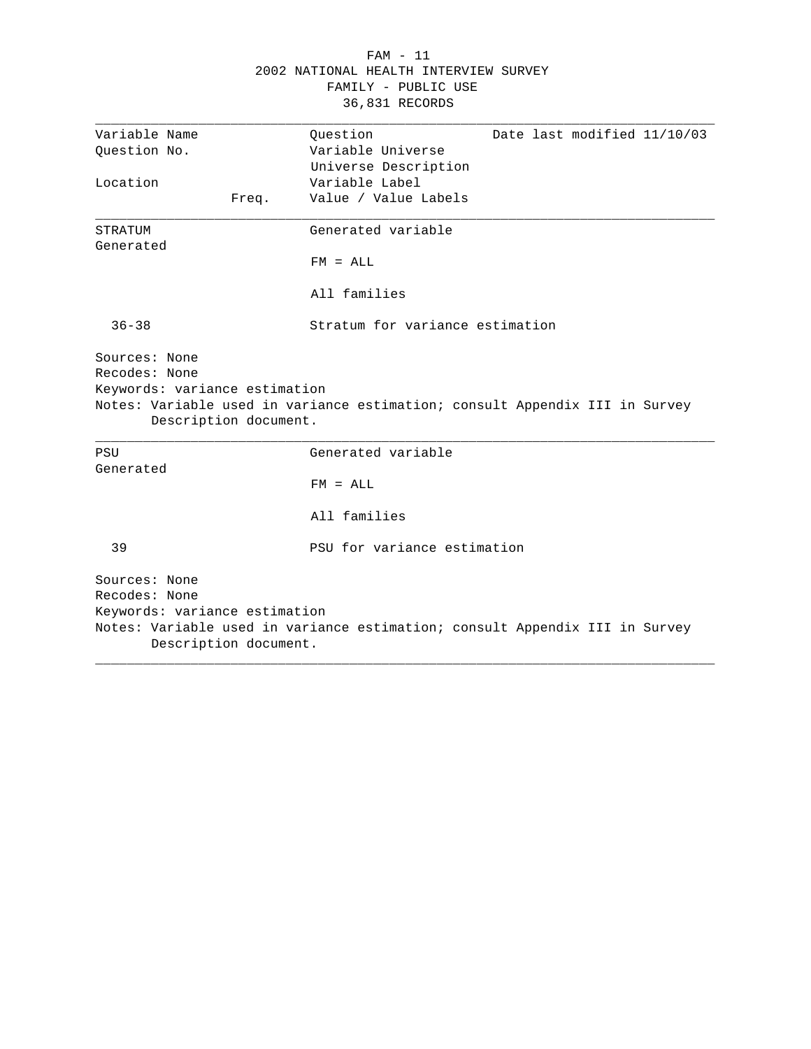|                                                                                          | $FAM - 11$<br>2002 NATIONAL HEALTH INTERVIEW SURVEY<br>FAMILY - PUBLIC USE<br>36,831 RECORDS |
|------------------------------------------------------------------------------------------|----------------------------------------------------------------------------------------------|
| Variable Name<br>Ouestion No.                                                            | Question<br>Date last modified 11/10/03<br>Variable Universe<br>Universe Description         |
| Location<br>Freq.                                                                        | Variable Label<br>Value / Value Labels                                                       |
| STRATUM<br>Generated                                                                     | Generated variable<br>$FM = ALL$<br>All families                                             |
| $36 - 38$                                                                                | Stratum for variance estimation                                                              |
| Sources: None<br>Recodes: None<br>Keywords: variance estimation<br>Description document. | Notes: Variable used in variance estimation; consult Appendix III in Survey                  |
| PSU<br>Generated                                                                         | Generated variable<br>$FM = ALL$                                                             |
|                                                                                          | All families                                                                                 |
| 39                                                                                       | PSU for variance estimation                                                                  |
| Sources: None<br>Recodes: None<br>Keywords: variance estimation<br>Description document. | Notes: Variable used in variance estimation; consult Appendix III in Survey                  |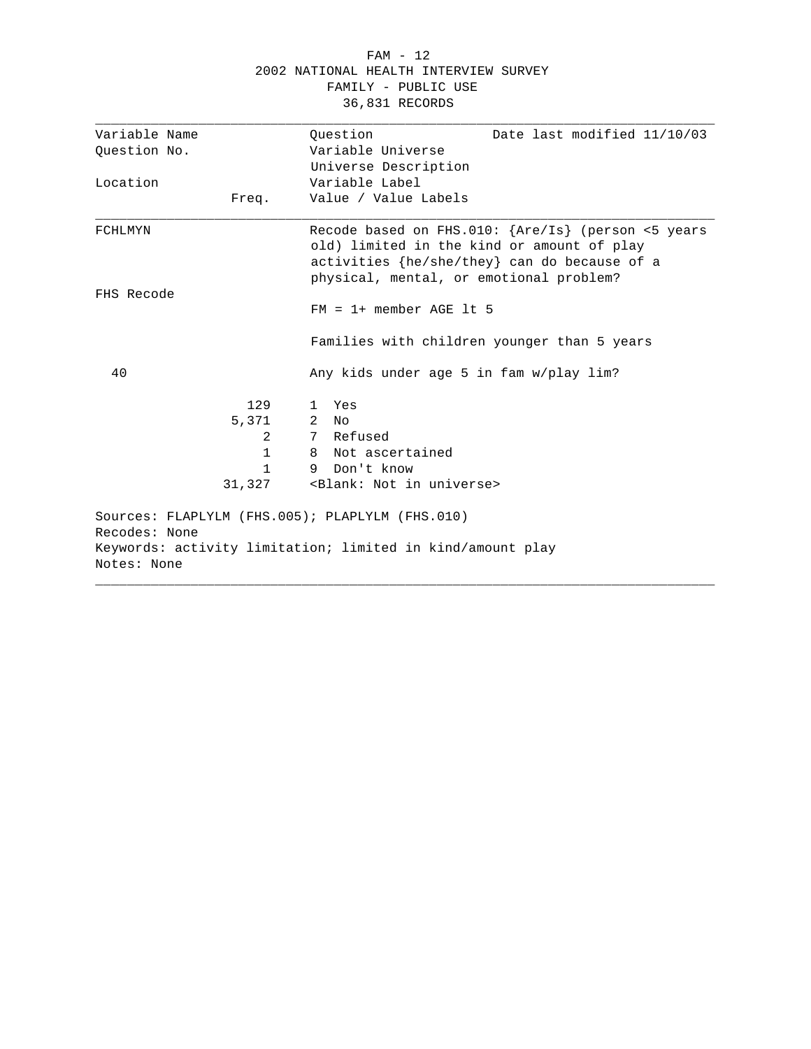### FAM - 12 2002 NATIONAL HEALTH INTERVIEW SURVEY FAMILY - PUBLIC USE 36,831 RECORDS

| Variable Name                                   | Ouestion<br>Date last modified 11/10/03                                                                                                                                                     |
|-------------------------------------------------|---------------------------------------------------------------------------------------------------------------------------------------------------------------------------------------------|
| Question No.                                    | Variable Universe                                                                                                                                                                           |
|                                                 | Universe Description                                                                                                                                                                        |
| Location                                        | Variable Label                                                                                                                                                                              |
| Freq.                                           | Value / Value Labels                                                                                                                                                                        |
| FCHLMYN                                         | Recode based on FHS.010: {Are/Is} (person <5 years<br>old) limited in the kind or amount of play<br>activities {he/she/they} can do because of a<br>physical, mental, or emotional problem? |
| FHS Recode                                      |                                                                                                                                                                                             |
|                                                 | $FM = 1 + member AGE It 5$                                                                                                                                                                  |
|                                                 | Families with children younger than 5 years                                                                                                                                                 |
| 40                                              | Any kids under age 5 in fam w/play lim?                                                                                                                                                     |
| 129                                             | Yes<br>1.                                                                                                                                                                                   |
| 5,371                                           | 2<br>No                                                                                                                                                                                     |
| 2                                               | 7 Refused                                                                                                                                                                                   |
| $\mathbf{1}$                                    | Not ascertained<br>8                                                                                                                                                                        |
| 1                                               | Don't know<br>9                                                                                                                                                                             |
| 31,327                                          | <blank: in="" not="" universe=""></blank:>                                                                                                                                                  |
| Sources: FLAPLYLM (FHS.005); PLAPLYLM (FHS.010) |                                                                                                                                                                                             |
| Recodes: None                                   |                                                                                                                                                                                             |
|                                                 | Keywords: activity limitation; limited in kind/amount play                                                                                                                                  |
| Notes: None                                     |                                                                                                                                                                                             |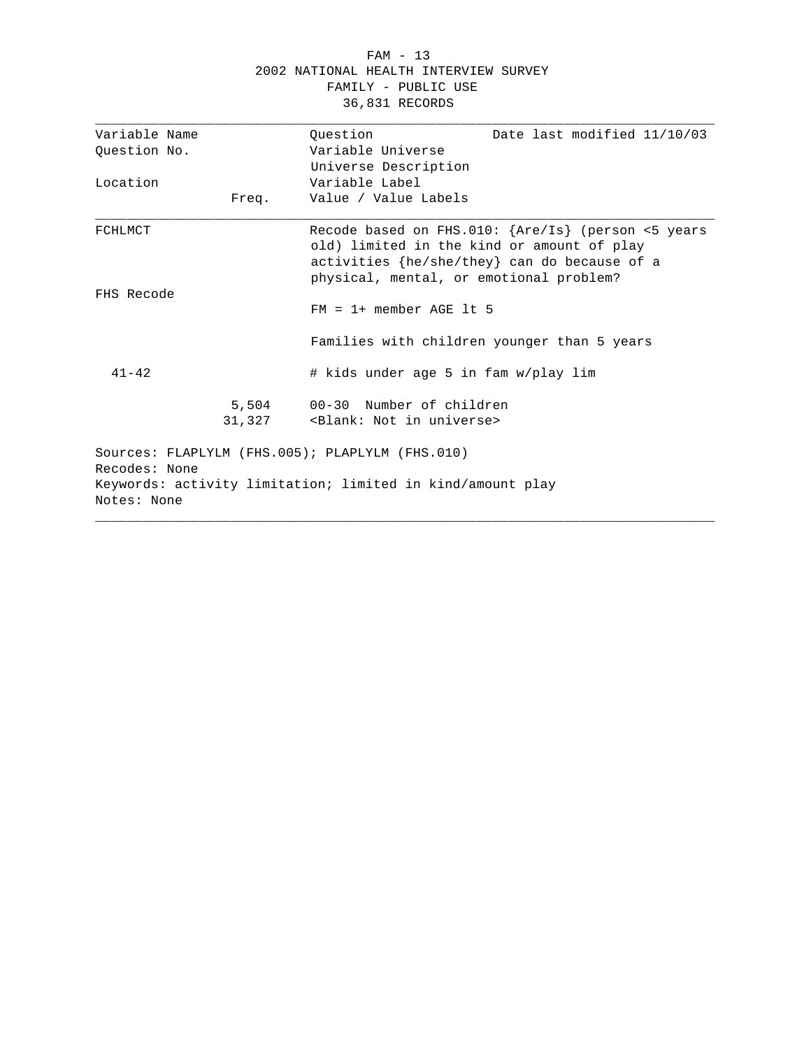#### FAM - 13 2002 NATIONAL HEALTH INTERVIEW SURVEY FAMILY - PUBLIC USE 36,831 RECORDS

| Variable Name                                                    |                                                                                                                                                                                               |
|------------------------------------------------------------------|-----------------------------------------------------------------------------------------------------------------------------------------------------------------------------------------------|
|                                                                  | Date last modified 11/10/03<br>Question                                                                                                                                                       |
| Ouestion No.                                                     | Variable Universe                                                                                                                                                                             |
|                                                                  | Universe Description                                                                                                                                                                          |
| Location                                                         | Variable Label                                                                                                                                                                                |
| Freq.                                                            | Value / Value Labels                                                                                                                                                                          |
| FCHLMCT                                                          | Recode based on FHS.010: {Are/Is} (person <5 years<br>old) limited in the kind or amount of play<br>activities ${he/she/they}$ can do because of a<br>physical, mental, or emotional problem? |
| FHS Recode                                                       | $FM = 1+$ member AGE 1t 5                                                                                                                                                                     |
|                                                                  | Families with children younger than 5 years                                                                                                                                                   |
| $41 - 42$                                                        | # kids under age 5 in fam w/play lim                                                                                                                                                          |
|                                                                  | 5,504 00-30 Number of children<br>31,327 <blank: in="" not="" universe=""></blank:>                                                                                                           |
| Sources: FLAPLYLM (FHS.005); PLAPLYLM (FHS.010)<br>Recodes: None |                                                                                                                                                                                               |
|                                                                  | Keywords: activity limitation; limited in kind/amount play                                                                                                                                    |
| Notes: None                                                      |                                                                                                                                                                                               |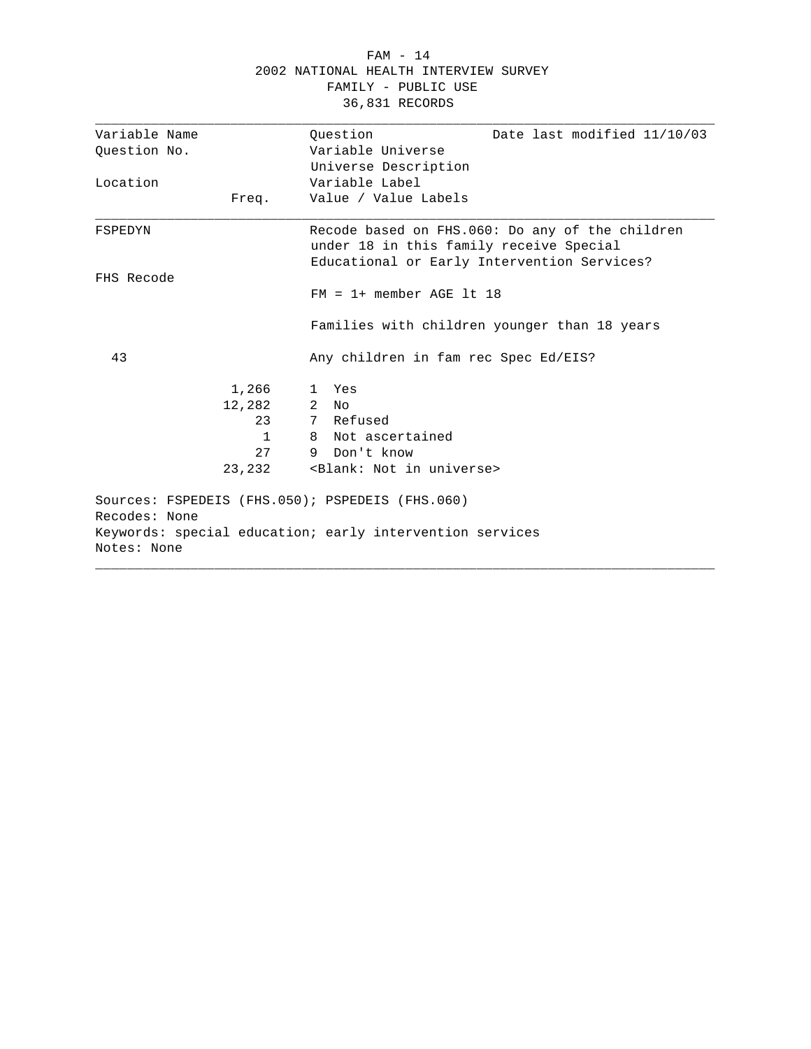### FAM - 14 2002 NATIONAL HEALTH INTERVIEW SURVEY FAMILY - PUBLIC USE 36,831 RECORDS

| Variable Name | Ouestion<br>Date last modified 11/10/03                  |
|---------------|----------------------------------------------------------|
| Ouestion No.  | Variable Universe                                        |
|               | Universe Description                                     |
| Location      | Variable Label                                           |
| Freq.         | Value / Value Labels                                     |
| FSPEDYN       | Recode based on FHS.060: Do any of the children          |
|               | under 18 in this family receive Special                  |
| FHS Recode    | Educational or Early Intervention Services?              |
|               | $FM = 1 + member AGE It 18$                              |
|               | Families with children younger than 18 years             |
| 43            | Any children in fam rec Spec Ed/EIS?                     |
| 1,266         | 1 Yes                                                    |
| 12,282        | $2$ No                                                   |
| 23            | 7 Refused                                                |
| $\mathbf{1}$  | 8 Not ascertained                                        |
| 27            | 9 Don't know                                             |
| 23,232        | <blank: in="" not="" universe=""></blank:>               |
|               | Sources: FSPEDEIS (FHS.050); PSPEDEIS (FHS.060)          |
| Recodes: None |                                                          |
| Notes: None   | Keywords: special education; early intervention services |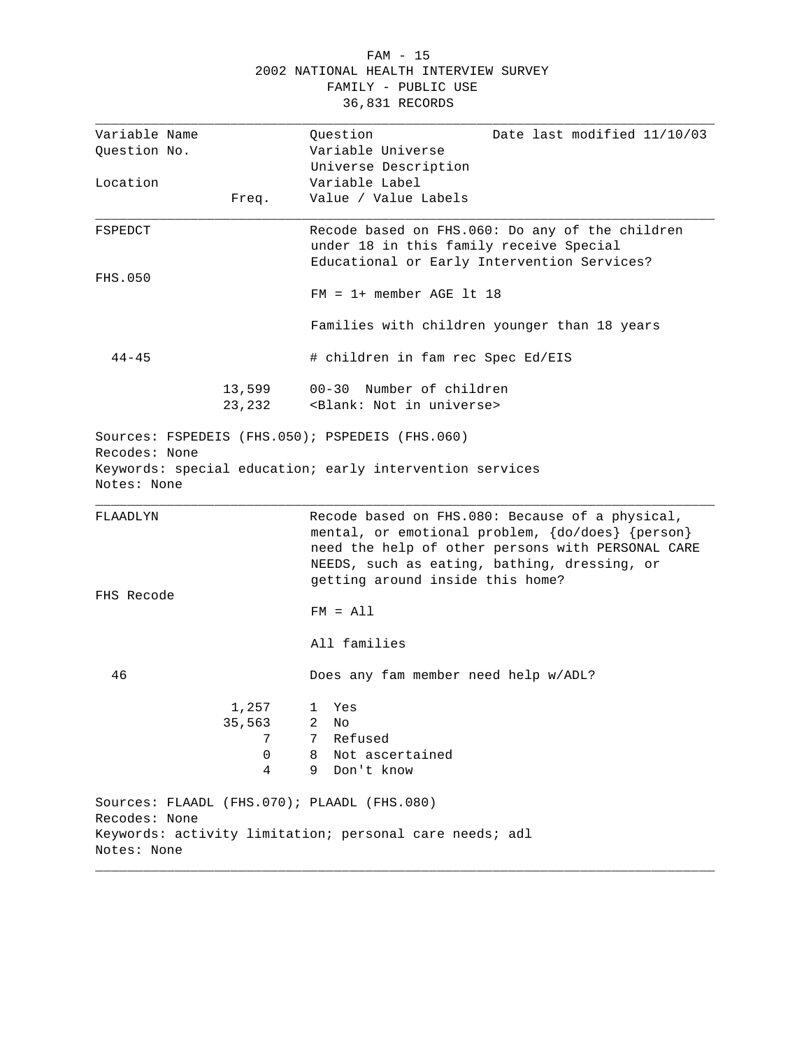#### FAM - 15 2002 NATIONAL HEALTH INTERVIEW SURVEY FAMILY - PUBLIC USE 36,831 RECORDS

| Variable Name                |        | Question<br>Date last modified 11/10/03                                                                                                                                                                                                      |
|------------------------------|--------|----------------------------------------------------------------------------------------------------------------------------------------------------------------------------------------------------------------------------------------------|
| Question No.                 |        | Variable Universe                                                                                                                                                                                                                            |
|                              |        | Universe Description                                                                                                                                                                                                                         |
| Location                     |        | Variable Label                                                                                                                                                                                                                               |
|                              | Freq.  | Value / Value Labels                                                                                                                                                                                                                         |
|                              |        |                                                                                                                                                                                                                                              |
| FSPEDCT                      |        | Recode based on FHS.060: Do any of the children                                                                                                                                                                                              |
|                              |        | under 18 in this family receive Special                                                                                                                                                                                                      |
|                              |        | Educational or Early Intervention Services?                                                                                                                                                                                                  |
| <b>FHS.050</b>               |        |                                                                                                                                                                                                                                              |
|                              |        | $FM = 1+$ member AGE 1t 18                                                                                                                                                                                                                   |
|                              |        | Families with children younger than 18 years                                                                                                                                                                                                 |
| $44 - 45$                    |        | # children in fam rec Spec Ed/EIS                                                                                                                                                                                                            |
|                              | 13,599 | 00-30 Number of children                                                                                                                                                                                                                     |
|                              | 23,232 | <blank: in="" not="" universe=""></blank:>                                                                                                                                                                                                   |
| Recodes: None<br>Notes: None |        | Sources: FSPEDEIS (FHS.050); PSPEDEIS (FHS.060)<br>Keywords: special education; early intervention services                                                                                                                                  |
| FLAADLYN                     |        | Recode based on FHS.080: Because of a physical,<br>mental, or emotional problem, {do/does} {person}<br>need the help of other persons with PERSONAL CARE<br>NEEDS, such as eating, bathing, dressing, or<br>getting around inside this home? |
| FHS Recode                   |        | $FM = A11$                                                                                                                                                                                                                                   |
|                              |        | All families                                                                                                                                                                                                                                 |
| 46                           |        | Does any fam member need help w/ADL?                                                                                                                                                                                                         |
|                              | 1,257  | 1 Yes                                                                                                                                                                                                                                        |
|                              | 35,563 | 2<br>No                                                                                                                                                                                                                                      |
|                              | 7      | 7<br>Refused                                                                                                                                                                                                                                 |
|                              | 0      | Not ascertained<br>8                                                                                                                                                                                                                         |
|                              | 4      | 9<br>Don't know                                                                                                                                                                                                                              |
| Recodes: None                |        | Sources: FLAADL (FHS.070); PLAADL (FHS.080)                                                                                                                                                                                                  |
|                              |        | Keywords: activity limitation; personal care needs; adl                                                                                                                                                                                      |
| Notes: None                  |        |                                                                                                                                                                                                                                              |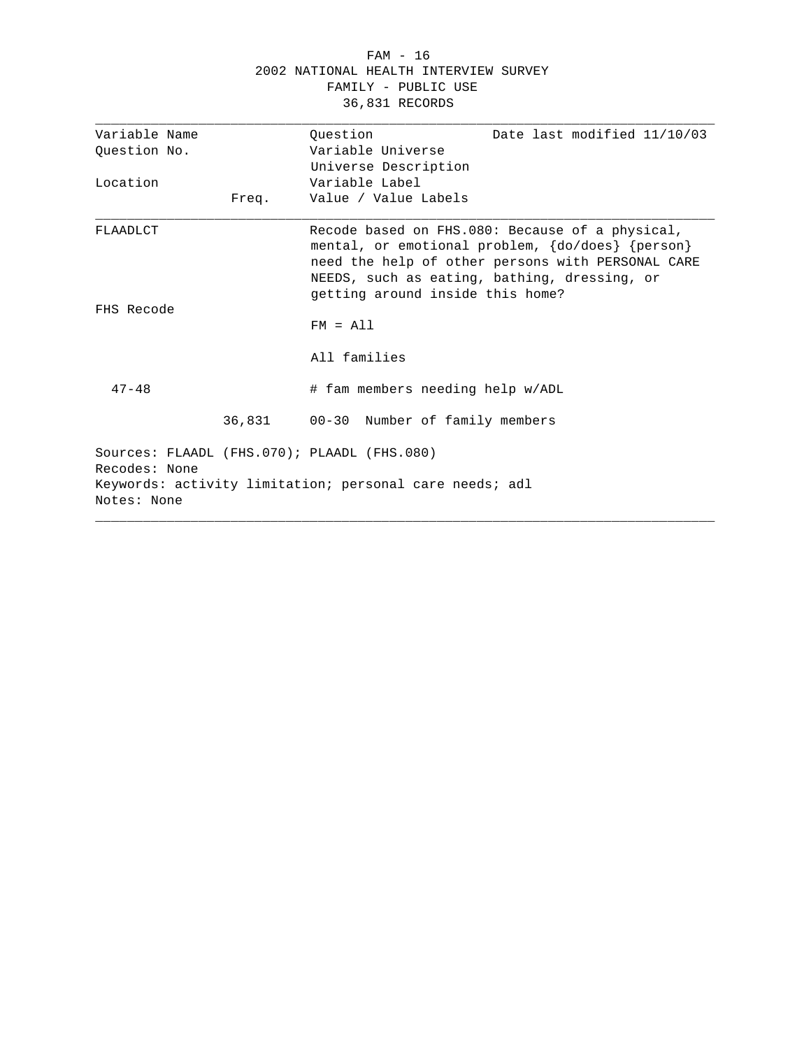### FAM - 16 2002 NATIONAL HEALTH INTERVIEW SURVEY FAMILY - PUBLIC USE 36,831 RECORDS

| Variable Name |       | Question                                                | Date last modified 11/10/03                                                                                                                                                                              |
|---------------|-------|---------------------------------------------------------|----------------------------------------------------------------------------------------------------------------------------------------------------------------------------------------------------------|
| Ouestion No.  |       | Variable Universe                                       |                                                                                                                                                                                                          |
|               |       | Universe Description                                    |                                                                                                                                                                                                          |
| Location      |       | Variable Label                                          |                                                                                                                                                                                                          |
|               | Freq. | Value / Value Labels                                    |                                                                                                                                                                                                          |
| FLAADLCT      |       | getting around inside this home?                        | Recode based on FHS.080: Because of a physical,<br>mental, or emotional problem, {do/does} {person}<br>need the help of other persons with PERSONAL CARE<br>NEEDS, such as eating, bathing, dressing, or |
| FHS Recode    |       |                                                         |                                                                                                                                                                                                          |
|               |       | $FM = A11$                                              |                                                                                                                                                                                                          |
|               |       | All families                                            |                                                                                                                                                                                                          |
| $47 - 48$     |       | # fam members needing help w/ADL                        |                                                                                                                                                                                                          |
|               |       | 36,831 00-30 Number of family members                   |                                                                                                                                                                                                          |
| Recodes: None |       | Sources: FLAADL (FHS.070); PLAADL (FHS.080)             |                                                                                                                                                                                                          |
|               |       | Keywords: activity limitation; personal care needs; adl |                                                                                                                                                                                                          |
| Notes: None   |       |                                                         |                                                                                                                                                                                                          |
|               |       |                                                         |                                                                                                                                                                                                          |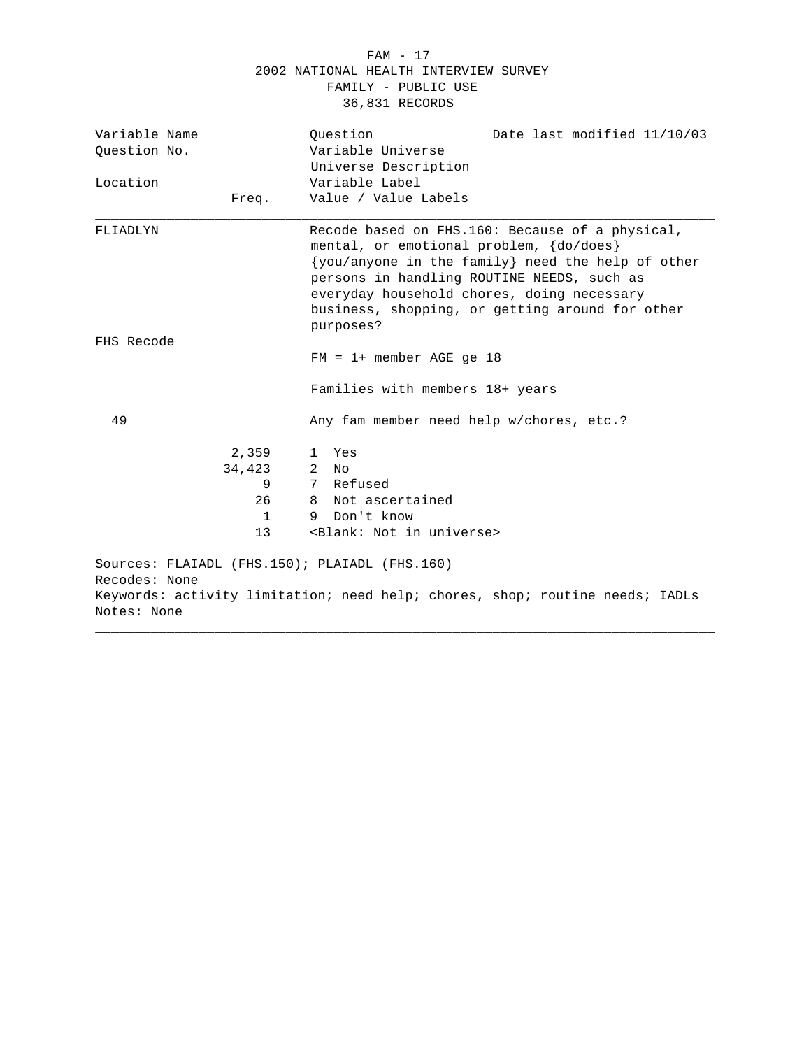#### FAM - 17 2002 NATIONAL HEALTH INTERVIEW SURVEY FAMILY - PUBLIC USE 36,831 RECORDS

| Variable Name                                                  | Ouestion<br>Date last modified 11/10/03                                                                                                                                                                                                                                                        |
|----------------------------------------------------------------|------------------------------------------------------------------------------------------------------------------------------------------------------------------------------------------------------------------------------------------------------------------------------------------------|
| Ouestion No.                                                   | Variable Universe                                                                                                                                                                                                                                                                              |
|                                                                | Universe Description                                                                                                                                                                                                                                                                           |
| Location                                                       | Variable Label                                                                                                                                                                                                                                                                                 |
| Freq.                                                          | Value / Value Labels                                                                                                                                                                                                                                                                           |
| FLIADLYN                                                       | Recode based on FHS.160: Because of a physical,<br>mental, or emotional problem, {do/does}<br>{you/anyone in the family} need the help of other<br>persons in handling ROUTINE NEEDS, such as<br>everyday household chores, doing necessary<br>business, shopping, or getting around for other |
| FHS Recode                                                     | purposes?                                                                                                                                                                                                                                                                                      |
|                                                                | $FM = 1 + member AGE$ qe 18                                                                                                                                                                                                                                                                    |
|                                                                | Families with members 18+ years                                                                                                                                                                                                                                                                |
| 49                                                             | Any fam member need help w/chores, etc.?                                                                                                                                                                                                                                                       |
| 2,359                                                          | Yes<br>$\mathbf{1}$                                                                                                                                                                                                                                                                            |
| 34,423                                                         | 2<br>N∩                                                                                                                                                                                                                                                                                        |
| 9                                                              | 7 Refused                                                                                                                                                                                                                                                                                      |
| 26                                                             | Not ascertained<br>8                                                                                                                                                                                                                                                                           |
| $\mathbf{1}$                                                   | Don't know<br>9                                                                                                                                                                                                                                                                                |
| 13                                                             | <blank: in="" not="" universe=""></blank:>                                                                                                                                                                                                                                                     |
| Sources: FLAIADL (FHS.150); PLAIADL (FHS.160)<br>Recodes: None |                                                                                                                                                                                                                                                                                                |
|                                                                | Keywords: activity limitation; need help; chores, shop; routine needs; IADLs                                                                                                                                                                                                                   |
| Notes: None                                                    |                                                                                                                                                                                                                                                                                                |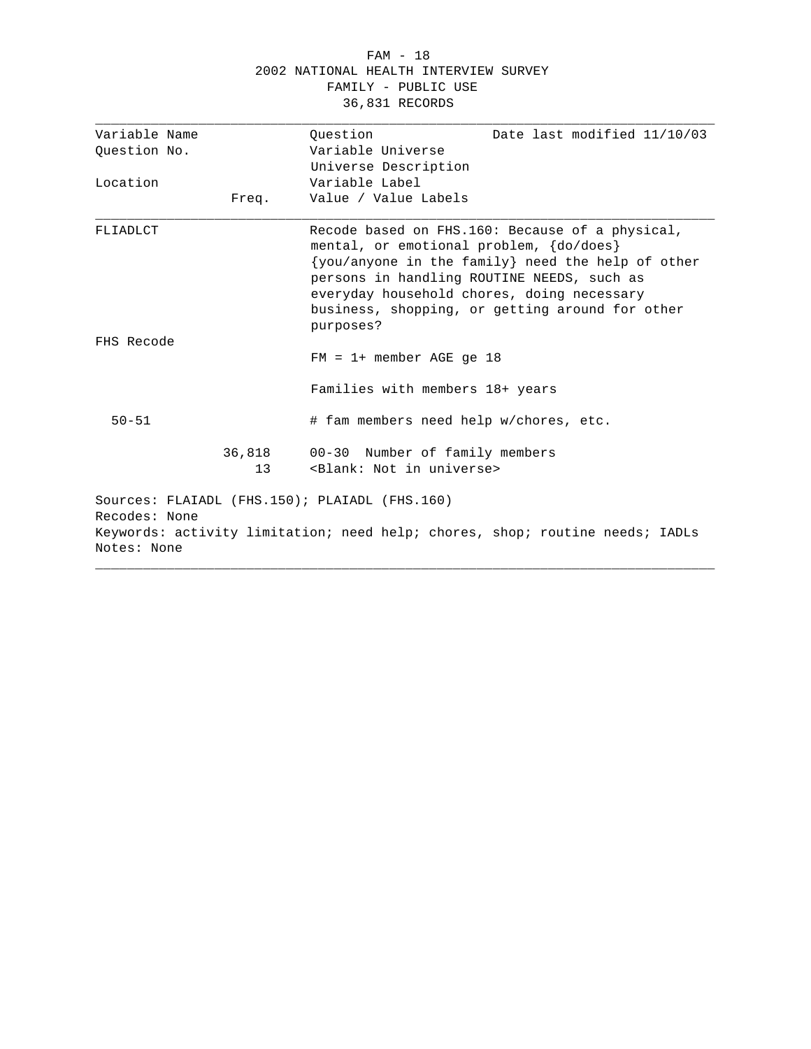#### FAM - 18 2002 NATIONAL HEALTH INTERVIEW SURVEY FAMILY - PUBLIC USE 36,831 RECORDS

| Variable Name                |              | Ouestion<br>Date last modified 11/10/03                                                                                                                                                                                                                                                                         |
|------------------------------|--------------|-----------------------------------------------------------------------------------------------------------------------------------------------------------------------------------------------------------------------------------------------------------------------------------------------------------------|
| Ouestion No.                 |              | Variable Universe                                                                                                                                                                                                                                                                                               |
|                              |              | Universe Description                                                                                                                                                                                                                                                                                            |
| Location                     |              | Variable Label                                                                                                                                                                                                                                                                                                  |
|                              | Freq.        | Value / Value Labels                                                                                                                                                                                                                                                                                            |
| FLIADLCT                     |              | Recode based on FHS.160: Because of a physical,<br>mental, or emotional problem, {do/does}<br>$\{you/anyone in the family\}$ need the help of other<br>persons in handling ROUTINE NEEDS, such as<br>everyday household chores, doing necessary<br>business, shopping, or getting around for other<br>purposes? |
| FHS Recode                   |              | $FM = 1 + member AGE$ qe 18                                                                                                                                                                                                                                                                                     |
|                              |              | Families with members 18+ years                                                                                                                                                                                                                                                                                 |
| $50 - 51$                    |              | # fam members need help w/chores, etc.                                                                                                                                                                                                                                                                          |
|                              | 36,818<br>13 | 00-30 Number of family members<br><blank: in="" not="" universe=""></blank:>                                                                                                                                                                                                                                    |
| Recodes: None<br>Notes: None |              | Sources: FLAIADL (FHS.150); PLAIADL (FHS.160)<br>Keywords: activity limitation; need help; chores, shop; routine needs; IADLs                                                                                                                                                                                   |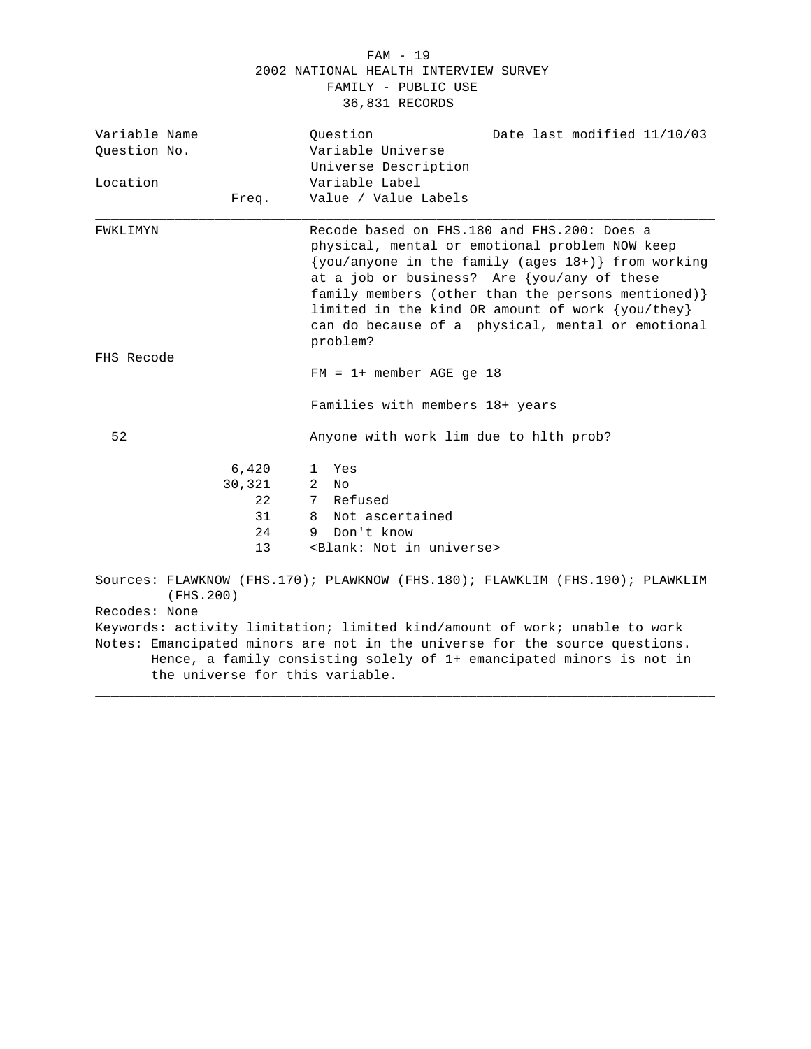#### FAM - 19 2002 NATIONAL HEALTH INTERVIEW SURVEY FAMILY - PUBLIC USE 36,831 RECORDS

| Variable Name | Question<br>Date last modified 11/10/03                                                                                                                                                                                                                                                                                                                                             |
|---------------|-------------------------------------------------------------------------------------------------------------------------------------------------------------------------------------------------------------------------------------------------------------------------------------------------------------------------------------------------------------------------------------|
| Ouestion No.  | Variable Universe                                                                                                                                                                                                                                                                                                                                                                   |
|               | Universe Description                                                                                                                                                                                                                                                                                                                                                                |
| Location      | Variable Label                                                                                                                                                                                                                                                                                                                                                                      |
| Freq.         | Value / Value Labels                                                                                                                                                                                                                                                                                                                                                                |
| FWKLIMYN      | Recode based on FHS.180 and FHS.200: Does a<br>physical, mental or emotional problem NOW keep<br>$\{you/anyone in the family (ages 18+) \} from working$<br>at a job or business? Are {you/any of these<br>family members (other than the persons mentioned) }<br>limited in the kind OR amount of work {you/they}<br>can do because of a physical, mental or emotional<br>problem? |
| FHS Recode    |                                                                                                                                                                                                                                                                                                                                                                                     |
|               | $FM = 1 + member AGE ge 18$                                                                                                                                                                                                                                                                                                                                                         |
|               | Families with members 18+ years                                                                                                                                                                                                                                                                                                                                                     |
| 52            | Anyone with work lim due to hith prob?                                                                                                                                                                                                                                                                                                                                              |
| 6,420         | Yes<br>$\mathbf{1}$                                                                                                                                                                                                                                                                                                                                                                 |
| 30,321        | 2<br>Nο                                                                                                                                                                                                                                                                                                                                                                             |
| 2.2           | Refused<br>7                                                                                                                                                                                                                                                                                                                                                                        |
| 31            | Not ascertained<br>8                                                                                                                                                                                                                                                                                                                                                                |
| 24            | Don't know<br>9                                                                                                                                                                                                                                                                                                                                                                     |
| 13            | <blank: in="" not="" universe=""></blank:>                                                                                                                                                                                                                                                                                                                                          |
| (FHS.200)     | Sources: FLAWKNOW (FHS.170); PLAWKNOW (FHS.180); FLAWKLIM (FHS.190); PLAWKLIM                                                                                                                                                                                                                                                                                                       |
| Recodes: None |                                                                                                                                                                                                                                                                                                                                                                                     |
|               | Keywords: activity limitation; limited kind/amount of work; unable to work                                                                                                                                                                                                                                                                                                          |
|               | Notes: Emancipated minors are not in the universe for the source questions.<br>Hence, a family consisting solely of 1+ emancipated minors is not in                                                                                                                                                                                                                                 |
|               | the universe for this variable.                                                                                                                                                                                                                                                                                                                                                     |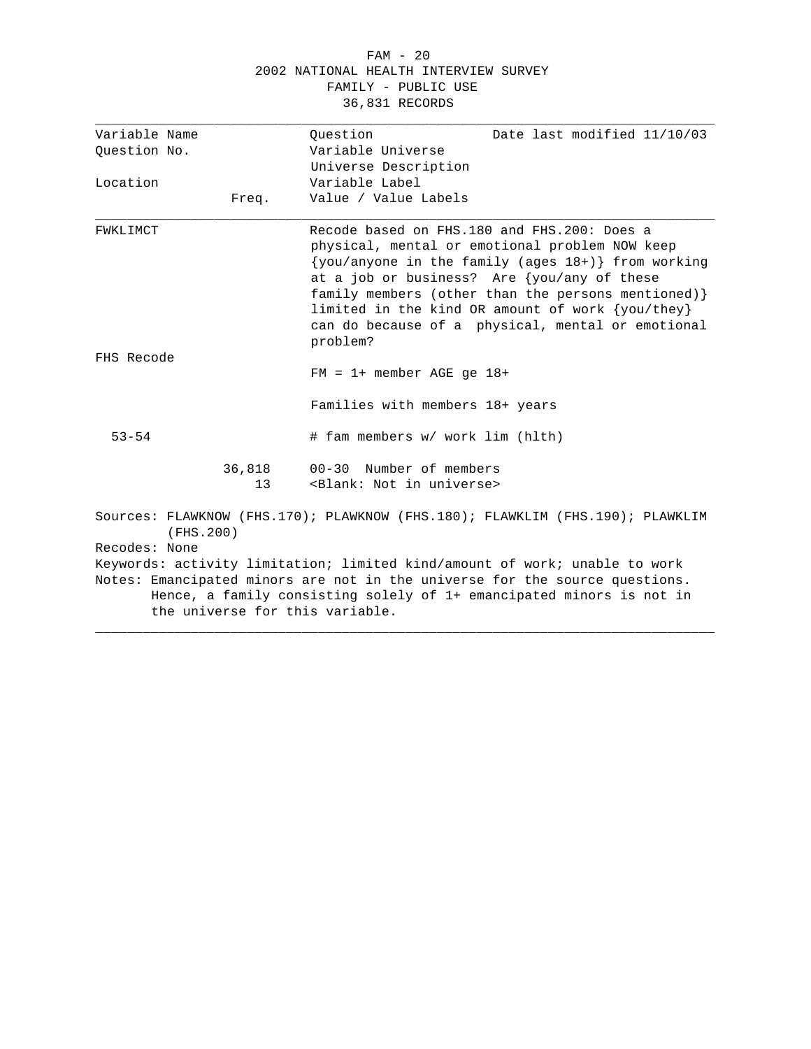## FAM - 20 2002 NATIONAL HEALTH INTERVIEW SURVEY FAMILY - PUBLIC USE 36,831 RECORDS

| Variable Name |              | Date last modified 11/10/03<br>Ouestion                                                                                                                                                                                                                                                                                                                                                           |
|---------------|--------------|---------------------------------------------------------------------------------------------------------------------------------------------------------------------------------------------------------------------------------------------------------------------------------------------------------------------------------------------------------------------------------------------------|
| Ouestion No.  |              | Variable Universe                                                                                                                                                                                                                                                                                                                                                                                 |
|               |              | Universe Description                                                                                                                                                                                                                                                                                                                                                                              |
| Location      |              | Variable Label                                                                                                                                                                                                                                                                                                                                                                                    |
|               | Freq.        | Value / Value Labels                                                                                                                                                                                                                                                                                                                                                                              |
| FWKLIMCT      |              | Recode based on FHS.180 and FHS.200: Does a<br>physical, mental or emotional problem NOW keep<br>$\{you/anyone in the family (ages 18+) \} from working$<br>at a job or business? Are $\{you/any$ of these<br>family members (other than the persons mentioned) }<br>limited in the kind OR amount of work $\{you/\text{they}\}$<br>can do because of a physical, mental or emotional<br>problem? |
| FHS Recode    |              | $FM = 1+$ member AGE qe $18+$                                                                                                                                                                                                                                                                                                                                                                     |
|               |              | Families with members 18+ years                                                                                                                                                                                                                                                                                                                                                                   |
| $53 - 54$     |              | # fam members w/ work lim (hlth)                                                                                                                                                                                                                                                                                                                                                                  |
|               | 36,818<br>13 | 00-30 Number of members<br><blank: in="" not="" universe=""></blank:>                                                                                                                                                                                                                                                                                                                             |
| (FHS.200)     |              | Sources: FLAWKNOW (FHS.170); PLAWKNOW (FHS.180); FLAWKLIM (FHS.190); PLAWKLIM                                                                                                                                                                                                                                                                                                                     |
| Recodes: None |              |                                                                                                                                                                                                                                                                                                                                                                                                   |
|               |              | Keywords: activity limitation; limited kind/amount of work; unable to work                                                                                                                                                                                                                                                                                                                        |
|               |              | Notes: Emancipated minors are not in the universe for the source questions.<br>Hence, a family consisting solely of 1+ emancipated minors is not in<br>the universe for this variable.                                                                                                                                                                                                            |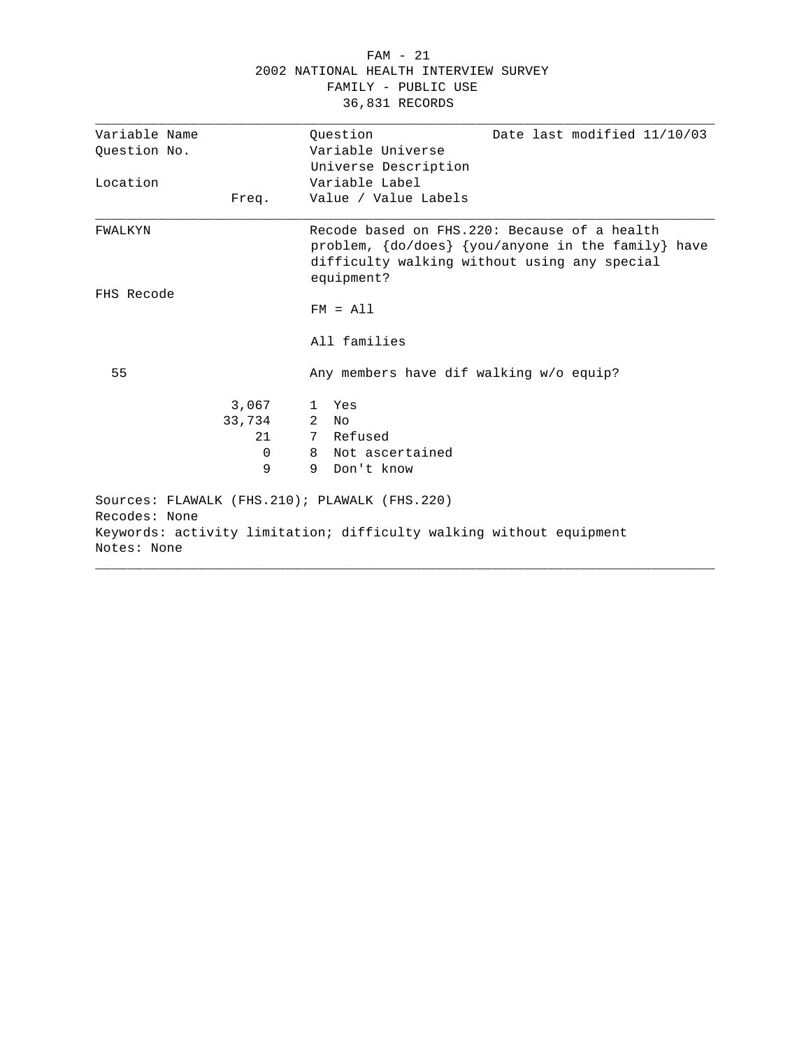|                                                                               | 2002 NATIONAL HEALTH INTERVIEW SURVEY<br>FAMILY - PUBLIC USE<br>36,831 RECORDS                                                                                   |
|-------------------------------------------------------------------------------|------------------------------------------------------------------------------------------------------------------------------------------------------------------|
| Variable Name                                                                 | Ouestion<br>Date last modified 11/10/03                                                                                                                          |
| Ouestion No.                                                                  | Variable Universe                                                                                                                                                |
|                                                                               | Universe Description                                                                                                                                             |
| Location                                                                      | Variable Label<br>Value / Value Labels                                                                                                                           |
| Freq.                                                                         |                                                                                                                                                                  |
| FWALKYN                                                                       | Recode based on FHS.220: Because of a health<br>problem, {do/does} {you/anyone in the family} have<br>difficulty walking without using any special<br>equipment? |
| FHS Recode                                                                    |                                                                                                                                                                  |
|                                                                               | $FM = A11$                                                                                                                                                       |
|                                                                               | All families                                                                                                                                                     |
| 55                                                                            | Any members have dif walking w/o equip?                                                                                                                          |
| 3,067                                                                         | 1 Yes                                                                                                                                                            |
| 33,734                                                                        | 2<br>N <sub>O</sub>                                                                                                                                              |
| 21                                                                            | 7 Refused                                                                                                                                                        |
| 0                                                                             | Not ascertained<br>8                                                                                                                                             |
| 9                                                                             | 9<br>Don't know                                                                                                                                                  |
| Sources: FLAWALK (FHS.210); PLAWALK (FHS.220)<br>Recodes: None<br>Notes: None | Keywords: activity limitation; difficulty walking without equipment                                                                                              |

FAM - 21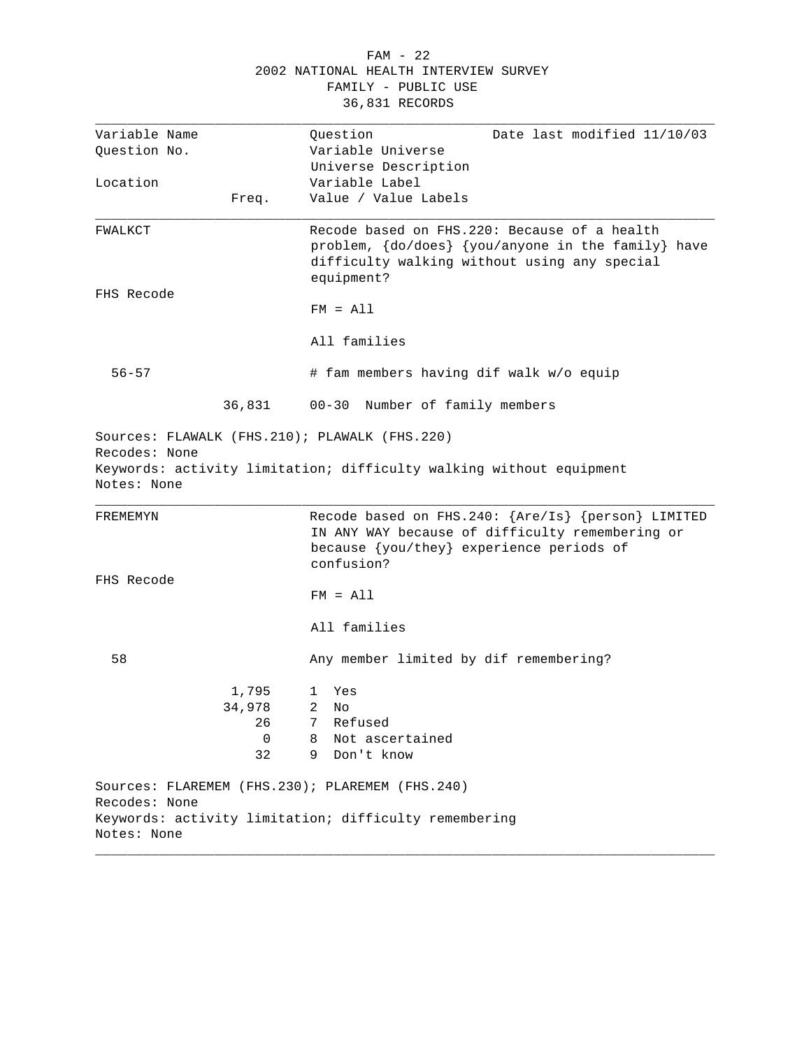| FAM - 22                              |  |
|---------------------------------------|--|
| 2002 NATIONAL HEALTH INTERVIEW SURVEY |  |
| FAMILY - PUBLIC USE                   |  |
| 36,831 RECORDS                        |  |

| Variable Name |        | Question<br>Date last modified 11/10/03                                                                                                                                  |
|---------------|--------|--------------------------------------------------------------------------------------------------------------------------------------------------------------------------|
| Question No.  |        | Variable Universe                                                                                                                                                        |
|               |        | Universe Description                                                                                                                                                     |
| Location      |        | Variable Label                                                                                                                                                           |
|               | Freq.  | Value / Value Labels                                                                                                                                                     |
| FWALKCT       |        | Recode based on FHS.220: Because of a health<br>problem, $\{do/does\}$ $\{you/anyone in the family\}$ have<br>difficulty walking without using any special<br>equipment? |
| FHS Recode    |        |                                                                                                                                                                          |
|               |        | $FM = A11$                                                                                                                                                               |
|               |        | All families                                                                                                                                                             |
| $56 - 57$     |        | # fam members having dif walk w/o equip                                                                                                                                  |
|               | 36,831 | 00-30 Number of family members                                                                                                                                           |
|               |        |                                                                                                                                                                          |
| Notes: None   |        |                                                                                                                                                                          |
| FREMEMYN      |        | Recode based on FHS.240: {Are/Is} {person} LIMITED<br>IN ANY WAY because of difficulty remembering or<br>because {you/they} experience periods of<br>confusion?          |
| FHS Recode    |        |                                                                                                                                                                          |
|               |        | $FM = A11$                                                                                                                                                               |
|               |        | All families                                                                                                                                                             |
| 58            |        | Any member limited by dif remembering?                                                                                                                                   |
|               | 1,795  | Yes<br>ı                                                                                                                                                                 |
|               | 34,978 | $\mathbf{2}$<br>No.                                                                                                                                                      |
|               | 26     | 7 Refused                                                                                                                                                                |
|               | 0      | Not ascertained<br>8                                                                                                                                                     |
|               | 32     | 9<br>Don't know                                                                                                                                                          |
|               |        | Sources: FLAREMEM (FHS.230); PLAREMEM (FHS.240)                                                                                                                          |
| Recodes: None |        |                                                                                                                                                                          |
|               |        | Keywords: activity limitation; difficulty remembering                                                                                                                    |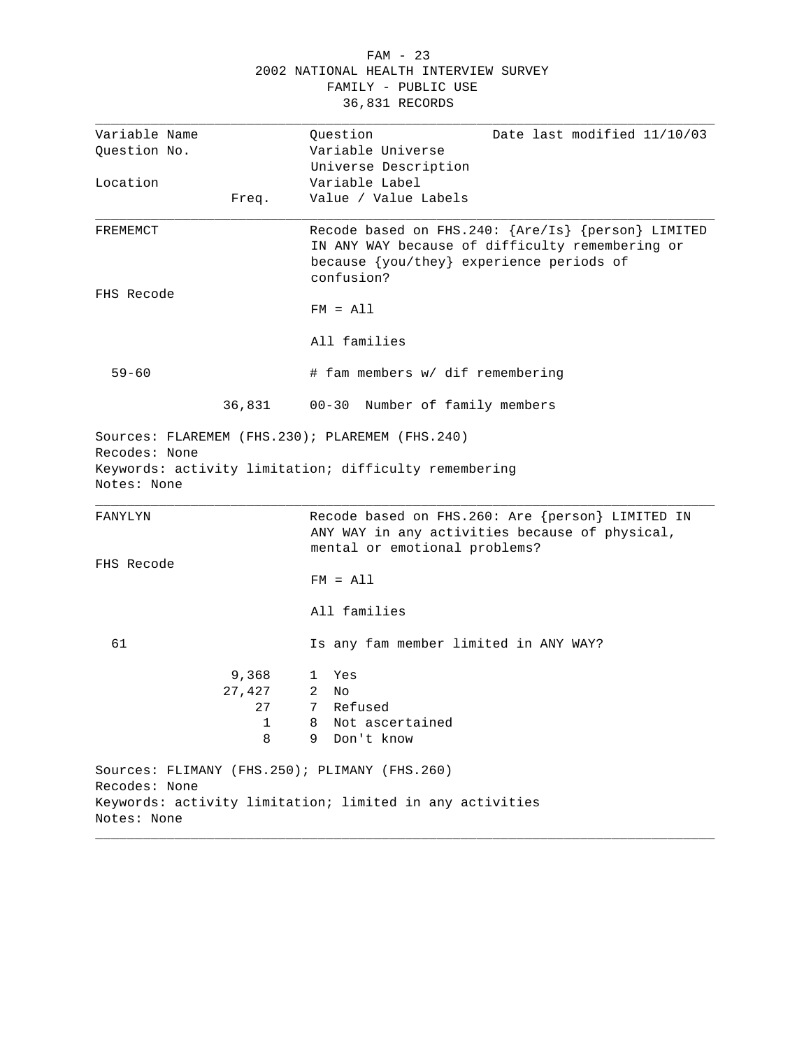|                              |        | 2002 NATIONAL HEALTH INTERVIEW SURVEY<br>FAMILY - PUBLIC USE<br>36,831 RECORDS                                                                                  |
|------------------------------|--------|-----------------------------------------------------------------------------------------------------------------------------------------------------------------|
| Variable Name                |        | Question<br>Date last modified 11/10/03                                                                                                                         |
| Question No.                 |        | Variable Universe                                                                                                                                               |
|                              |        | Universe Description                                                                                                                                            |
| Location                     |        | Variable Label                                                                                                                                                  |
|                              | Freq.  | Value / Value Labels                                                                                                                                            |
| FREMEMCT                     |        | Recode based on FHS.240: {Are/Is} {person} LIMITED<br>IN ANY WAY because of difficulty remembering or<br>because {you/they} experience periods of<br>confusion? |
| FHS Recode                   |        |                                                                                                                                                                 |
|                              |        | $FM = A11$                                                                                                                                                      |
|                              |        | All families                                                                                                                                                    |
| $59 - 60$                    |        | # fam members w/ dif remembering                                                                                                                                |
|                              | 36,831 | 00-30 Number of family members                                                                                                                                  |
| Recodes: None<br>Notes: None |        | Sources: FLAREMEM (FHS.230); PLAREMEM (FHS.240)<br>Keywords: activity limitation; difficulty remembering                                                        |
| FANYLYN                      |        | Recode based on FHS. 260: Are {person} LIMITED IN<br>ANY WAY in any activities because of physical,<br>mental or emotional problems?                            |
| FHS Recode                   |        |                                                                                                                                                                 |
|                              |        | $FM = A11$                                                                                                                                                      |
|                              |        | All families                                                                                                                                                    |
| 61                           |        | Is any fam member limited in ANY WAY?                                                                                                                           |
|                              | 9,368  | Yes<br>1                                                                                                                                                        |
|                              | 27,427 | 2<br>No                                                                                                                                                         |
|                              | 27     | Refused<br>7                                                                                                                                                    |
|                              | 1      | 8<br>Not ascertained                                                                                                                                            |
|                              | 8      | 9<br>Don't know                                                                                                                                                 |
|                              |        | Sources: FLIMANY (FHS.250); PLIMANY (FHS.260)                                                                                                                   |
| Recodes: None                |        |                                                                                                                                                                 |
|                              |        | Keywords: activity limitation; limited in any activities                                                                                                        |
| Notes: None                  |        |                                                                                                                                                                 |

FAM - 23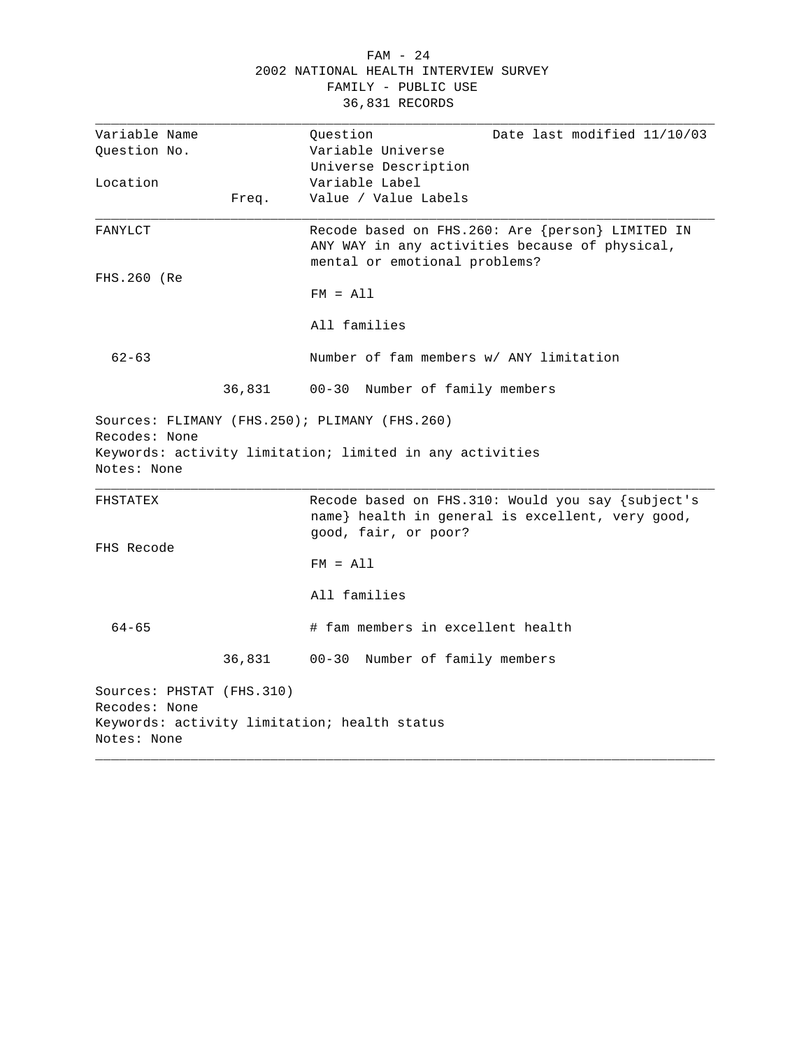|  |                                       | FAM - 24            |  |  |
|--|---------------------------------------|---------------------|--|--|
|  | 2002 NATIONAL HEALTH INTERVIEW SURVEY |                     |  |  |
|  |                                       | FAMILY - PUBLIC USE |  |  |
|  |                                       | 36,831 RECORDS      |  |  |

| Variable Name                |        | Question<br>Date last modified 11/10/03                                                                                             |
|------------------------------|--------|-------------------------------------------------------------------------------------------------------------------------------------|
| Question No.                 |        | Variable Universe                                                                                                                   |
|                              |        | Universe Description                                                                                                                |
| Location                     |        | Variable Label                                                                                                                      |
|                              | Freq.  | Value / Value Labels                                                                                                                |
| FANYLCT                      |        | Recode based on FHS.260: Are {person} LIMITED IN<br>ANY WAY in any activities because of physical,<br>mental or emotional problems? |
| FHS.260 (Re                  |        | $FM = A11$                                                                                                                          |
|                              |        | All families                                                                                                                        |
| $62 - 63$                    |        | Number of fam members w/ ANY limitation                                                                                             |
|                              | 36,831 | 00-30 Number of family members                                                                                                      |
|                              |        |                                                                                                                                     |
| Recodes: None<br>Notes: None |        | Sources: FLIMANY (FHS.250); PLIMANY (FHS.260)<br>Keywords: activity limitation; limited in any activities                           |
| FHSTATEX                     |        | Recode based on FHS.310: Would you say {subject's<br>name} health in general is excellent, very good,                               |
| FHS Recode                   |        | good, fair, or poor?<br>$FM = A11$                                                                                                  |
|                              |        | All families                                                                                                                        |
| $64 - 65$                    |        | # fam members in excellent health                                                                                                   |
|                              | 36,831 | 00-30 Number of family members                                                                                                      |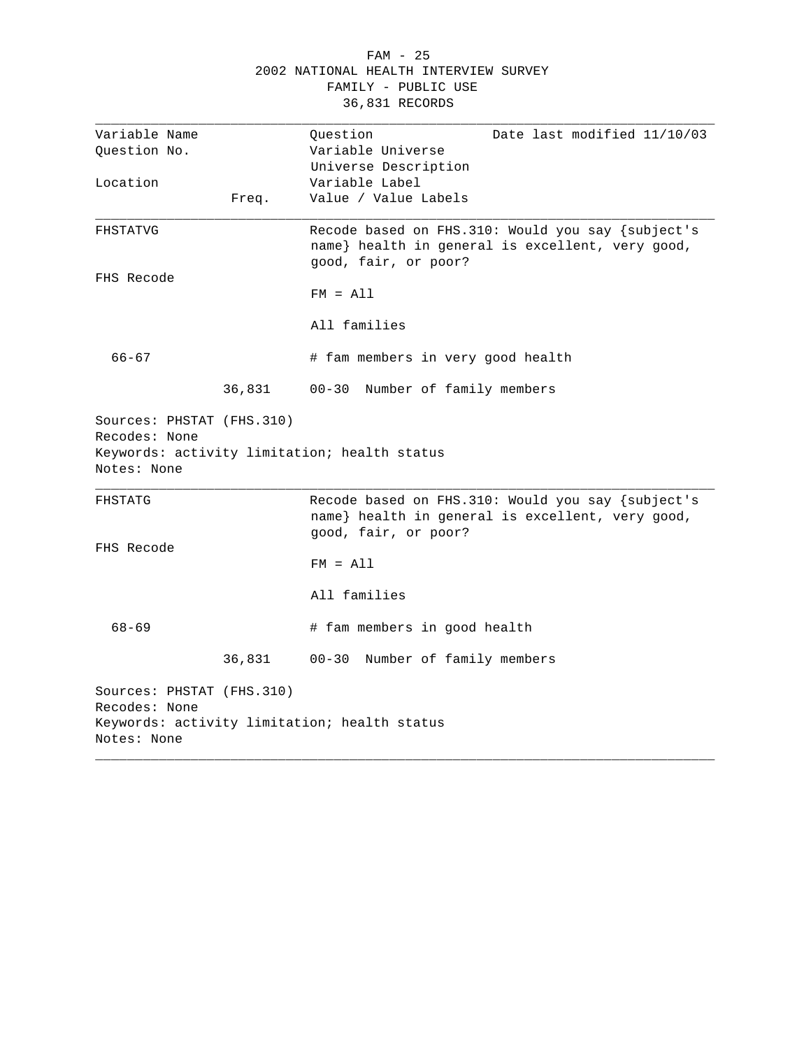|                                            |        | $FAM - 25$                                                                                                                    |
|--------------------------------------------|--------|-------------------------------------------------------------------------------------------------------------------------------|
|                                            |        | 2002 NATIONAL HEALTH INTERVIEW SURVEY                                                                                         |
|                                            |        | FAMILY - PUBLIC USE                                                                                                           |
|                                            |        | 36,831 RECORDS                                                                                                                |
| Variable Name                              |        | Ouestion<br>Date last modified 11/10/03                                                                                       |
| Question No.                               |        | Variable Universe                                                                                                             |
|                                            |        | Universe Description                                                                                                          |
| Location                                   |        | Variable Label                                                                                                                |
|                                            | Freq.  | Value / Value Labels                                                                                                          |
| FHSTATVG                                   |        | Recode based on FHS.310: Would you say {subject's<br>name} health in general is excellent, very good,<br>good, fair, or poor? |
| FHS Recode                                 |        |                                                                                                                               |
|                                            |        | $FM = A11$                                                                                                                    |
|                                            |        | All families                                                                                                                  |
| $66 - 67$                                  |        | # fam members in very good health                                                                                             |
|                                            | 36,831 | 00-30 Number of family members                                                                                                |
| Sources: PHSTAT (FHS.310)<br>Recodes: None |        |                                                                                                                               |
|                                            |        | Keywords: activity limitation; health status                                                                                  |
| Notes: None                                |        |                                                                                                                               |

FHSTATG Recode based on FHS.310: Would you say {subject's name} health in general is excellent, very good, good, fair, or poor? FHS Recode FM = All All families 68-69 # fam members in good health 36,831 00-30 Number of family members Sources: PHSTAT (FHS.310) Recodes: None Keywords: activity limitation; health status Notes: None \_\_\_\_\_\_\_\_\_\_\_\_\_\_\_\_\_\_\_\_\_\_\_\_\_\_\_\_\_\_\_\_\_\_\_\_\_\_\_\_\_\_\_\_\_\_\_\_\_\_\_\_\_\_\_\_\_\_\_\_\_\_\_\_\_\_\_\_\_\_\_\_\_\_\_\_\_\_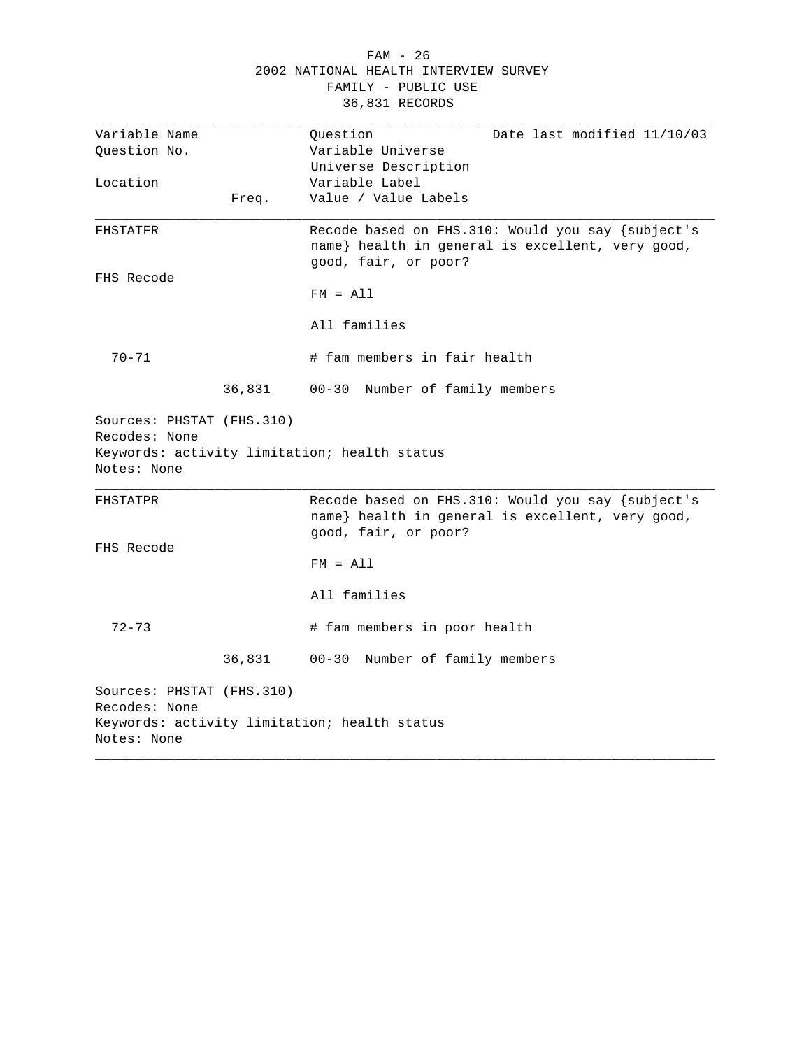|                           |        | $FAM - 26$                                         |
|---------------------------|--------|----------------------------------------------------|
|                           |        | 2002 NATIONAL HEALTH INTERVIEW SURVEY              |
|                           |        | FAMILY - PUBLIC USE                                |
|                           |        | 36,831 RECORDS                                     |
|                           |        |                                                    |
| Variable Name             |        | Question<br>Date last modified 11/10/03            |
| Question No.              |        | Variable Universe                                  |
|                           |        | Universe Description                               |
| Location                  |        | Variable Label                                     |
|                           | Freq.  | Value / Value Labels                               |
| FHSTATFR                  |        | Recode based on FHS. 310: Would you say {subject's |
|                           |        | name} health in general is excellent, very good,   |
|                           |        | good, fair, or poor?                               |
| FHS Recode                |        |                                                    |
|                           |        | $FM = A11$                                         |
|                           |        | All families                                       |
| $70 - 71$                 |        | # fam members in fair health                       |
|                           | 36,831 | $00 - 30$<br>Number of family members              |
|                           |        |                                                    |
| Sources: PHSTAT (FHS.310) |        |                                                    |
| Recodes: None             |        |                                                    |
|                           |        | Keywords: activity limitation; health status       |
| Notes: None               |        |                                                    |
| FHSTATPR                  |        | Recode based on FHS.310: Would you say {subject's  |
|                           |        | name} health in general is excellent, very good,   |
|                           |        | good, fair, or poor?                               |
| FHS Recode                |        |                                                    |
|                           |        | $FM = A11$                                         |
|                           |        |                                                    |
|                           |        | All families                                       |
|                           |        |                                                    |
| $72 - 73$                 |        | # fam members in poor health                       |
|                           |        |                                                    |
|                           | 36,831 | Number of family members<br>$00 - 30$              |
| Sources: PHSTAT (FHS.310) |        |                                                    |
| Recodes: None             |        |                                                    |

Rec Keywords: activity limitation; health status Notes: None \_\_\_\_\_\_\_\_\_\_\_\_\_\_\_\_\_\_\_\_\_\_\_\_\_\_\_\_\_\_\_\_\_\_\_\_\_\_\_\_\_\_\_\_\_\_\_\_\_\_\_\_\_\_\_\_\_\_\_\_\_\_\_\_\_\_\_\_\_\_\_\_\_\_\_\_\_\_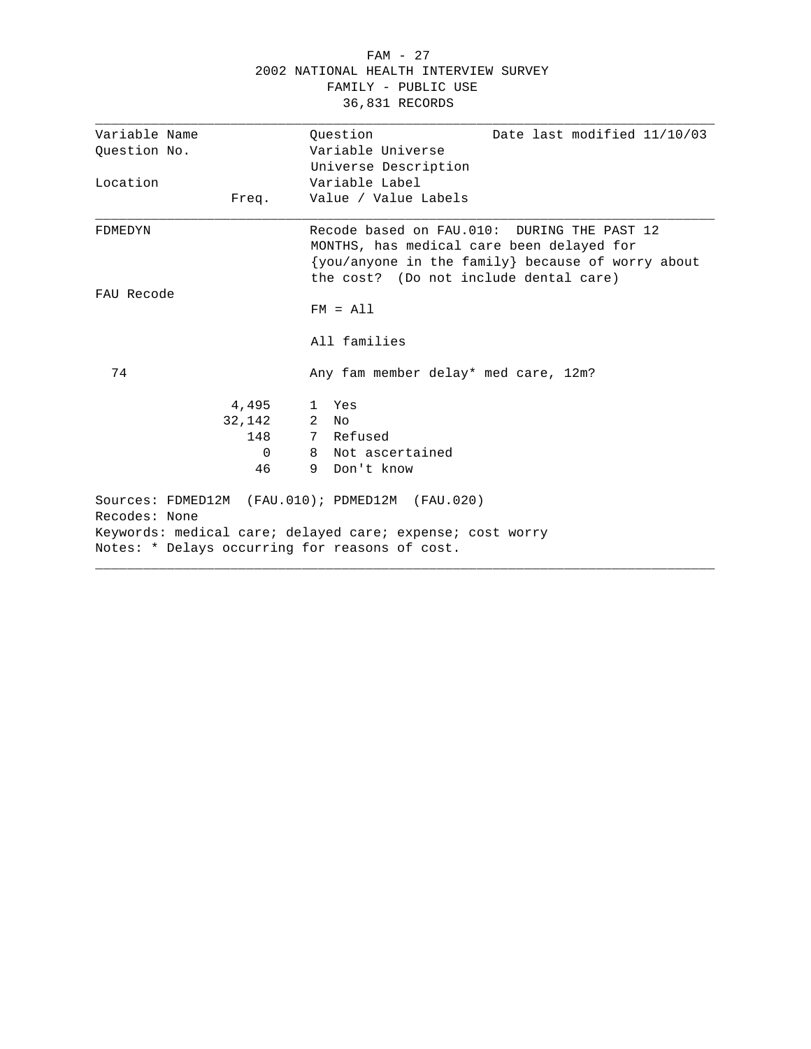| Variable Name<br>Question No.<br>Location<br>Freq.<br>FDMEDYN    | 2002 NATIONAL HEALTH INTERVIEW SURVEY<br>FAMILY - PUBLIC USE<br>36,831 RECORDS                                                                                                          |  |  |  |
|------------------------------------------------------------------|-----------------------------------------------------------------------------------------------------------------------------------------------------------------------------------------|--|--|--|
|                                                                  | Date last modified 11/10/03<br>Ouestion                                                                                                                                                 |  |  |  |
|                                                                  | Variable Universe                                                                                                                                                                       |  |  |  |
|                                                                  | Universe Description                                                                                                                                                                    |  |  |  |
|                                                                  | Variable Label                                                                                                                                                                          |  |  |  |
|                                                                  | Value / Value Labels                                                                                                                                                                    |  |  |  |
|                                                                  | Recode based on FAU.010: DURING THE PAST 12<br>MONTHS, has medical care been delayed for<br>{you/anyone in the family} because of worry about<br>the cost? (Do not include dental care) |  |  |  |
| FAU Recode                                                       |                                                                                                                                                                                         |  |  |  |
|                                                                  | $FM = A11$                                                                                                                                                                              |  |  |  |
|                                                                  | All families                                                                                                                                                                            |  |  |  |
| 74                                                               | Any fam member delay* med care, 12m?                                                                                                                                                    |  |  |  |
| 4,495                                                            | 1 Yes                                                                                                                                                                                   |  |  |  |
| 32,142                                                           | 2<br>N∩                                                                                                                                                                                 |  |  |  |
| 148                                                              | 7 Refused                                                                                                                                                                               |  |  |  |
| $\Omega$                                                         | 8 Not ascertained                                                                                                                                                                       |  |  |  |
| 46                                                               | Don't know<br>9.                                                                                                                                                                        |  |  |  |
| Sources: FDMED12M (FAU.010); PDMED12M (FAU.020)<br>Recodes: None |                                                                                                                                                                                         |  |  |  |
|                                                                  | Keywords: medical care; delayed care; expense; cost worry                                                                                                                               |  |  |  |
| Notes: * Delays occurring for reasons of cost.                   |                                                                                                                                                                                         |  |  |  |

FAM - 27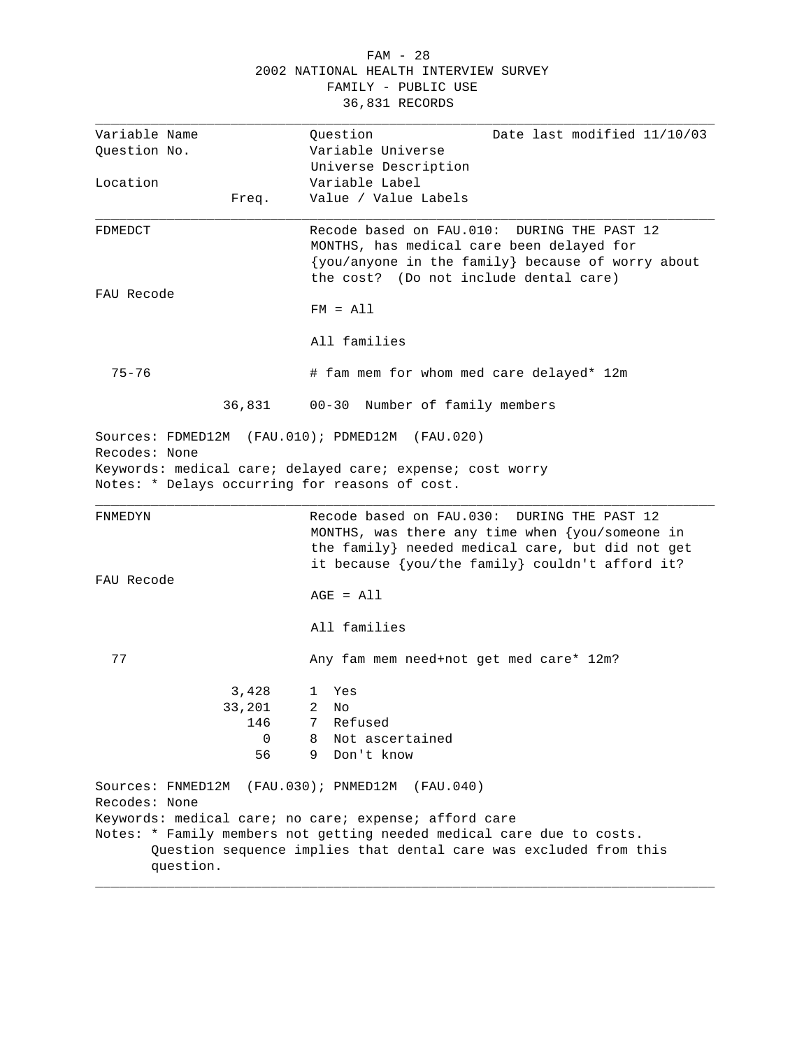### FAM - 28 2002 NATIONAL HEALTH INTERVIEW SURVEY FAMILY - PUBLIC USE 36,831 RECORDS

| Variable Name |                   | Question<br>Date last modified 11/10/03                                                                                                    |
|---------------|-------------------|--------------------------------------------------------------------------------------------------------------------------------------------|
| Question No.  |                   | Variable Universe                                                                                                                          |
|               |                   | Universe Description                                                                                                                       |
| Location      |                   | Variable Label                                                                                                                             |
|               | Freq.             | Value / Value Labels                                                                                                                       |
|               |                   |                                                                                                                                            |
| FDMEDCT       |                   | Recode based on FAU.010:<br>DURING THE PAST 12                                                                                             |
|               |                   | MONTHS, has medical care been delayed for                                                                                                  |
|               |                   | {you/anyone in the family} because of worry about                                                                                          |
|               |                   | the cost? (Do not include dental care)                                                                                                     |
| FAU Recode    |                   |                                                                                                                                            |
|               |                   | $FM = A11$                                                                                                                                 |
|               |                   | All families                                                                                                                               |
|               |                   |                                                                                                                                            |
| $75 - 76$     |                   | # fam mem for whom med care delayed* 12m                                                                                                   |
|               |                   |                                                                                                                                            |
|               | 36,831            | 00-30 Number of family members                                                                                                             |
|               | Sources: FDMED12M | (FAU.010); PDMED12M (FAU.020)                                                                                                              |
| Recodes: None |                   |                                                                                                                                            |
|               |                   |                                                                                                                                            |
|               |                   |                                                                                                                                            |
|               |                   | Keywords: medical care; delayed care; expense; cost worry<br>Notes: * Delays occurring for reasons of cost.                                |
|               |                   |                                                                                                                                            |
| FNMEDYN       |                   | Recode based on FAU.030:<br>DURING THE PAST 12                                                                                             |
|               |                   | MONTHS, was there any time when $\{you/s$ omeone in                                                                                        |
|               |                   | the family} needed medical care, but did not get                                                                                           |
|               |                   | it because {you/the family} couldn't afford it?                                                                                            |
| FAU Recode    |                   |                                                                                                                                            |
|               |                   | $AGE = All$                                                                                                                                |
|               |                   |                                                                                                                                            |
|               |                   | All families                                                                                                                               |
| 77            |                   | Any fam mem need+not get med care* 12m?                                                                                                    |
|               |                   |                                                                                                                                            |
|               | 3,428             | Yes<br>1                                                                                                                                   |
|               | 33,201            | $\overline{2}$<br>N∩                                                                                                                       |
|               | 146               | 7 Refused                                                                                                                                  |
|               | $\Omega$          | Not ascertained<br>8                                                                                                                       |
|               | 56                | 9<br>Don't know                                                                                                                            |
|               |                   |                                                                                                                                            |
|               | Sources: FNMED12M | (FAU.030); PNMED12M<br>(FAU.040)                                                                                                           |
| Recodes: None |                   |                                                                                                                                            |
|               |                   | Keywords: medical care; no care; expense; afford care                                                                                      |
|               |                   | Notes: * Family members not getting needed medical care due to costs.<br>Question sequence implies that dental care was excluded from this |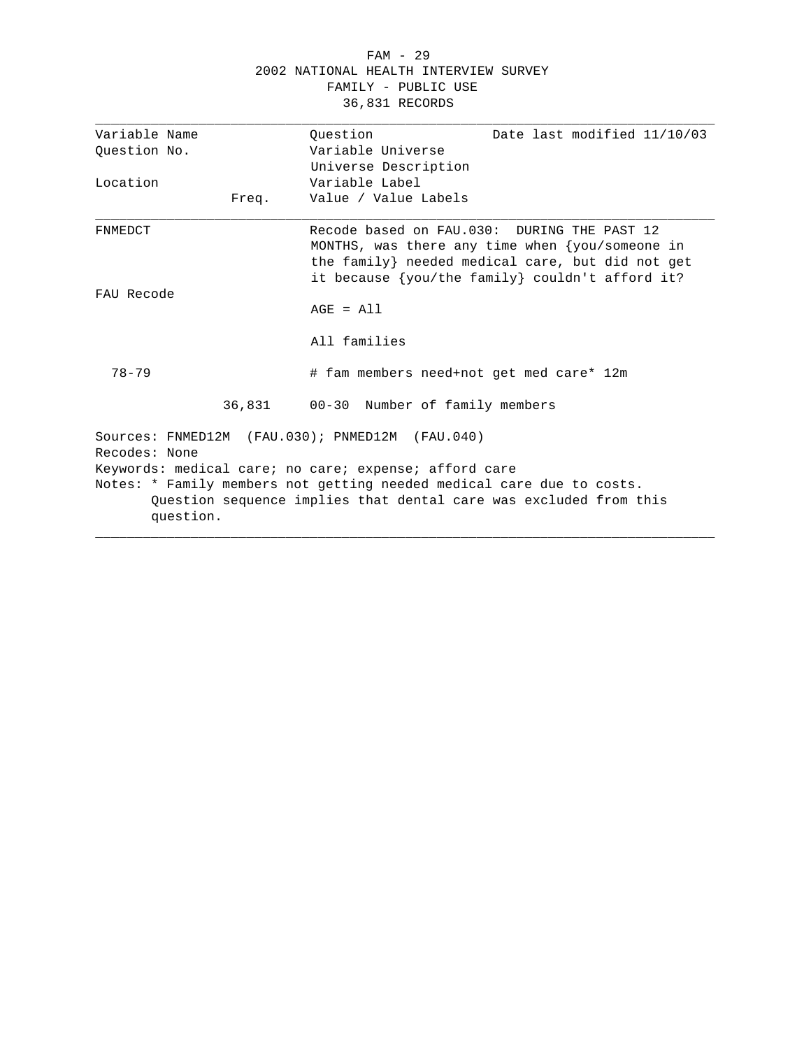#### FAM - 29 2002 NATIONAL HEALTH INTERVIEW SURVEY FAMILY - PUBLIC USE 36,831 RECORDS

| Variable Name |           | Date last modified 11/10/03<br>Ouestion                                                                                                                                                             |
|---------------|-----------|-----------------------------------------------------------------------------------------------------------------------------------------------------------------------------------------------------|
| Question No.  |           | Variable Universe                                                                                                                                                                                   |
|               |           | Universe Description                                                                                                                                                                                |
| Location      |           | Variable Label                                                                                                                                                                                      |
|               | Freq.     | Value / Value Labels                                                                                                                                                                                |
| FNMEDCT       |           | Recode based on FAU.030: DURING THE PAST 12<br>MONTHS, was there any time when $\{you/some\$<br>the family} needed medical care, but did not get<br>it because {you/the family} couldn't afford it? |
| FAU Recode    |           |                                                                                                                                                                                                     |
|               |           | $AGE = A11$                                                                                                                                                                                         |
|               |           | All families                                                                                                                                                                                        |
| $78 - 79$     |           | # fam members need+not get med care* 12m                                                                                                                                                            |
|               |           | 36,831 00-30 Number of family members                                                                                                                                                               |
| Recodes: None |           | Sources: FNMED12M (FAU.030); PNMED12M (FAU.040)                                                                                                                                                     |
|               |           | Keywords: medical care; no care; expense; afford care                                                                                                                                               |
|               | question. | Notes: * Family members not getting needed medical care due to costs.<br>Question sequence implies that dental care was excluded from this                                                          |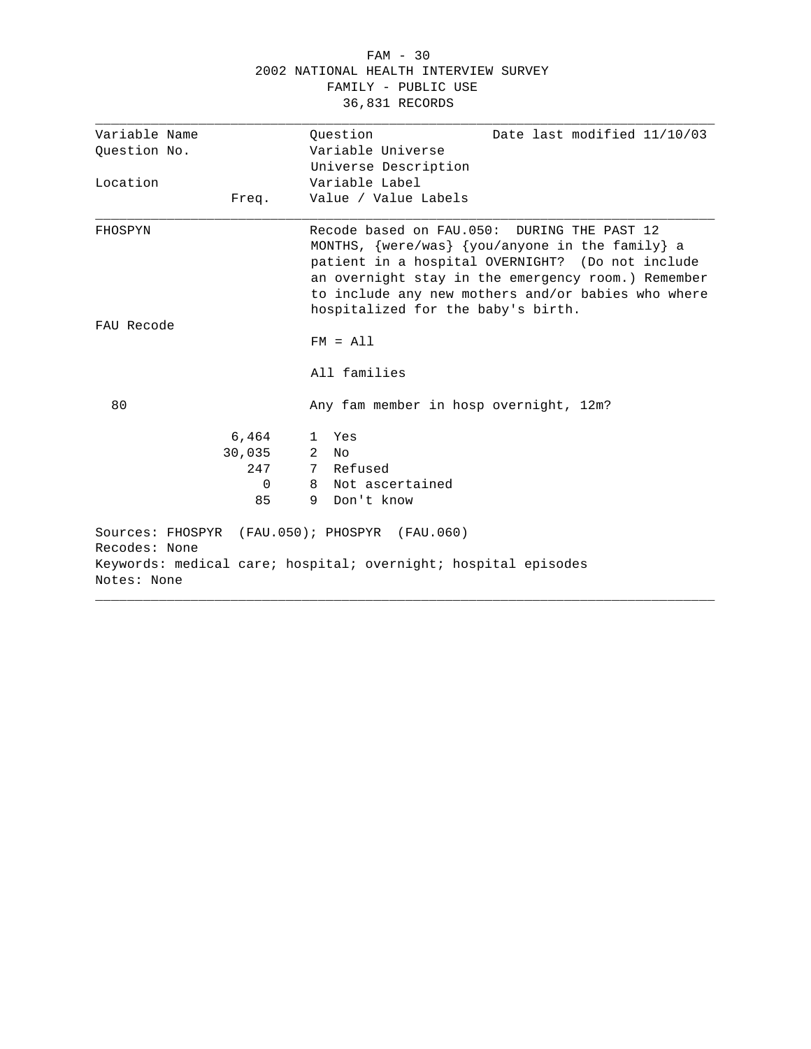#### FAM - 30 2002 NATIONAL HEALTH INTERVIEW SURVEY FAMILY - PUBLIC USE 36,831 RECORDS

| Variable Name                                                  | Ouestion<br>Date last modified 11/10/03                                                                                                                                                                                                                                                                      |  |
|----------------------------------------------------------------|--------------------------------------------------------------------------------------------------------------------------------------------------------------------------------------------------------------------------------------------------------------------------------------------------------------|--|
| Ouestion No.                                                   | Variable Universe                                                                                                                                                                                                                                                                                            |  |
|                                                                | Universe Description                                                                                                                                                                                                                                                                                         |  |
| Location                                                       | Variable Label                                                                                                                                                                                                                                                                                               |  |
| Freq.                                                          | Value / Value Labels                                                                                                                                                                                                                                                                                         |  |
| FHOSPYN                                                        | Recode based on FAU.050: DURING THE PAST 12<br>MONTHS, $\{were/was\}$ $\{you/anyone in the family\}$ a<br>patient in a hospital OVERNIGHT? (Do not include<br>an overnight stay in the emergency room.) Remember<br>to include any new mothers and/or babies who where<br>hospitalized for the baby's birth. |  |
| FAU Recode                                                     |                                                                                                                                                                                                                                                                                                              |  |
|                                                                | $FM = A11$                                                                                                                                                                                                                                                                                                   |  |
|                                                                | All families                                                                                                                                                                                                                                                                                                 |  |
| 80                                                             | Any fam member in hosp overnight, 12m?                                                                                                                                                                                                                                                                       |  |
| 6,464                                                          | 1 Yes                                                                                                                                                                                                                                                                                                        |  |
| 30,035                                                         | 2<br>No                                                                                                                                                                                                                                                                                                      |  |
| 247                                                            | 7 Refused                                                                                                                                                                                                                                                                                                    |  |
| $\Omega$                                                       | 8 Not ascertained                                                                                                                                                                                                                                                                                            |  |
| 85                                                             | 9 Don't know                                                                                                                                                                                                                                                                                                 |  |
| Sources: FHOSPYR (FAU.050); PHOSPYR (FAU.060)<br>Recodes: None |                                                                                                                                                                                                                                                                                                              |  |
| Notes: None                                                    | Keywords: medical care; hospital; overnight; hospital episodes                                                                                                                                                                                                                                               |  |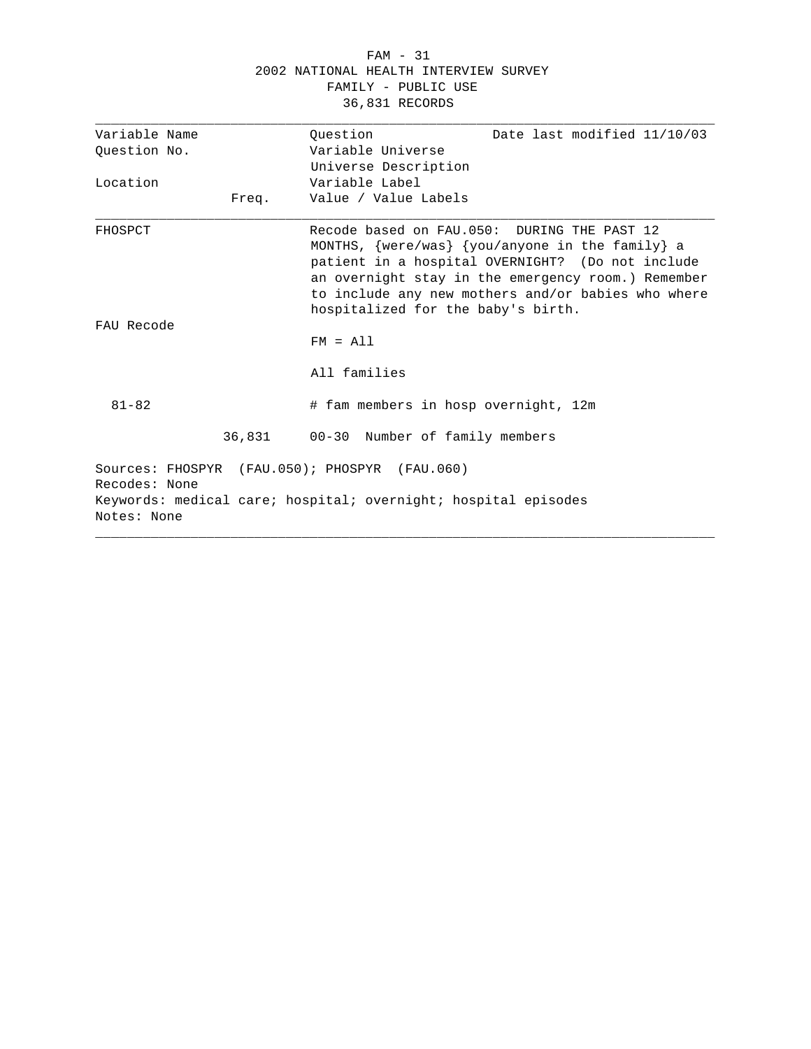#### FAM - 31 2002 NATIONAL HEALTH INTERVIEW SURVEY FAMILY - PUBLIC USE 36,831 RECORDS

| Variable Name                                 | Date last modified 11/10/03<br>Ouestion                                                                                                                                                                                                                                                                      |
|-----------------------------------------------|--------------------------------------------------------------------------------------------------------------------------------------------------------------------------------------------------------------------------------------------------------------------------------------------------------------|
| Question No.                                  | Variable Universe                                                                                                                                                                                                                                                                                            |
|                                               | Universe Description                                                                                                                                                                                                                                                                                         |
| Location                                      | Variable Label                                                                                                                                                                                                                                                                                               |
| Freq.                                         | Value / Value Labels                                                                                                                                                                                                                                                                                         |
| FHOSPCT                                       | Recode based on FAU.050: DURING THE PAST 12<br>MONTHS, $\{were/was\}$ $\{you/anyone in the family\}$ a<br>patient in a hospital OVERNIGHT? (Do not include<br>an overnight stay in the emergency room.) Remember<br>to include any new mothers and/or babies who where<br>hospitalized for the baby's birth. |
| FAU Recode                                    | $FM = A11$                                                                                                                                                                                                                                                                                                   |
|                                               | All families                                                                                                                                                                                                                                                                                                 |
| $81 - 82$                                     | # fam members in hosp overnight, 12m                                                                                                                                                                                                                                                                         |
|                                               | 36,831 00-30 Number of family members                                                                                                                                                                                                                                                                        |
| Sources: FHOSPYR (FAU.050); PHOSPYR (FAU.060) |                                                                                                                                                                                                                                                                                                              |
| Recodes: None                                 |                                                                                                                                                                                                                                                                                                              |
| Notes: None                                   | Keywords: medical care; hospital; overnight; hospital episodes                                                                                                                                                                                                                                               |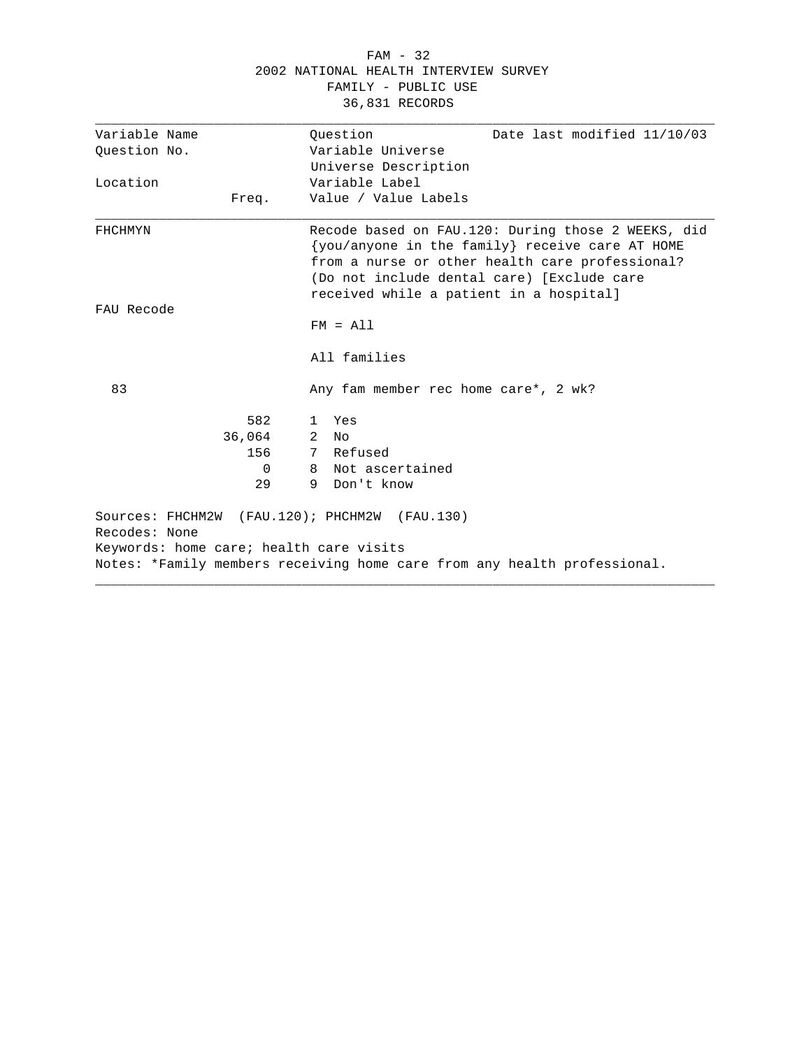|                                         |        | 2002 NATIONAL HEALTH INTERVIEW SURVEY<br>FAMILY - PUBLIC USE<br>36,831 RECORDS                                                                                                                                                                    |
|-----------------------------------------|--------|---------------------------------------------------------------------------------------------------------------------------------------------------------------------------------------------------------------------------------------------------|
| Variable Name                           |        | Date last modified 11/10/03<br>Ouestion<br>Variable Universe                                                                                                                                                                                      |
| Question No.                            |        | Universe Description                                                                                                                                                                                                                              |
| Location                                |        | Variable Label                                                                                                                                                                                                                                    |
|                                         | Freq.  | Value / Value Labels                                                                                                                                                                                                                              |
| FHCHMYN<br>FAU Recode                   |        | Recode based on FAU.120: During those 2 WEEKS, did<br>{you/anyone in the family} receive care AT HOME<br>from a nurse or other health care professional?<br>(Do not include dental care) [Exclude care<br>received while a patient in a hospital] |
|                                         |        | $FM = A11$                                                                                                                                                                                                                                        |
|                                         |        | All families                                                                                                                                                                                                                                      |
| 83                                      |        | Any fam member rec home care*, 2 wk?                                                                                                                                                                                                              |
|                                         | 582    | 1 Yes                                                                                                                                                                                                                                             |
|                                         | 36,064 | 2<br>Nο                                                                                                                                                                                                                                           |
|                                         | 156    | 7 Refused                                                                                                                                                                                                                                         |
|                                         | 0      | Not ascertained<br>8                                                                                                                                                                                                                              |
|                                         | 29     | Don't know<br>9                                                                                                                                                                                                                                   |
| Recodes: None                           |        | Sources: FHCHM2W (FAU.120); PHCHM2W (FAU.130)                                                                                                                                                                                                     |
| Keywords: home care; health care visits |        |                                                                                                                                                                                                                                                   |
|                                         |        | Notes: *Family members receiving home care from any health professional.                                                                                                                                                                          |
|                                         |        |                                                                                                                                                                                                                                                   |

FAM - 32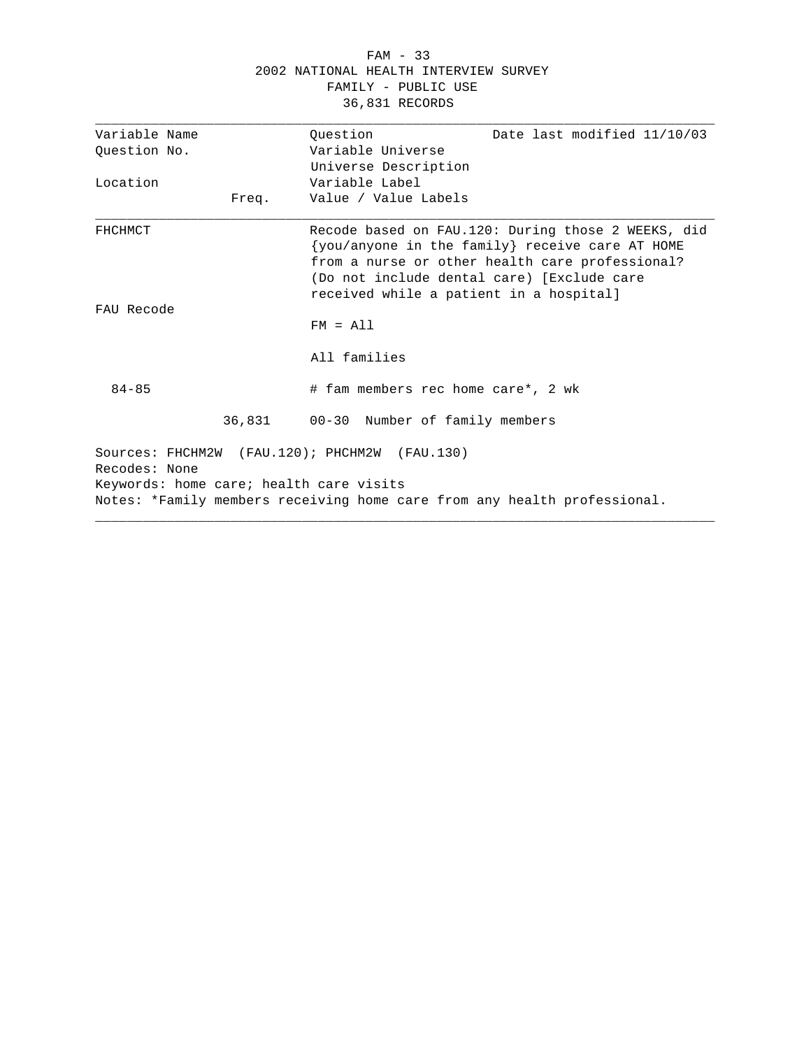### FAM - 33 2002 NATIONAL HEALTH INTERVIEW SURVEY FAMILY - PUBLIC USE 36,831 RECORDS

| Variable Name                           |       | Question                                      | Date last modified 11/10/03                                                                                                                                                                            |  |
|-----------------------------------------|-------|-----------------------------------------------|--------------------------------------------------------------------------------------------------------------------------------------------------------------------------------------------------------|--|
| Ouestion No.                            |       | Variable Universe                             |                                                                                                                                                                                                        |  |
|                                         |       | Universe Description                          |                                                                                                                                                                                                        |  |
| Location                                |       | Variable Label                                |                                                                                                                                                                                                        |  |
|                                         | Freq. | Value / Value Labels                          |                                                                                                                                                                                                        |  |
| FHCHMCT                                 |       | received while a patient in a hospital]       | Recode based on FAU.120: During those 2 WEEKS, did<br>{you/anyone in the family} receive care AT HOME<br>from a nurse or other health care professional?<br>(Do not include dental care) [Exclude care |  |
| FAU Recode                              |       |                                               |                                                                                                                                                                                                        |  |
|                                         |       | $FM = A11$                                    |                                                                                                                                                                                                        |  |
|                                         |       | All families                                  |                                                                                                                                                                                                        |  |
| $84 - 85$                               |       | # fam members rec home care*, 2 wk            |                                                                                                                                                                                                        |  |
|                                         |       | 36,831 00-30 Number of family members         |                                                                                                                                                                                                        |  |
| Recodes: None                           |       | Sources: FHCHM2W (FAU.120); PHCHM2W (FAU.130) |                                                                                                                                                                                                        |  |
| Keywords: home care; health care visits |       |                                               |                                                                                                                                                                                                        |  |
|                                         |       |                                               | Notes: *Family members receiving home care from any health professional.                                                                                                                               |  |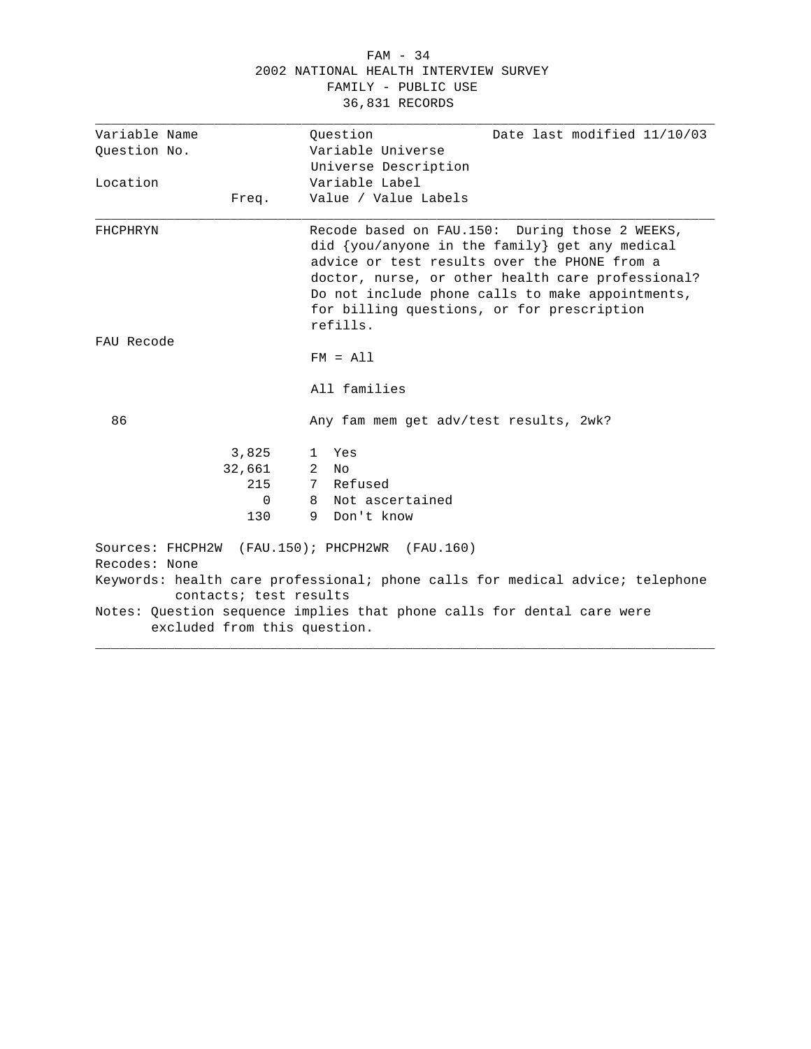#### FAM - 34 2002 NATIONAL HEALTH INTERVIEW SURVEY FAMILY - PUBLIC USE 36,831 RECORDS

| Variable Name                | Date last modified 11/10/03<br>Ouestion                                                                                                                         |
|------------------------------|-----------------------------------------------------------------------------------------------------------------------------------------------------------------|
| Ouestion No.                 | Variable Universe                                                                                                                                               |
|                              | Universe Description                                                                                                                                            |
| Location                     | Variable Label                                                                                                                                                  |
| Freq.                        | Value / Value Labels                                                                                                                                            |
| FHCPHRYN                     | Recode based on FAU.150: During those 2 WEEKS,<br>did {you/anyone in the family} get any medical<br>advice or test results over the PHONE from a                |
|                              | doctor, nurse, or other health care professional?<br>Do not include phone calls to make appointments,<br>for billing questions, or for prescription<br>refills. |
| FAU Recode                   |                                                                                                                                                                 |
|                              | $FM = A11$                                                                                                                                                      |
|                              | All families                                                                                                                                                    |
| 86                           | Any fam mem get adv/test results, 2wk?                                                                                                                          |
| 3,825                        | Yes<br>$\mathbf{1}$                                                                                                                                             |
| 32,661                       | 2<br>No                                                                                                                                                         |
| 215                          | Refused<br>7                                                                                                                                                    |
| $\mathbf 0$                  | Not ascertained<br>8                                                                                                                                            |
| 130                          | Don't know<br>9                                                                                                                                                 |
| Recodes: None                | Sources: FHCPH2W (FAU.150); PHCPH2WR (FAU.160)                                                                                                                  |
| contacts; test results       | Keywords: health care professional; phone calls for medical advice; telephone                                                                                   |
| excluded from this question. | Notes: Question sequence implies that phone calls for dental care were                                                                                          |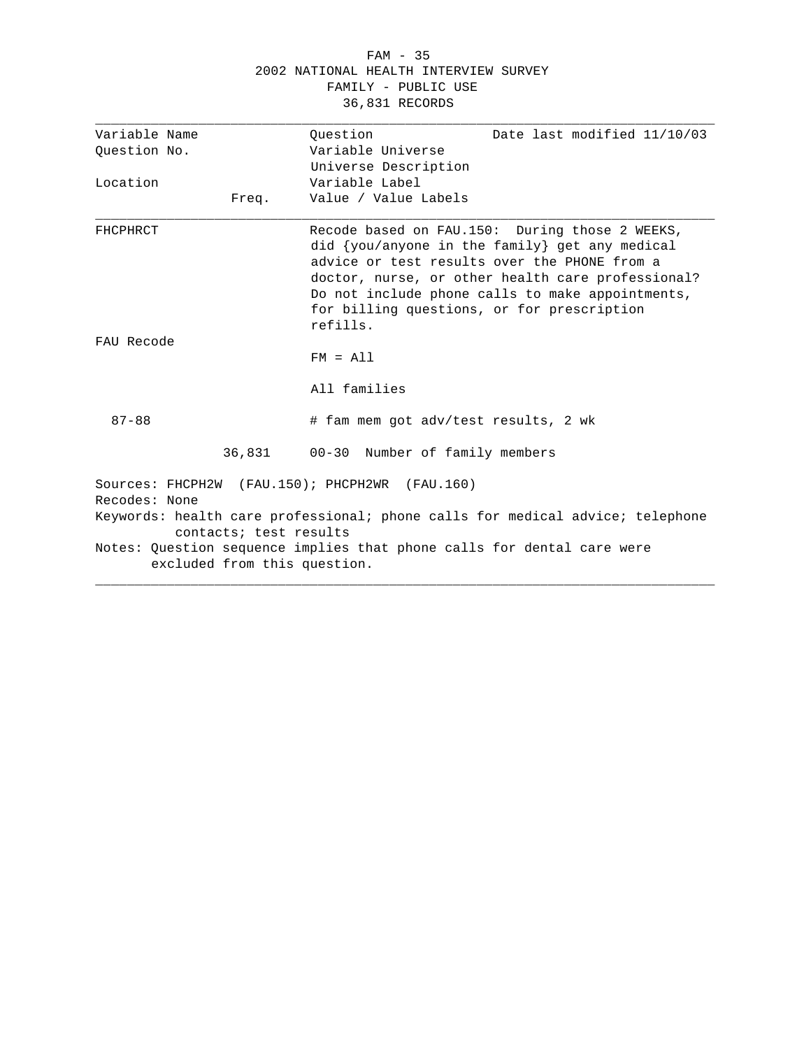#### FAM - 35 2002 NATIONAL HEALTH INTERVIEW SURVEY FAMILY - PUBLIC USE 36,831 RECORDS

| Variable Name |                              | Ouestion                                                               | Date last modified 11/10/03                                                                                                                                                                                                                                                                             |
|---------------|------------------------------|------------------------------------------------------------------------|---------------------------------------------------------------------------------------------------------------------------------------------------------------------------------------------------------------------------------------------------------------------------------------------------------|
| Question No.  |                              | Variable Universe                                                      |                                                                                                                                                                                                                                                                                                         |
|               |                              | Universe Description                                                   |                                                                                                                                                                                                                                                                                                         |
| Location      |                              | Variable Label                                                         |                                                                                                                                                                                                                                                                                                         |
|               | Freq.                        | Value / Value Labels                                                   |                                                                                                                                                                                                                                                                                                         |
| FHCPHRCT      |                              | refills.                                                               | Recode based on FAU.150: During those 2 WEEKS,<br>did {you/anyone in the family} get any medical<br>advice or test results over the PHONE from a<br>doctor, nurse, or other health care professional?<br>Do not include phone calls to make appointments,<br>for billing questions, or for prescription |
| FAU Recode    |                              |                                                                        |                                                                                                                                                                                                                                                                                                         |
|               |                              | $FM = A11$                                                             |                                                                                                                                                                                                                                                                                                         |
|               |                              | All families                                                           |                                                                                                                                                                                                                                                                                                         |
| $87 - 88$     |                              | # fam mem got adv/test results, 2 wk                                   |                                                                                                                                                                                                                                                                                                         |
|               | 36,831                       | 00-30 Number of family members                                         |                                                                                                                                                                                                                                                                                                         |
| Recodes: None |                              | Sources: FHCPH2W (FAU.150); PHCPH2WR (FAU.160)                         |                                                                                                                                                                                                                                                                                                         |
|               | contacts; test results       |                                                                        | Keywords: health care professional; phone calls for medical advice; telephone                                                                                                                                                                                                                           |
|               | excluded from this question. | Notes: Question sequence implies that phone calls for dental care were |                                                                                                                                                                                                                                                                                                         |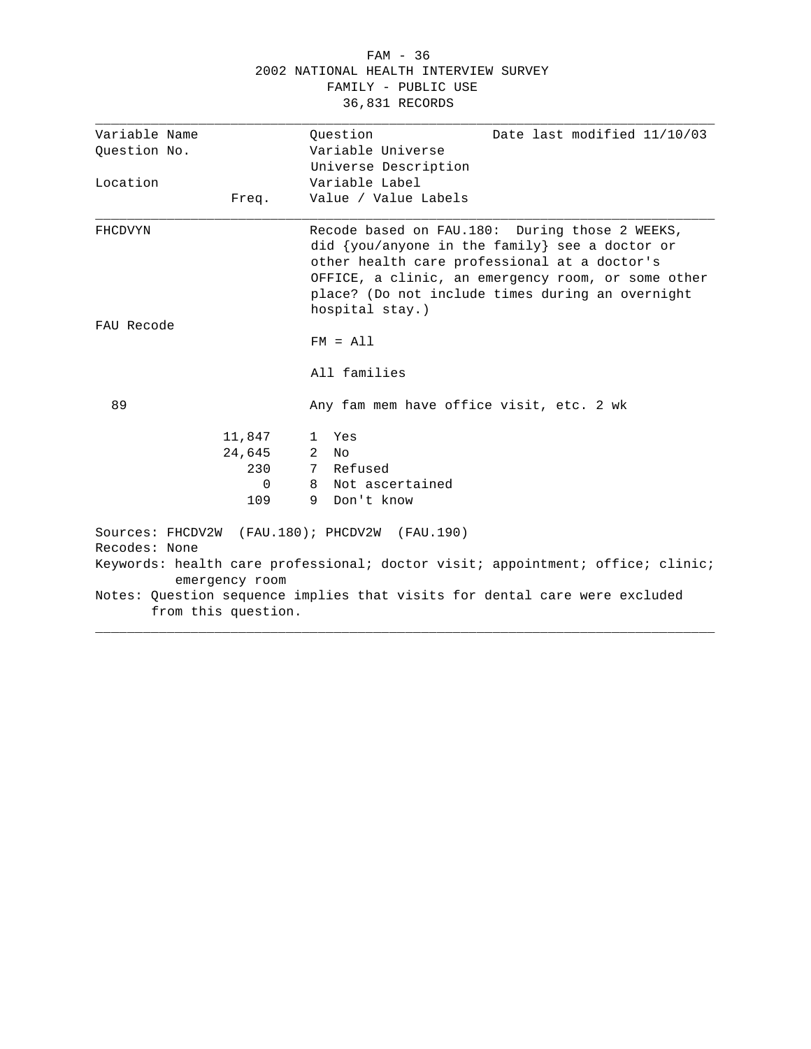#### FAM - 36 2002 NATIONAL HEALTH INTERVIEW SURVEY FAMILY - PUBLIC USE 36,831 RECORDS

| Variable Name |                     | Ouestion<br>Date last modified 11/10/03<br>Variable Universe                                                                                                                                                                                                                      |
|---------------|---------------------|-----------------------------------------------------------------------------------------------------------------------------------------------------------------------------------------------------------------------------------------------------------------------------------|
| Ouestion No.  |                     |                                                                                                                                                                                                                                                                                   |
|               |                     | Universe Description                                                                                                                                                                                                                                                              |
| Location      |                     | Variable Label                                                                                                                                                                                                                                                                    |
|               | Freq.               | Value / Value Labels                                                                                                                                                                                                                                                              |
| FHCDVYN       |                     | Recode based on FAU.180: During those 2 WEEKS,<br>did $\{you/anyone in the family\}$ see a doctor or<br>other health care professional at a doctor's<br>OFFICE, a clinic, an emergency room, or some other<br>place? (Do not include times during an overnight<br>hospital stay.) |
| FAU Recode    |                     |                                                                                                                                                                                                                                                                                   |
|               |                     | $FM = A11$                                                                                                                                                                                                                                                                        |
|               |                     | All families                                                                                                                                                                                                                                                                      |
| 89            |                     | Any fam mem have office visit, etc. 2 wk                                                                                                                                                                                                                                          |
|               | 11,847              | Yes<br>$\mathbf{1}$                                                                                                                                                                                                                                                               |
|               | 24,645              | 2<br>N∩                                                                                                                                                                                                                                                                           |
|               | 230                 | 7 Refused                                                                                                                                                                                                                                                                         |
|               | $\Omega$            | Not ascertained<br>8                                                                                                                                                                                                                                                              |
|               | 109                 | 9<br>Don't know                                                                                                                                                                                                                                                                   |
| Recodes: None |                     | Sources: FHCDV2W (FAU.180); PHCDV2W (FAU.190)                                                                                                                                                                                                                                     |
|               | emergency room      | Keywords: health care professional; doctor visit; appointment; office; clinic;                                                                                                                                                                                                    |
|               | from this question. | Notes: Question sequence implies that visits for dental care were excluded                                                                                                                                                                                                        |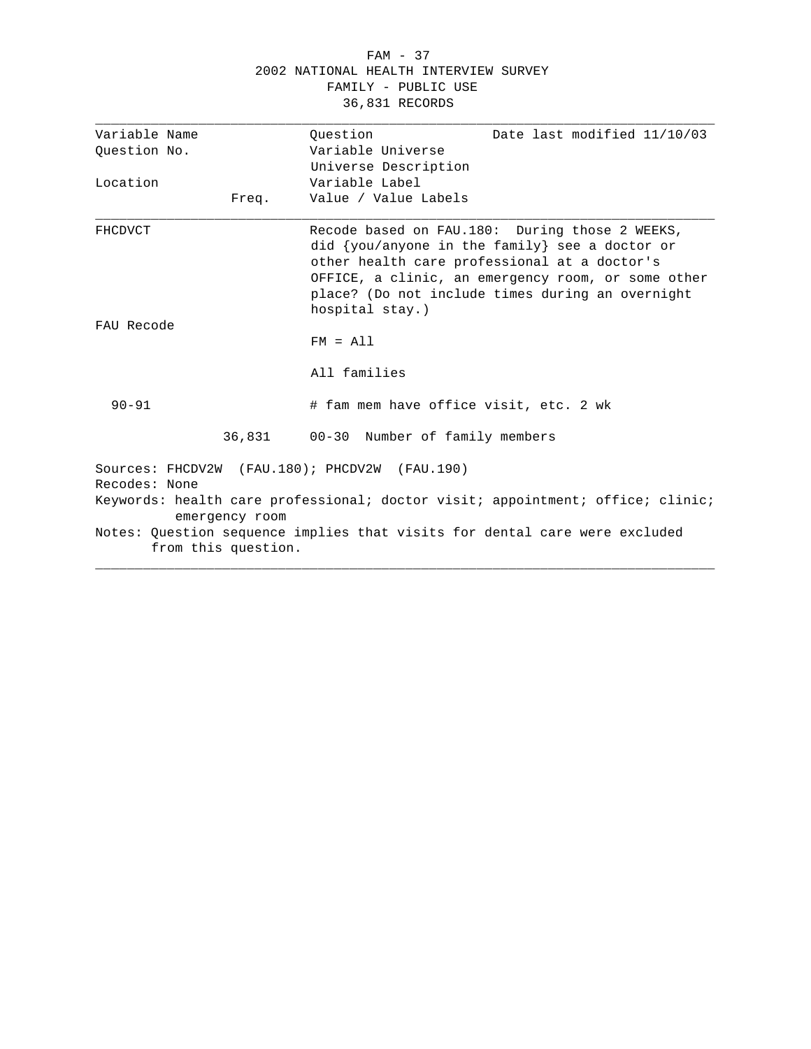#### FAM - 37 2002 NATIONAL HEALTH INTERVIEW SURVEY FAMILY - PUBLIC USE 36,831 RECORDS

| Variable Name  |                     | Ouestion<br>Date last modified 11/10/03                                                                                                                                                                                                                                       |
|----------------|---------------------|-------------------------------------------------------------------------------------------------------------------------------------------------------------------------------------------------------------------------------------------------------------------------------|
| Ouestion No.   |                     | Variable Universe                                                                                                                                                                                                                                                             |
|                |                     | Universe Description                                                                                                                                                                                                                                                          |
| Location       |                     | Variable Label                                                                                                                                                                                                                                                                |
|                | Freq.               | Value / Value Labels                                                                                                                                                                                                                                                          |
| <b>FHCDVCT</b> |                     | Recode based on FAU.180: During those 2 WEEKS,<br>did {you/anyone in the family} see a doctor or<br>other health care professional at a doctor's<br>OFFICE, a clinic, an emergency room, or some other<br>place? (Do not include times during an overnight<br>hospital stay.) |
| FAU Recode     |                     | $FM = A11$                                                                                                                                                                                                                                                                    |
|                |                     | All families                                                                                                                                                                                                                                                                  |
| $90 - 91$      |                     | # fam mem have office visit, etc. 2 wk                                                                                                                                                                                                                                        |
|                |                     | 36,831 00-30 Number of family members                                                                                                                                                                                                                                         |
| Recodes: None  |                     | Sources: FHCDV2W (FAU.180); PHCDV2W (FAU.190)                                                                                                                                                                                                                                 |
|                | emergency room      | Keywords: health care professional; doctor visit; appointment; office; clinic;                                                                                                                                                                                                |
|                | from this question. | Notes: Question sequence implies that visits for dental care were excluded                                                                                                                                                                                                    |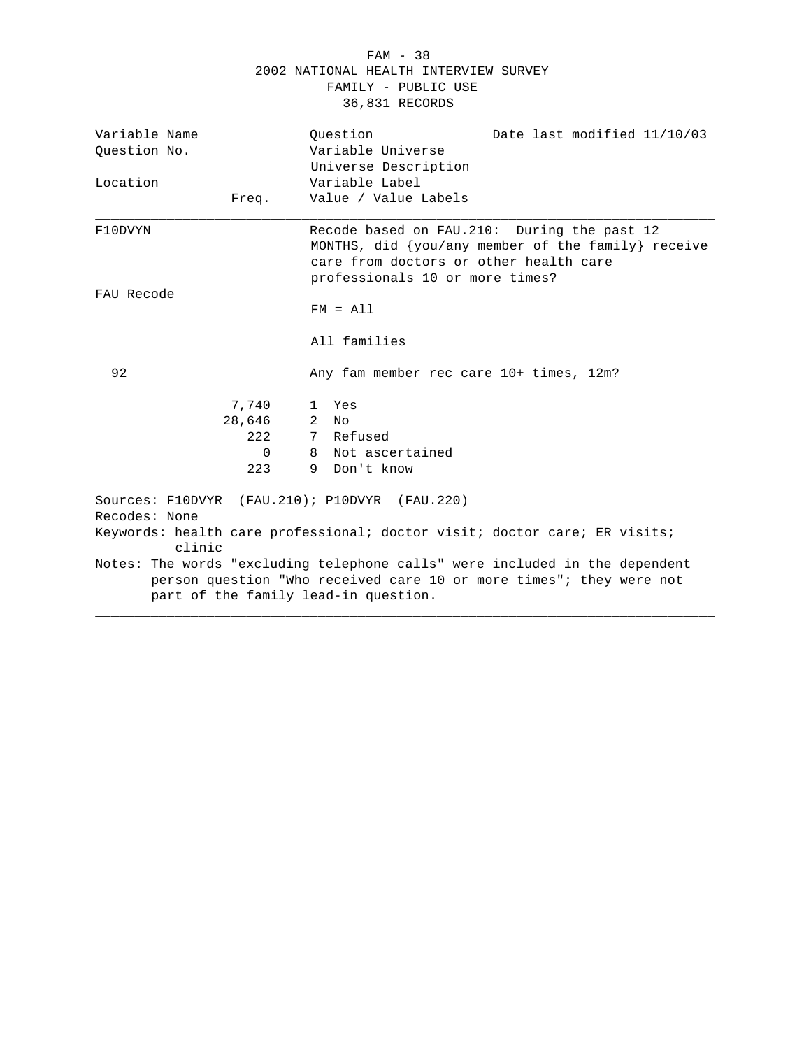|                                                                |                | 2002 NATIONAL HEALTH INTERVIEW SURVEY<br>FAMILY - PUBLIC USE<br>36,831 RECORDS                                                                                                             |
|----------------------------------------------------------------|----------------|--------------------------------------------------------------------------------------------------------------------------------------------------------------------------------------------|
| Variable Name<br>Question No.                                  |                | Ouestion<br>Date last modified 11/10/03<br>Variable Universe                                                                                                                               |
|                                                                |                | Universe Description                                                                                                                                                                       |
| Location                                                       |                | Variable Label                                                                                                                                                                             |
| Freq.                                                          |                | Value / Value Labels                                                                                                                                                                       |
| F10DVYN                                                        |                | Recode based on FAU.210: During the past 12<br>MONTHS, did {you/any member of the family} receive<br>care from doctors or other health care<br>professionals 10 or more times?             |
| FAU Recode                                                     |                |                                                                                                                                                                                            |
|                                                                |                | $FM = A11$                                                                                                                                                                                 |
|                                                                |                | All families                                                                                                                                                                               |
| 92                                                             |                | Any fam member rec care 10+ times, 12m?                                                                                                                                                    |
| 7,740                                                          |                | 1 Yes                                                                                                                                                                                      |
| 28,646                                                         | 2              | No                                                                                                                                                                                         |
|                                                                | 2.2.2          | 7 Refused                                                                                                                                                                                  |
|                                                                | $\Omega$<br>8. | Not ascertained                                                                                                                                                                            |
|                                                                | 223<br>9.      | Don't know                                                                                                                                                                                 |
| Sources: F10DVYR (FAU.210); P10DVYR (FAU.220)<br>Recodes: None |                |                                                                                                                                                                                            |
| clinic                                                         |                | Keywords: health care professional; doctor visit; doctor care; ER visits;                                                                                                                  |
|                                                                |                | Notes: The words "excluding telephone calls" were included in the dependent<br>person question "Who received care 10 or more times"; they were not<br>part of the family lead-in question. |

FAM - 38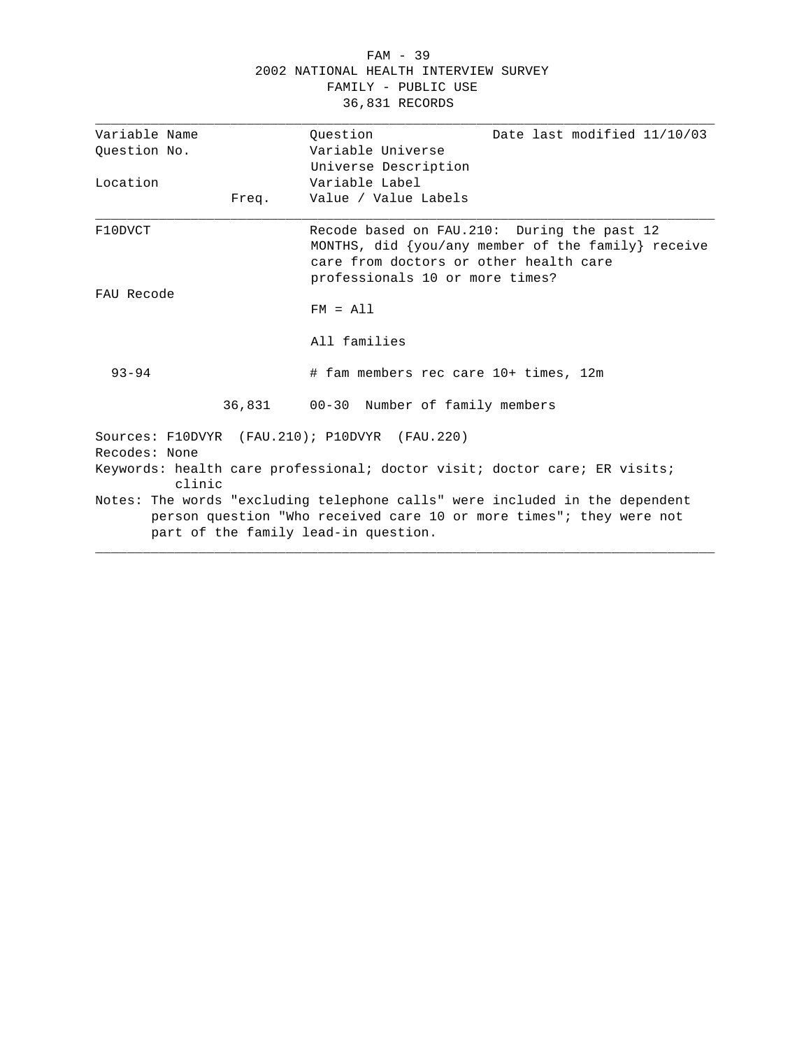#### FAM - 39 2002 NATIONAL HEALTH INTERVIEW SURVEY FAMILY - PUBLIC USE 36,831 RECORDS

| Variable Name |       | Ouestion                                                                                                                                                                                   |
|---------------|-------|--------------------------------------------------------------------------------------------------------------------------------------------------------------------------------------------|
| Ouestion No.  |       | Date last modified 11/10/03<br>Variable Universe                                                                                                                                           |
|               |       |                                                                                                                                                                                            |
|               |       | Universe Description<br>Variable Label                                                                                                                                                     |
| Location      |       |                                                                                                                                                                                            |
|               | Freq. | Value / Value Labels                                                                                                                                                                       |
| F10DVCT       |       | Recode based on FAU.210: During the past 12<br>MONTHS, did $\{you/any$ member of the family receive<br>care from doctors or other health care<br>professionals 10 or more times?           |
| FAU Recode    |       | $FM = A11$                                                                                                                                                                                 |
|               |       | All families                                                                                                                                                                               |
| $93 - 94$     |       | # fam members rec care 10+ times, 12m                                                                                                                                                      |
|               |       | 36,831 00-30 Number of family members                                                                                                                                                      |
| Recodes: None |       | Sources: F10DVYR (FAU.210); P10DVYR (FAU.220)                                                                                                                                              |
| clinic        |       | Keywords: health care professional; doctor visit; doctor care; ER visits;                                                                                                                  |
|               |       | Notes: The words "excluding telephone calls" were included in the dependent<br>person question "Who received care 10 or more times"; they were not<br>part of the family lead-in question. |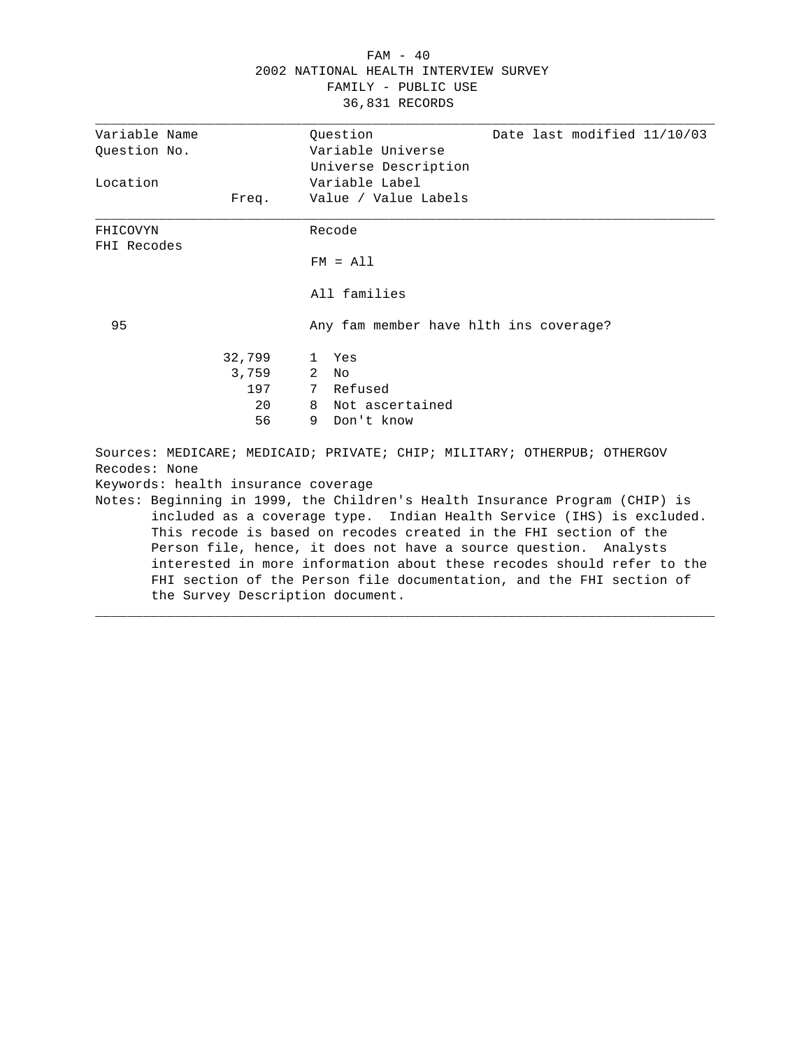# FAM - 40 2002 NATIONAL HEALTH INTERVIEW SURVEY FAMILY - PUBLIC USE 36,831 RECORDS

| Variable Name                       | Ouestion<br>Date last modified 11/10/03                                     |
|-------------------------------------|-----------------------------------------------------------------------------|
| Ouestion No.                        | Variable Universe                                                           |
|                                     | Universe Description                                                        |
| Location                            | Variable Label                                                              |
| Freq.                               | Value / Value Labels                                                        |
|                                     |                                                                             |
| FHICOVYN                            | Recode                                                                      |
| FHI Recodes                         |                                                                             |
|                                     | $FM = A11$                                                                  |
|                                     | All families                                                                |
|                                     |                                                                             |
| 95                                  | Any fam member have hlth ins coverage?                                      |
| 32,799                              | Yes<br>$\mathbb{1}$                                                         |
| 3,759                               | 2<br>N <sub>O</sub>                                                         |
| 197                                 | 7 Refused                                                                   |
| 20                                  | 8 Not ascertained                                                           |
| 56                                  | Don't know<br>9                                                             |
|                                     |                                                                             |
| Recodes: None                       | Sources: MEDICARE; MEDICAID; PRIVATE; CHIP; MILITARY; OTHERPUB; OTHERGOV    |
| Keywords: health insurance coverage |                                                                             |
|                                     | Notes: Beginning in 1999, the Children's Health Insurance Program (CHIP) is |
|                                     | included as a coverage type. Indian Health Service (IHS) is excluded.       |
|                                     | This recode is based on recodes created in the FHI section of the           |
|                                     | Person file, hence, it does not have a source question. Analysts            |
|                                     | interested in more information about these recodes should refer to the      |
|                                     |                                                                             |
|                                     | FHI section of the Person file documentation, and the FHI section of        |
| the Survey Description document.    |                                                                             |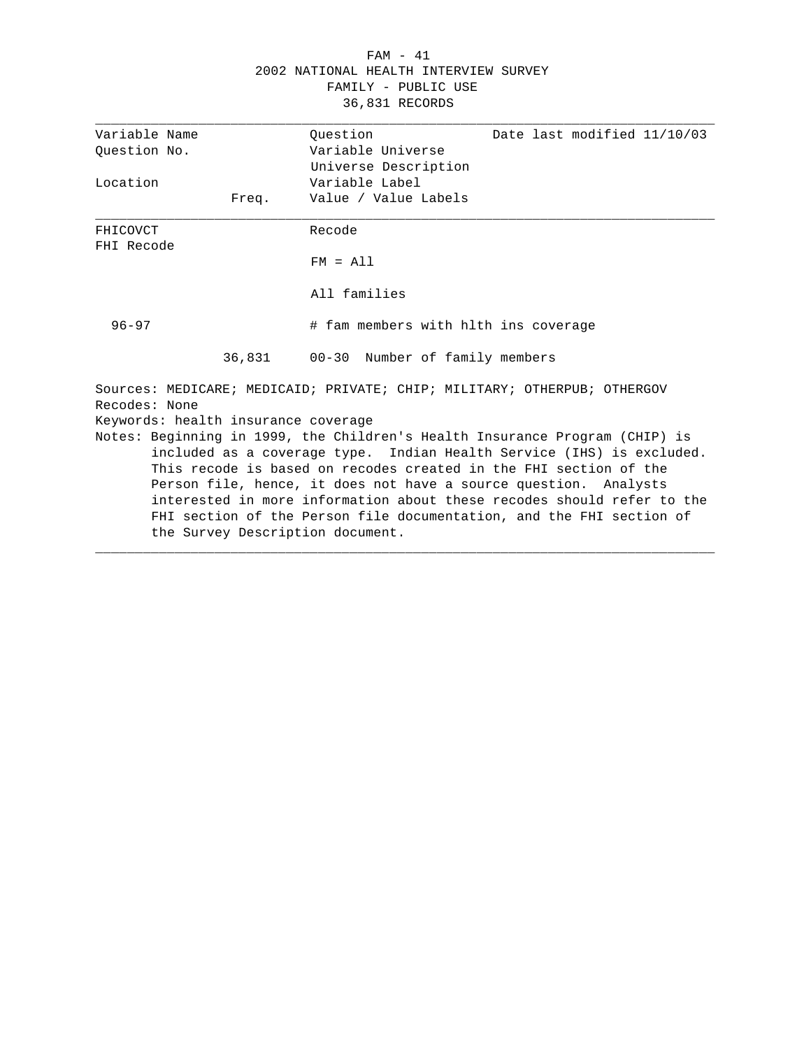# FAM - 41 2002 NATIONAL HEALTH INTERVIEW SURVEY FAMILY - PUBLIC USE 36,831 RECORDS

| Variable Name          |                                     | Ouestion                             | Date last modified 11/10/03                                                                                                                                                                                                                                                                                                                                                                                                                     |
|------------------------|-------------------------------------|--------------------------------------|-------------------------------------------------------------------------------------------------------------------------------------------------------------------------------------------------------------------------------------------------------------------------------------------------------------------------------------------------------------------------------------------------------------------------------------------------|
| Ouestion No.           |                                     | Variable Universe                    |                                                                                                                                                                                                                                                                                                                                                                                                                                                 |
|                        |                                     | Universe Description                 |                                                                                                                                                                                                                                                                                                                                                                                                                                                 |
| Location               |                                     | Variable Label                       |                                                                                                                                                                                                                                                                                                                                                                                                                                                 |
|                        | Freq.                               | Value / Value Labels                 |                                                                                                                                                                                                                                                                                                                                                                                                                                                 |
| FHICOVCT<br>FHI Recode |                                     | Recode                               |                                                                                                                                                                                                                                                                                                                                                                                                                                                 |
|                        |                                     | $FM = A11$                           |                                                                                                                                                                                                                                                                                                                                                                                                                                                 |
|                        |                                     | All families                         |                                                                                                                                                                                                                                                                                                                                                                                                                                                 |
| $96 - 97$              |                                     | # fam members with hlth ins coverage |                                                                                                                                                                                                                                                                                                                                                                                                                                                 |
|                        | 36,831                              | 00-30 Number of family members       |                                                                                                                                                                                                                                                                                                                                                                                                                                                 |
| Recodes: None          |                                     |                                      | Sources: MEDICARE; MEDICAID; PRIVATE; CHIP; MILITARY; OTHERPUB; OTHERGOV                                                                                                                                                                                                                                                                                                                                                                        |
|                        | Keywords: health insurance coverage |                                      |                                                                                                                                                                                                                                                                                                                                                                                                                                                 |
|                        | the Survey Description document.    |                                      | Notes: Beginning in 1999, the Children's Health Insurance Program (CHIP) is<br>included as a coverage type. Indian Health Service (IHS) is excluded.<br>This recode is based on recodes created in the FHI section of the<br>Person file, hence, it does not have a source question. Analysts<br>interested in more information about these recodes should refer to the<br>FHI section of the Person file documentation, and the FHI section of |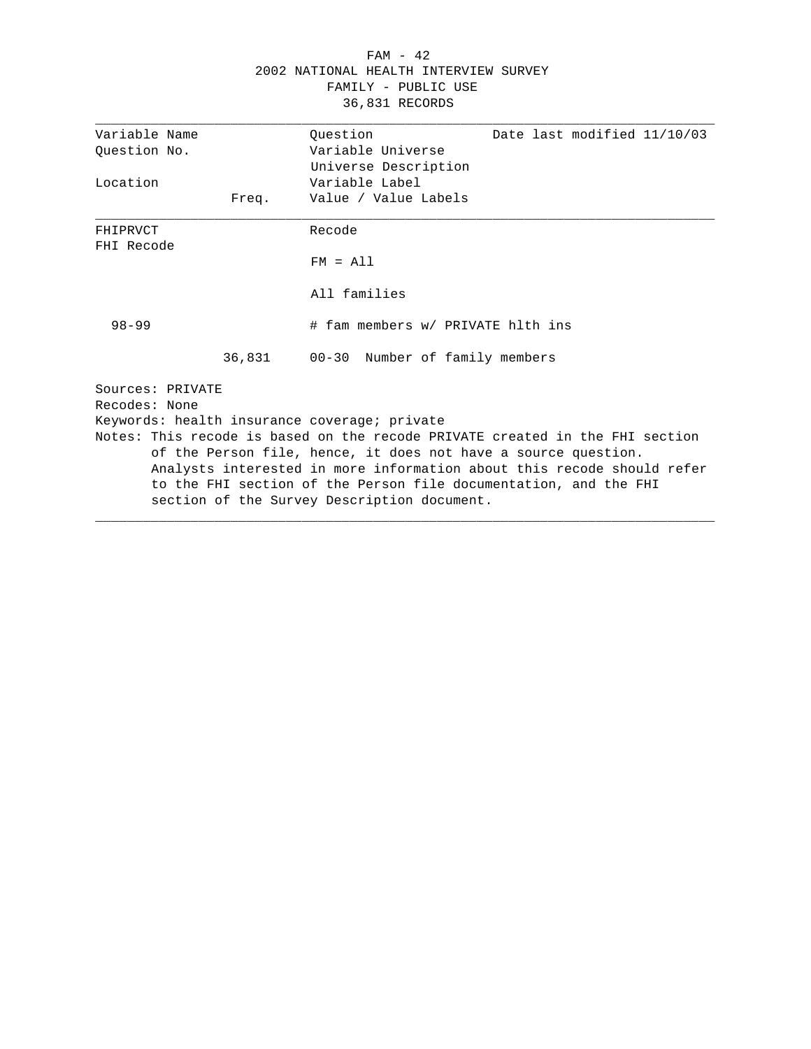# FAM - 42 2002 NATIONAL HEALTH INTERVIEW SURVEY FAMILY - PUBLIC USE 36,831 RECORDS

| Variable Name          |       | Ouestion<br>Date last modified 11/10/03                                      |
|------------------------|-------|------------------------------------------------------------------------------|
| Ouestion No.           |       | Variable Universe                                                            |
|                        |       | Universe Description                                                         |
| Location               |       | Variable Label                                                               |
|                        | Freq. | Value / Value Labels                                                         |
| FHIPRVCT<br>FHI Recode |       | Recode                                                                       |
|                        |       | $FM = A11$                                                                   |
|                        |       | All families                                                                 |
| $98 - 99$              |       | # fam members w/ PRIVATE hlth ins                                            |
|                        |       | 36,831 00-30 Number of family members                                        |
| Sources: PRIVATE       |       |                                                                              |
| Recodes: None          |       |                                                                              |
|                        |       | Keywords: health insurance coverage; private                                 |
|                        |       | Notes: This recode is based on the recode PRIVATE created in the FHI section |
|                        |       | of the Person file, hence, it does not have a source question.               |
|                        |       | Analysts interested in more information about this recode should refer       |
|                        |       | to the FHI section of the Person file documentation, and the FHI             |
|                        |       | section of the Survey Description document.                                  |
|                        |       |                                                                              |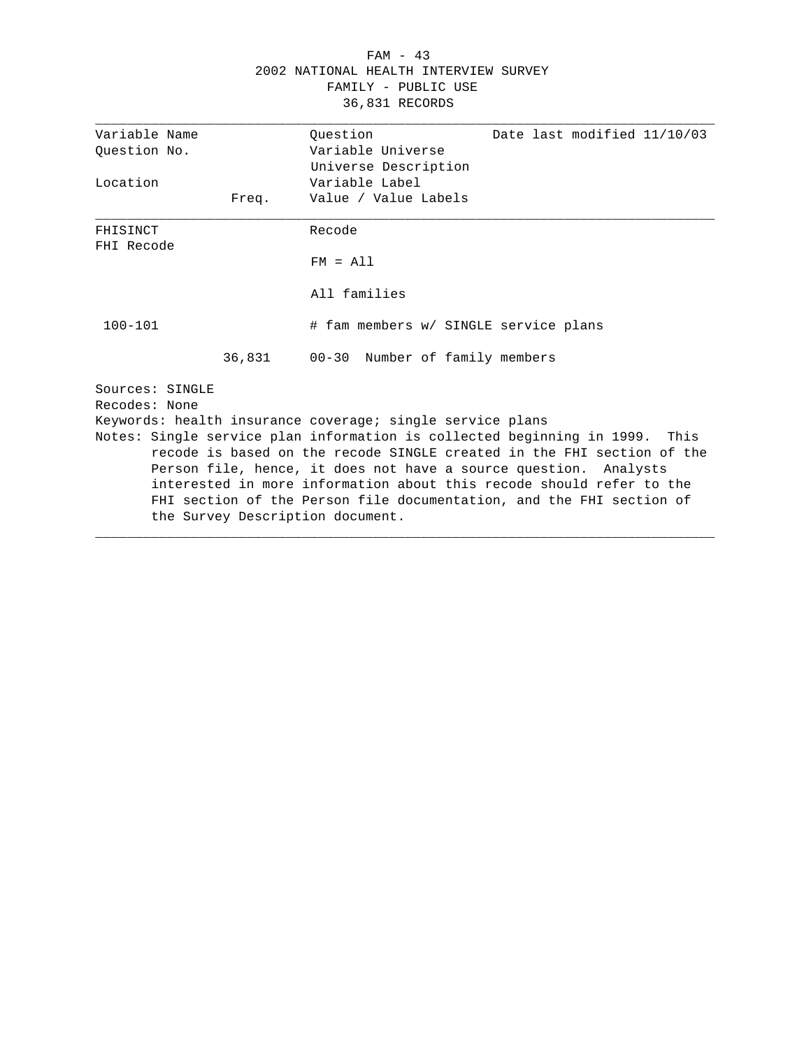# FAM - 43 2002 NATIONAL HEALTH INTERVIEW SURVEY FAMILY - PUBLIC USE 36,831 RECORDS

|                        | Variable Name   |        | Ouestion<br>Date last modified 11/10/03                                     |
|------------------------|-----------------|--------|-----------------------------------------------------------------------------|
| Question No.           |                 |        | Variable Universe                                                           |
|                        |                 |        | Universe Description                                                        |
| Location               |                 |        | Variable Label                                                              |
|                        |                 | Freq.  | Value / Value Labels                                                        |
| FHISINCT<br>FHI Recode |                 |        | Recode                                                                      |
|                        |                 |        | $FM = A11$                                                                  |
|                        |                 |        | All families                                                                |
| $100 - 101$            |                 |        | # fam members w/ SINGLE service plans                                       |
|                        |                 | 36,831 | 00-30 Number of family members                                              |
|                        | Sources: SINGLE |        |                                                                             |
|                        | Recodes: None   |        |                                                                             |
|                        |                 |        | Keywords: health insurance coverage; single service plans                   |
|                        |                 |        | Notes: Single service plan information is collected beginning in 1999. This |
|                        |                 |        | recode is based on the recode SINGLE created in the FHI section of the      |
|                        |                 |        | Person file, hence, it does not have a source question. Analysts            |
|                        |                 |        | interested in more information about this recode should refer to the        |
|                        |                 |        | FHI section of the Person file documentation, and the FHI section of        |
|                        |                 |        | the Survey Description document.                                            |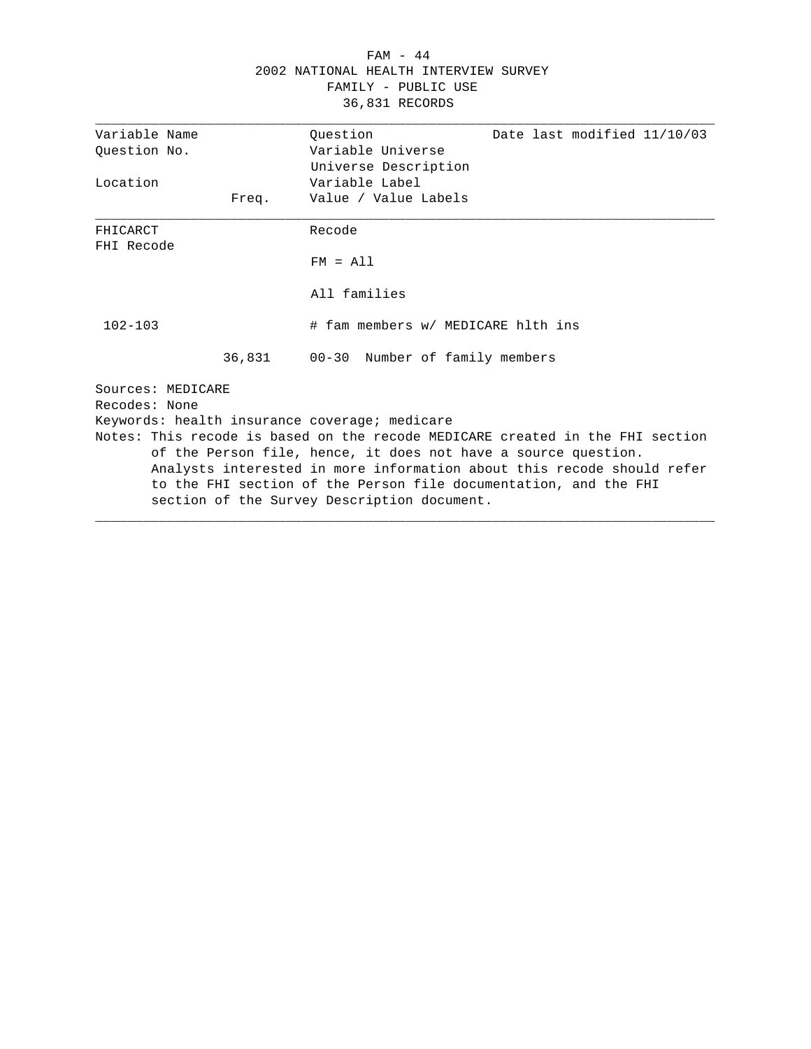# FAM - 44 2002 NATIONAL HEALTH INTERVIEW SURVEY FAMILY - PUBLIC USE 36,831 RECORDS

| Variable Name     |       | Ouestion                                                       | Date last modified 11/10/03                                                   |
|-------------------|-------|----------------------------------------------------------------|-------------------------------------------------------------------------------|
| Ouestion No.      |       | Variable Universe                                              |                                                                               |
|                   |       | Universe Description                                           |                                                                               |
| Location          |       | Variable Label                                                 |                                                                               |
|                   | Freq. | Value / Value Labels                                           |                                                                               |
| FHICARCT          |       | Recode                                                         |                                                                               |
| FHI Recode        |       |                                                                |                                                                               |
|                   |       | $FM = A11$                                                     |                                                                               |
|                   |       | All families                                                   |                                                                               |
| $102 - 103$       |       | # fam members w/ MEDICARE hlth ins                             |                                                                               |
|                   |       | 36,831 00-30 Number of family members                          |                                                                               |
| Sources: MEDICARE |       |                                                                |                                                                               |
| Recodes: None     |       |                                                                |                                                                               |
|                   |       | Keywords: health insurance coverage; medicare                  |                                                                               |
|                   |       |                                                                | Notes: This recode is based on the recode MEDICARE created in the FHI section |
|                   |       | of the Person file, hence, it does not have a source question. |                                                                               |
|                   |       |                                                                | Analysts interested in more information about this recode should refer        |
|                   |       |                                                                | to the FHI section of the Person file documentation, and the FHI              |
|                   |       | section of the Survey Description document.                    |                                                                               |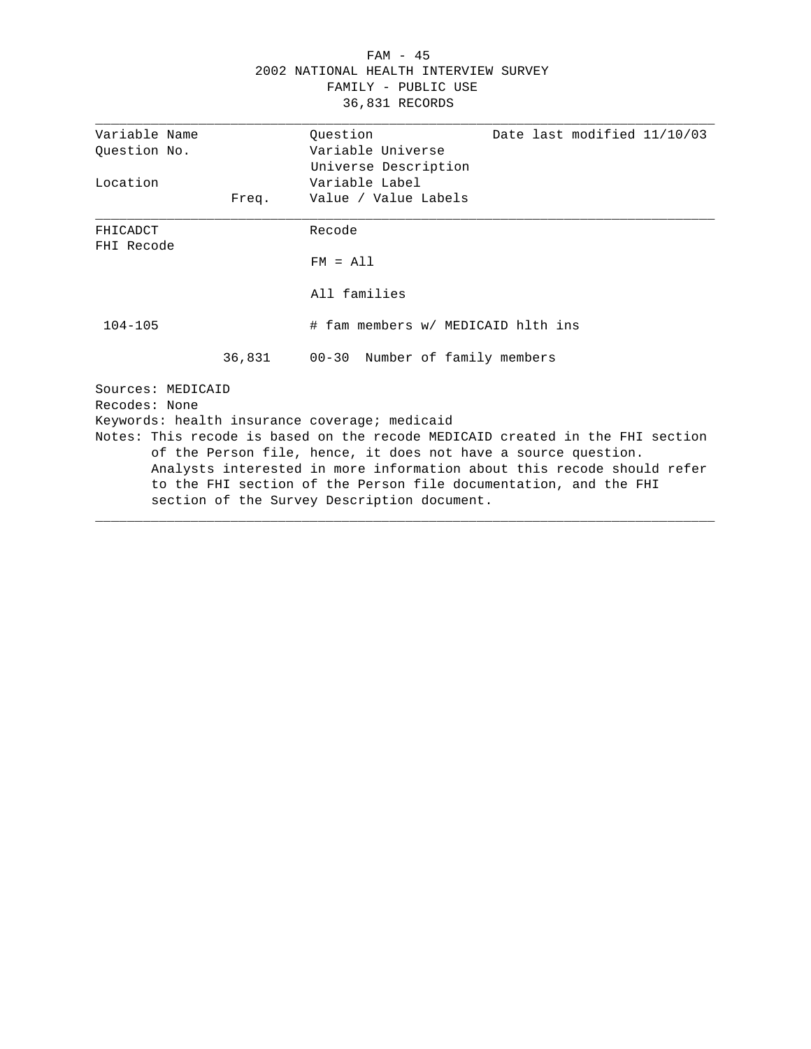# FAM - 45 2002 NATIONAL HEALTH INTERVIEW SURVEY FAMILY - PUBLIC USE 36,831 RECORDS

| Variable Name     |       | Ouestion                                                       | Date last modified 11/10/03                                                   |
|-------------------|-------|----------------------------------------------------------------|-------------------------------------------------------------------------------|
| Ouestion No.      |       | Variable Universe                                              |                                                                               |
|                   |       | Universe Description                                           |                                                                               |
| Location          |       | Variable Label                                                 |                                                                               |
|                   | Freq. | Value / Value Labels                                           |                                                                               |
| FHICADCT          |       | Recode                                                         |                                                                               |
| FHI Recode        |       |                                                                |                                                                               |
|                   |       | $FM = A11$                                                     |                                                                               |
|                   |       | All families                                                   |                                                                               |
| $104 - 105$       |       | # fam members w/ MEDICAID hlth ins                             |                                                                               |
|                   |       | 36,831 00-30 Number of family members                          |                                                                               |
| Sources: MEDICAID |       |                                                                |                                                                               |
| Recodes: None     |       |                                                                |                                                                               |
|                   |       | Keywords: health insurance coverage; medicaid                  |                                                                               |
|                   |       |                                                                | Notes: This recode is based on the recode MEDICAID created in the FHI section |
|                   |       | of the Person file, hence, it does not have a source question. |                                                                               |
|                   |       |                                                                | Analysts interested in more information about this recode should refer        |
|                   |       |                                                                | to the FHI section of the Person file documentation, and the FHI              |
|                   |       | section of the Survey Description document.                    |                                                                               |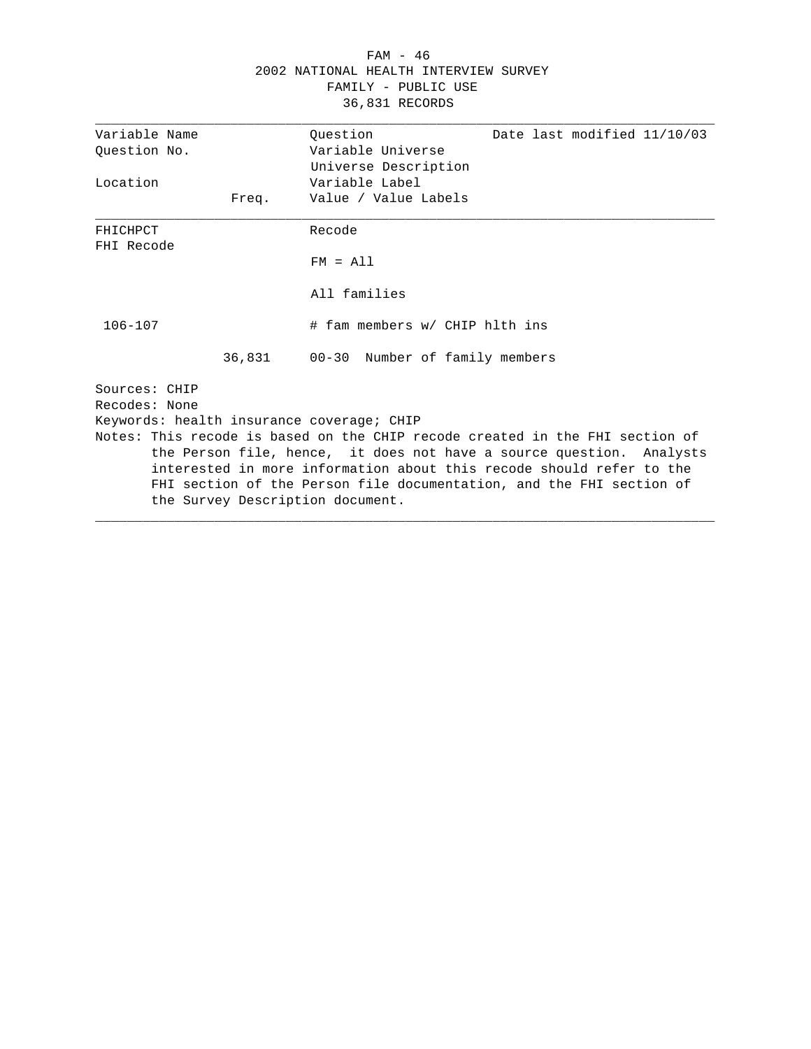# FAM - 46 2002 NATIONAL HEALTH INTERVIEW SURVEY FAMILY - PUBLIC USE 36,831 RECORDS

| Variable Name |       |                                                                              |
|---------------|-------|------------------------------------------------------------------------------|
|               |       | Ouestion<br>Date last modified 11/10/03                                      |
| Ouestion No.  |       | Variable Universe                                                            |
|               |       | Universe Description                                                         |
| Location      |       | Variable Label                                                               |
|               | Freq. | Value / Value Labels                                                         |
| FHICHPCT      |       | Recode                                                                       |
| FHI Recode    |       |                                                                              |
|               |       | $FM = A11$                                                                   |
|               |       | All families                                                                 |
| $106 - 107$   |       | # fam members w/ CHIP hlth ins                                               |
|               |       | 36,831 00-30 Number of family members                                        |
| Sources: CHIP |       |                                                                              |
| Recodes: None |       |                                                                              |
|               |       | Keywords: health insurance coverage; CHIP                                    |
|               |       | Notes: This recode is based on the CHIP recode created in the FHI section of |
|               |       | the Person file, hence, it does not have a source question. Analysts         |
|               |       | interested in more information about this recode should refer to the         |
|               |       | FHI section of the Person file documentation, and the FHI section of         |
|               |       | the Survey Description document.                                             |
|               |       |                                                                              |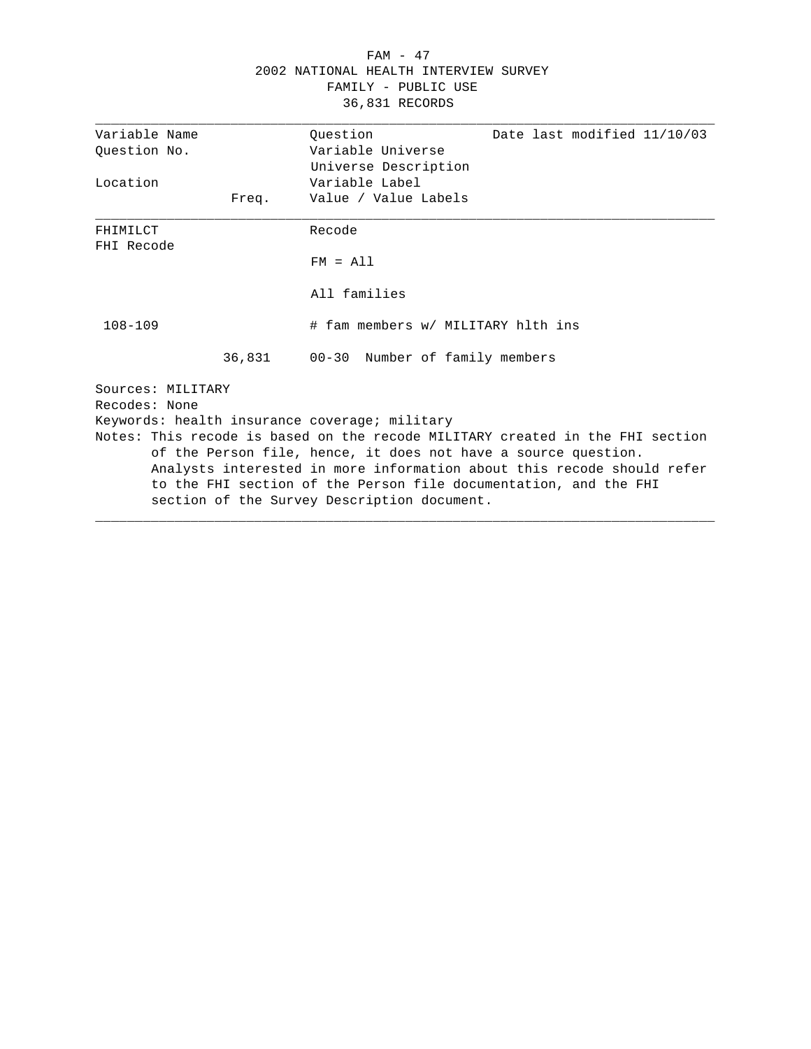# FAM - 47 2002 NATIONAL HEALTH INTERVIEW SURVEY FAMILY - PUBLIC USE 36,831 RECORDS

| Variable Name     |       | Ouestion                                                                                                        | Date last modified 11/10/03                                                   |
|-------------------|-------|-----------------------------------------------------------------------------------------------------------------|-------------------------------------------------------------------------------|
| Ouestion No.      |       | Variable Universe                                                                                               |                                                                               |
|                   |       | Universe Description                                                                                            |                                                                               |
| Location          |       | Variable Label                                                                                                  |                                                                               |
|                   | Freq. | Value / Value Labels                                                                                            |                                                                               |
| FHIMILCT          |       | Recode                                                                                                          |                                                                               |
| FHI Recode        |       | $FM = A11$                                                                                                      |                                                                               |
|                   |       | All families                                                                                                    |                                                                               |
| $108 - 109$       |       | # fam members w/ MILITARY hlth ins                                                                              |                                                                               |
|                   |       | 36,831 00-30 Number of family members                                                                           |                                                                               |
| Sources: MILITARY |       |                                                                                                                 |                                                                               |
| Recodes: None     |       |                                                                                                                 |                                                                               |
|                   |       | Keywords: health insurance coverage; military                                                                   |                                                                               |
|                   |       |                                                                                                                 | Notes: This recode is based on the recode MILITARY created in the FHI section |
|                   |       | of the Person file, hence, it does not have a source question.                                                  |                                                                               |
|                   |       |                                                                                                                 | Analysts interested in more information about this recode should refer        |
|                   |       | to the FHI section of the Person file documentation, and the FHI<br>section of the Survey Description document. |                                                                               |
|                   |       |                                                                                                                 |                                                                               |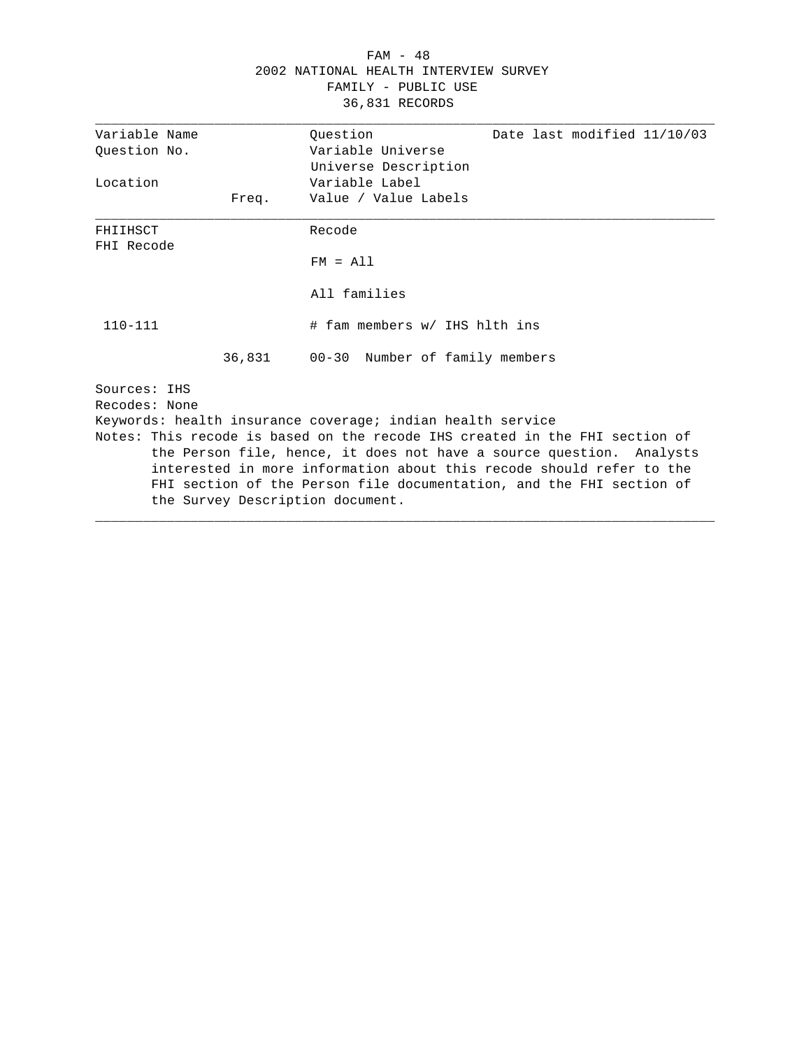# FAM - 48 2002 NATIONAL HEALTH INTERVIEW SURVEY FAMILY - PUBLIC USE 36,831 RECORDS

| Variable Name |       | Ouestion<br>Date last modified 11/10/03                                     |
|---------------|-------|-----------------------------------------------------------------------------|
| Ouestion No.  |       | Variable Universe                                                           |
|               |       | Universe Description                                                        |
| Location      |       | Variable Label                                                              |
|               | Freq. | Value / Value Labels                                                        |
| FHIIHSCT      |       | Recode                                                                      |
| FHI Recode    |       |                                                                             |
|               |       | $FM = A11$                                                                  |
|               |       | All families                                                                |
| $110 - 111$   |       | # fam members w/ IHS hlth ins                                               |
|               |       | 36,831 00-30 Number of family members                                       |
| Sources: IHS  |       |                                                                             |
| Recodes: None |       |                                                                             |
|               |       | Keywords: health insurance coverage; indian health service                  |
|               |       | Notes: This recode is based on the recode IHS created in the FHI section of |
|               |       | the Person file, hence, it does not have a source question. Analysts        |
|               |       | interested in more information about this recode should refer to the        |
|               |       | FHI section of the Person file documentation, and the FHI section of        |
|               |       | the Survey Description document.                                            |
|               |       |                                                                             |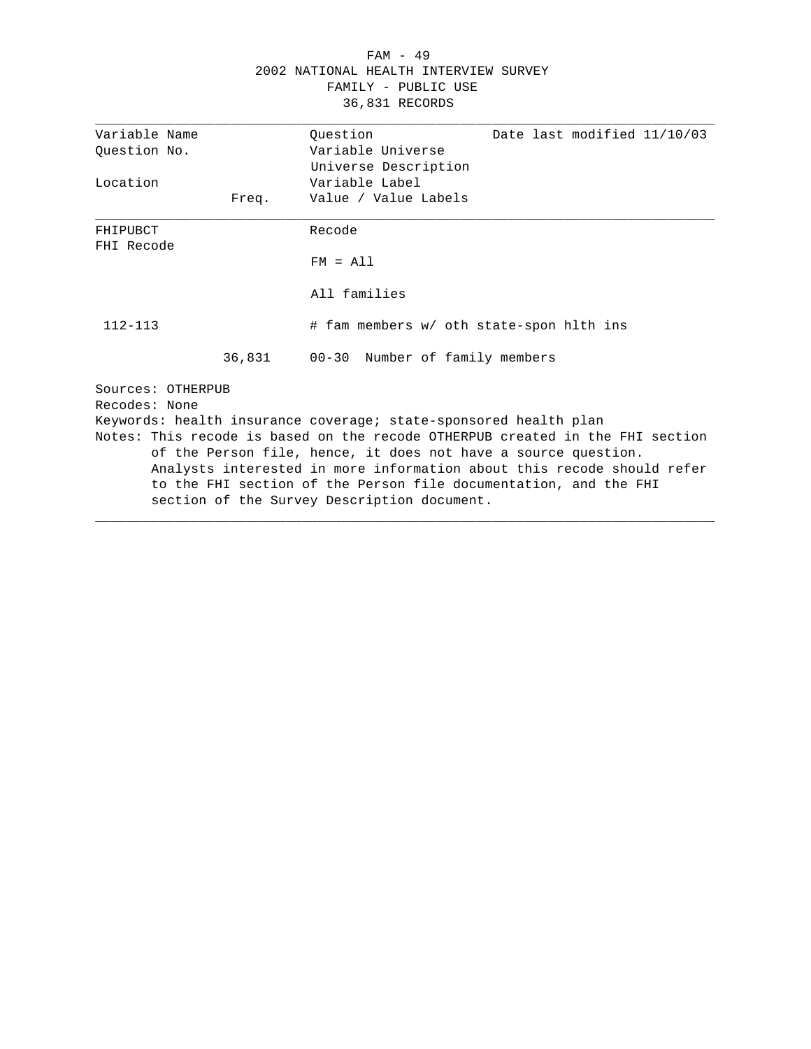# FAM - 49 2002 NATIONAL HEALTH INTERVIEW SURVEY FAMILY - PUBLIC USE 36,831 RECORDS

| Variable Name     |       | Ouestion                                                         | Date last modified 11/10/03                                                   |
|-------------------|-------|------------------------------------------------------------------|-------------------------------------------------------------------------------|
| Ouestion No.      |       | Variable Universe                                                |                                                                               |
|                   |       | Universe Description                                             |                                                                               |
| Location          |       | Variable Label                                                   |                                                                               |
|                   | Freq. | Value / Value Labels                                             |                                                                               |
| FHIPUBCT          |       | Recode                                                           |                                                                               |
| FHI Recode        |       |                                                                  |                                                                               |
|                   |       | $FM = A11$                                                       |                                                                               |
|                   |       | All families                                                     |                                                                               |
| $112 - 113$       |       | # fam members w/ oth state-spon hlth ins                         |                                                                               |
|                   |       | 36,831 00-30 Number of family members                            |                                                                               |
| Sources: OTHERPUB |       |                                                                  |                                                                               |
| Recodes: None     |       |                                                                  |                                                                               |
|                   |       | Keywords: health insurance coverage; state-sponsored health plan |                                                                               |
|                   |       |                                                                  | Notes: This recode is based on the recode OTHERPUB created in the FHI section |
|                   |       | of the Person file, hence, it does not have a source question.   |                                                                               |
|                   |       |                                                                  | Analysts interested in more information about this recode should refer        |
|                   |       | to the FHI section of the Person file documentation, and the FHI |                                                                               |
|                   |       | section of the Survey Description document.                      |                                                                               |
|                   |       |                                                                  |                                                                               |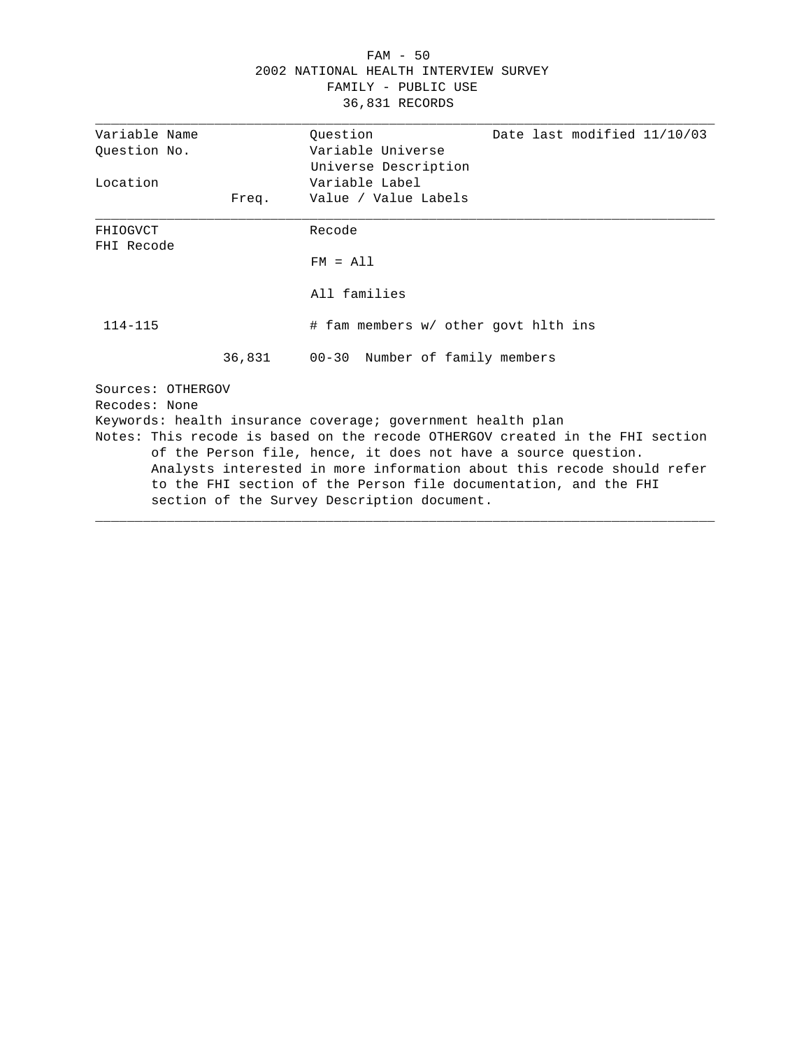# FAM - 50 2002 NATIONAL HEALTH INTERVIEW SURVEY FAMILY - PUBLIC USE 36,831 RECORDS

| Variable Name     |       | Ouestion<br>Date last modified 11/10/03                                       |
|-------------------|-------|-------------------------------------------------------------------------------|
| Ouestion No.      |       | Variable Universe                                                             |
|                   |       | Universe Description                                                          |
| Location          |       | Variable Label                                                                |
|                   | Freq. | Value / Value Labels                                                          |
| FHIOGVCT          |       | Recode                                                                        |
| FHI Recode        |       |                                                                               |
|                   |       | $FM = A11$                                                                    |
|                   |       | All families                                                                  |
| $114 - 115$       |       | # fam members w/ other govt hlth ins                                          |
|                   |       | 36,831 00-30 Number of family members                                         |
| Sources: OTHERGOV |       |                                                                               |
| Recodes: None     |       |                                                                               |
|                   |       | Keywords: health insurance coverage; government health plan                   |
|                   |       | Notes: This recode is based on the recode OTHERGOV created in the FHI section |
|                   |       | of the Person file, hence, it does not have a source question.                |
|                   |       | Analysts interested in more information about this recode should refer        |
|                   |       | to the FHI section of the Person file documentation, and the FHI              |
|                   |       | section of the Survey Description document.                                   |
|                   |       |                                                                               |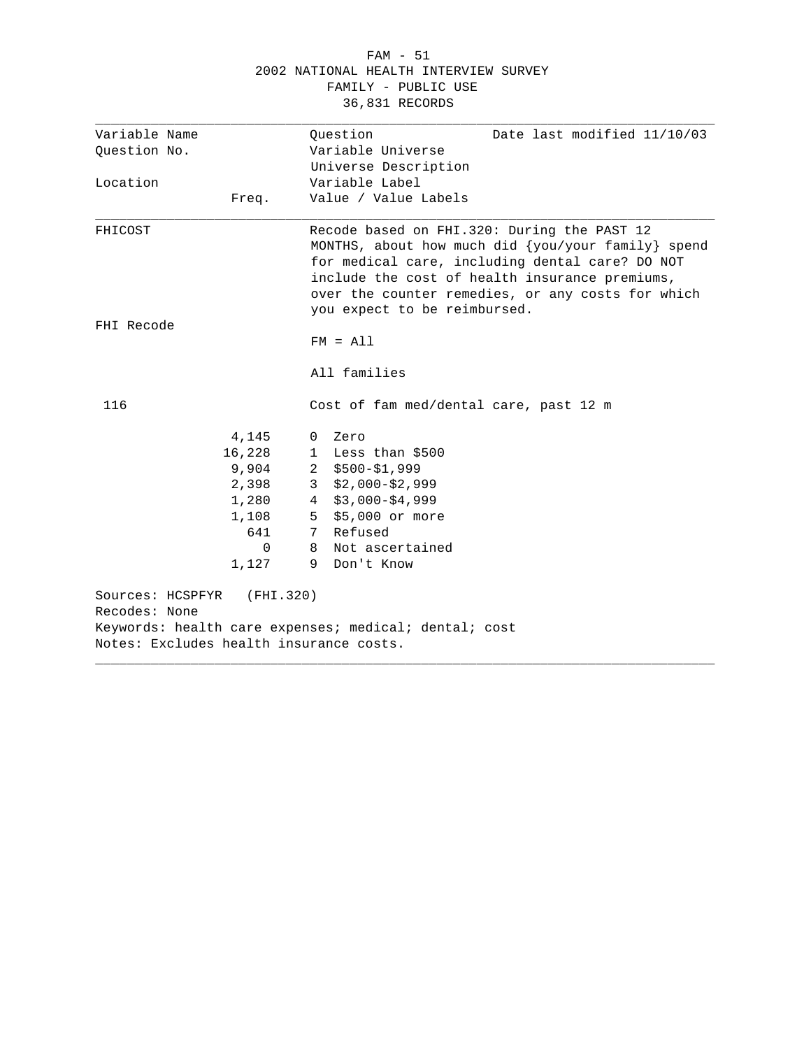#### FAM - 51 2002 NATIONAL HEALTH INTERVIEW SURVEY FAMILY - PUBLIC USE 36,831 RECORDS

| Variable Name                           |           | Date last modified 11/10/03                           |
|-----------------------------------------|-----------|-------------------------------------------------------|
| Ouestion No.                            |           | Ouestion<br>Variable Universe                         |
|                                         |           | Universe Description                                  |
| Location                                |           | Variable Label                                        |
|                                         |           | Value / Value Labels                                  |
|                                         | Freq.     |                                                       |
| FHICOST                                 |           | Recode based on FHI.320: During the PAST 12           |
|                                         |           | MONTHS, about how much did {you/your family} spend    |
|                                         |           | for medical care, including dental care? DO NOT       |
|                                         |           | include the cost of health insurance premiums,        |
|                                         |           | over the counter remedies, or any costs for which     |
|                                         |           | you expect to be reimbursed.                          |
| FHI Recode                              |           |                                                       |
|                                         |           | $FM = A11$                                            |
|                                         |           | All families                                          |
| 116                                     |           | Cost of fam med/dental care, past 12 m                |
|                                         | 4,145     | Zero<br>0                                             |
|                                         | 16,228    | 1 Less than \$500                                     |
|                                         | 9,904     | $2$ \$500-\$1,999                                     |
|                                         | 2,398     | $3$ \$2,000-\$2,999                                   |
|                                         | 1,280     | $4$ \$3,000-\$4,999                                   |
|                                         | 1,108     | 5 \$5,000 or more                                     |
|                                         | 641       | 7 Refused                                             |
|                                         | 0         | Not ascertained<br>8                                  |
|                                         | 1,127     | 9 Don't Know                                          |
| Sources: HCSPFYR                        | (FHI.320) |                                                       |
| Recodes: None                           |           |                                                       |
| Notes: Excludes health insurance costs. |           | Keywords: health care expenses; medical; dental; cost |
|                                         |           |                                                       |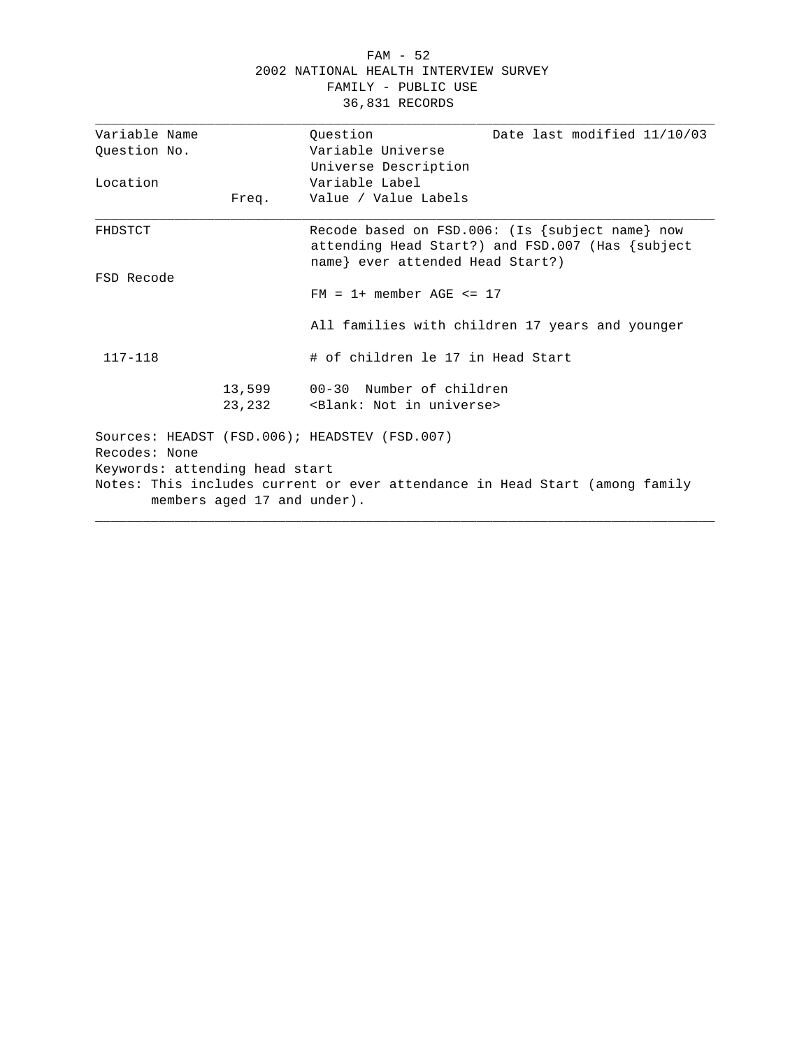#### FAM - 52 2002 NATIONAL HEALTH INTERVIEW SURVEY FAMILY - PUBLIC USE 36,831 RECORDS

| Variable Name                                                               |                             | Ouestion                                          | Date last modified 11/10/03                           |  |
|-----------------------------------------------------------------------------|-----------------------------|---------------------------------------------------|-------------------------------------------------------|--|
| Ouestion No.                                                                |                             | Variable Universe                                 |                                                       |  |
|                                                                             |                             | Universe Description                              |                                                       |  |
| Location                                                                    |                             | Variable Label                                    |                                                       |  |
|                                                                             | Freq.                       | Value / Value Labels                              |                                                       |  |
| FHDSTCT                                                                     |                             |                                                   | Recode based on $FSD.006$ : (Is {subject name} now    |  |
|                                                                             |                             |                                                   | attending Head Start?) and $FSD.007$ (Has $\{subject$ |  |
|                                                                             |                             | name} ever attended Head Start?)                  |                                                       |  |
| FSD Recode                                                                  |                             |                                                   |                                                       |  |
|                                                                             |                             | $FM = 1+$ member AGE $\leq 17$                    |                                                       |  |
|                                                                             |                             |                                                   | All families with children 17 years and younger       |  |
| $117 - 118$                                                                 |                             | # of children le 17 in Head Start                 |                                                       |  |
|                                                                             |                             | 13,599 00-30 Number of children                   |                                                       |  |
|                                                                             |                             | 23,232 <blank: in="" not="" universe=""></blank:> |                                                       |  |
|                                                                             |                             | Sources: HEADST (FSD.006); HEADSTEV (FSD.007)     |                                                       |  |
| Recodes: None                                                               |                             |                                                   |                                                       |  |
| Keywords: attending head start                                              |                             |                                                   |                                                       |  |
| Notes: This includes current or ever attendance in Head Start (among family |                             |                                                   |                                                       |  |
|                                                                             | members aged 17 and under). |                                                   |                                                       |  |
|                                                                             |                             |                                                   |                                                       |  |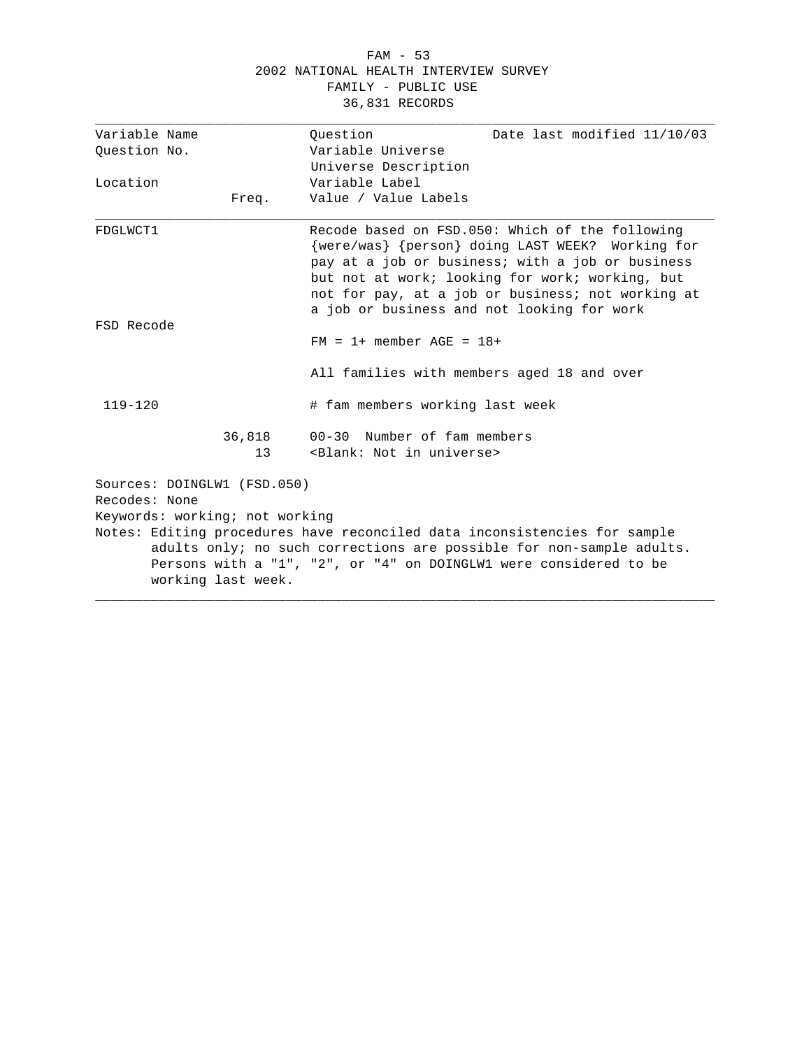#### FAM - 53 2002 NATIONAL HEALTH INTERVIEW SURVEY FAMILY - PUBLIC USE 36,831 RECORDS

| Variable Name                                                                                                                                                                                                                                | Ouestion<br>Date last modified 11/10/03                                                                                                                                                                                                                                                                       |  |
|----------------------------------------------------------------------------------------------------------------------------------------------------------------------------------------------------------------------------------------------|---------------------------------------------------------------------------------------------------------------------------------------------------------------------------------------------------------------------------------------------------------------------------------------------------------------|--|
| Ouestion No.                                                                                                                                                                                                                                 | Variable Universe                                                                                                                                                                                                                                                                                             |  |
|                                                                                                                                                                                                                                              | Universe Description                                                                                                                                                                                                                                                                                          |  |
| Location                                                                                                                                                                                                                                     | Variable Label                                                                                                                                                                                                                                                                                                |  |
| Freq.                                                                                                                                                                                                                                        | Value / Value Labels                                                                                                                                                                                                                                                                                          |  |
| FDGLWCT1                                                                                                                                                                                                                                     | Recode based on FSD.050: Which of the following<br>{were/was} {person} doing LAST WEEK? Working for<br>pay at a job or business; with a job or business<br>but not at work; looking for work; working, but<br>not for pay, at a job or business; not working at<br>a job or business and not looking for work |  |
| FSD Recode                                                                                                                                                                                                                                   | $FM = 1+$ member $AGE = 18+$                                                                                                                                                                                                                                                                                  |  |
|                                                                                                                                                                                                                                              | All families with members aged 18 and over                                                                                                                                                                                                                                                                    |  |
| $119 - 120$                                                                                                                                                                                                                                  | # fam members working last week                                                                                                                                                                                                                                                                               |  |
| 36,818<br>13                                                                                                                                                                                                                                 | $00-30$ Number of fam members<br><blank: in="" not="" universe=""></blank:>                                                                                                                                                                                                                                   |  |
| Sources: DOINGLW1 (FSD.050)<br>Recodes: None<br>Keywords: working; not working                                                                                                                                                               |                                                                                                                                                                                                                                                                                                               |  |
| Notes: Editing procedures have reconciled data inconsistencies for sample<br>adults only; no such corrections are possible for non-sample adults.<br>Persons with a "1", "2", or "4" on DOINGLW1 were considered to be<br>working last week. |                                                                                                                                                                                                                                                                                                               |  |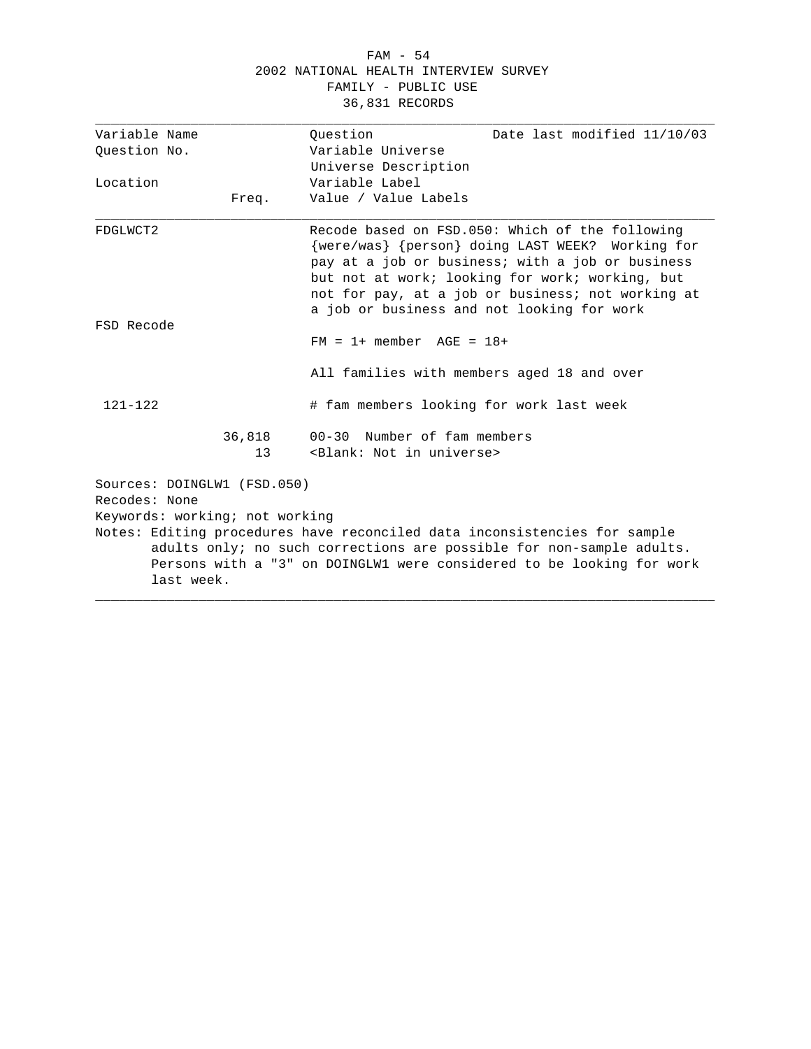#### FAM - 54 2002 NATIONAL HEALTH INTERVIEW SURVEY FAMILY - PUBLIC USE 36,831 RECORDS

| Variable Name                                                                                                                                               |                                                               | Ouestion<br>Date last modified 11/10/03                                                                                                                                                                                                                                                                       |
|-------------------------------------------------------------------------------------------------------------------------------------------------------------|---------------------------------------------------------------|---------------------------------------------------------------------------------------------------------------------------------------------------------------------------------------------------------------------------------------------------------------------------------------------------------------|
| Ouestion No.                                                                                                                                                |                                                               | Variable Universe                                                                                                                                                                                                                                                                                             |
|                                                                                                                                                             |                                                               | Universe Description                                                                                                                                                                                                                                                                                          |
| Location                                                                                                                                                    |                                                               | Variable Label                                                                                                                                                                                                                                                                                                |
|                                                                                                                                                             | Freq.                                                         | Value / Value Labels                                                                                                                                                                                                                                                                                          |
| FDGLWCT2                                                                                                                                                    |                                                               | Recode based on FSD.050: Which of the following<br>{were/was} {person} doing LAST WEEK? Working for<br>pay at a job or business; with a job or business<br>but not at work; looking for work; working, but<br>not for pay, at a job or business; not working at<br>a job or business and not looking for work |
| FSD Recode                                                                                                                                                  |                                                               | $FM = 1 + member AGE = 18 +$                                                                                                                                                                                                                                                                                  |
|                                                                                                                                                             |                                                               | All families with members aged 18 and over                                                                                                                                                                                                                                                                    |
| $121 - 122$                                                                                                                                                 |                                                               | # fam members looking for work last week                                                                                                                                                                                                                                                                      |
|                                                                                                                                                             | 36,818<br>13                                                  | 00-30 Number of fam members<br><blank: in="" not="" universe=""></blank:>                                                                                                                                                                                                                                     |
| Recodes: None                                                                                                                                               | Sources: DOINGLW1 (FSD.050)<br>Keywords: working; not working | Notes: Editing procedures have reconciled data inconsistencies for sample                                                                                                                                                                                                                                     |
| adults only; no such corrections are possible for non-sample adults.<br>Persons with a "3" on DOINGLW1 were considered to be looking for work<br>last week. |                                                               |                                                                                                                                                                                                                                                                                                               |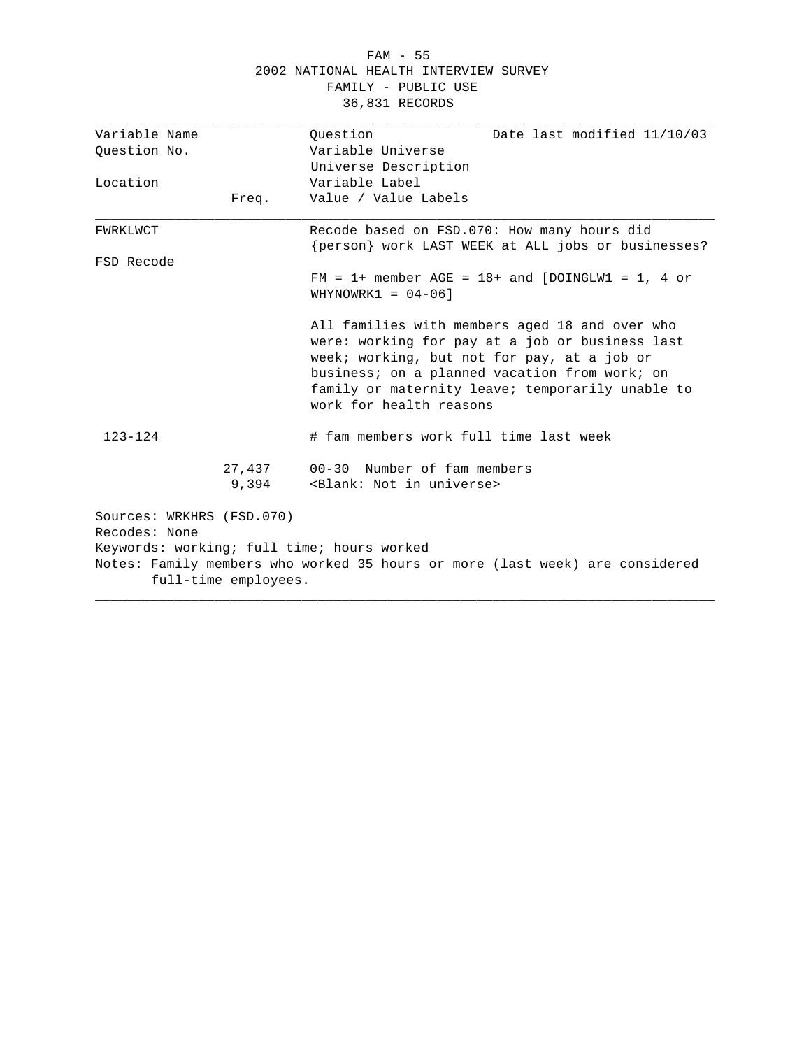#### FAM - 55 2002 NATIONAL HEALTH INTERVIEW SURVEY FAMILY - PUBLIC USE 36,831 RECORDS

| Variable Name             |                      | Ouestion<br>Date last modified 11/10/03                                                                                                                                                                                                                                          |
|---------------------------|----------------------|----------------------------------------------------------------------------------------------------------------------------------------------------------------------------------------------------------------------------------------------------------------------------------|
| Ouestion No.              |                      | Variable Universe                                                                                                                                                                                                                                                                |
|                           |                      | Universe Description                                                                                                                                                                                                                                                             |
| Location                  |                      | Variable Label                                                                                                                                                                                                                                                                   |
|                           | Freq.                | Value / Value Labels                                                                                                                                                                                                                                                             |
| FWRKLWCT                  |                      | Recode based on FSD.070: How many hours did<br>{person} work LAST WEEK at ALL jobs or businesses?                                                                                                                                                                                |
| FSD Recode                |                      |                                                                                                                                                                                                                                                                                  |
|                           |                      | $FM = 1+$ member AGE = 18+ and [DOINGLW1 = 1, 4 or<br>WHYNOWRK1 = $04-06$ ]                                                                                                                                                                                                      |
|                           |                      | All families with members aged 18 and over who<br>were: working for pay at a job or business last<br>week; working, but not for pay, at a job or<br>business; on a planned vacation from work; on<br>family or maternity leave; temporarily unable to<br>work for health reasons |
| $123 - 124$               |                      | # fam members work full time last week                                                                                                                                                                                                                                           |
|                           | 27,437<br>9,394      | 00-30 Number of fam members<br><blank: in="" not="" universe=""></blank:>                                                                                                                                                                                                        |
| Sources: WRKHRS (FSD.070) |                      |                                                                                                                                                                                                                                                                                  |
| Recodes: None             |                      |                                                                                                                                                                                                                                                                                  |
|                           |                      | Keywords: working; full time; hours worked                                                                                                                                                                                                                                       |
|                           | full-time employees. | Notes: Family members who worked 35 hours or more (last week) are considered                                                                                                                                                                                                     |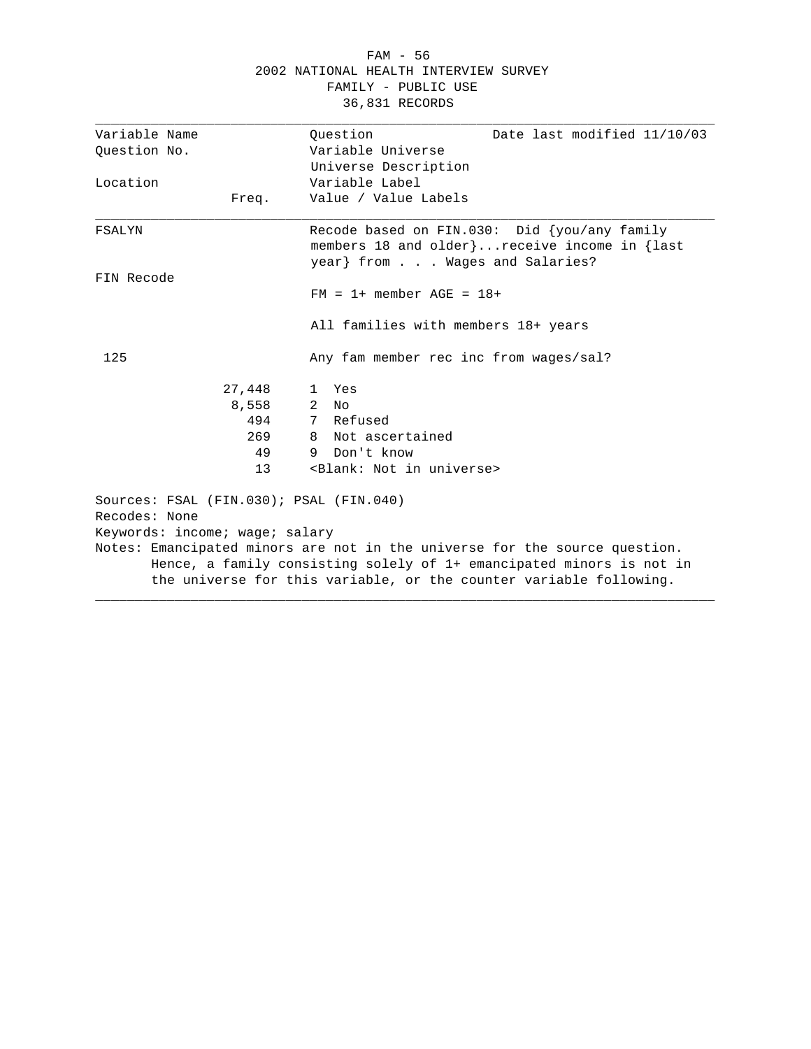#### FAM - 56 2002 NATIONAL HEALTH INTERVIEW SURVEY FAMILY - PUBLIC USE 36,831 RECORDS

| Variable Name                  |        | Ouestion<br>Date last modified 11/10/03                                                                                                                                                                                  |
|--------------------------------|--------|--------------------------------------------------------------------------------------------------------------------------------------------------------------------------------------------------------------------------|
| Question No.                   |        | Variable Universe                                                                                                                                                                                                        |
|                                |        | Universe Description                                                                                                                                                                                                     |
| Location                       |        | Variable Label                                                                                                                                                                                                           |
|                                | Freq.  | Value / Value Labels                                                                                                                                                                                                     |
| FSALYN                         |        | Recode based on FIN.030: Did {you/any family<br>members 18 and older}receive income in {last<br>year} from Wages and Salaries?                                                                                           |
| FIN Recode                     |        |                                                                                                                                                                                                                          |
|                                |        | $FM = 1+$ member $AGE = 18+$                                                                                                                                                                                             |
|                                |        | All families with members 18+ years                                                                                                                                                                                      |
| 125                            |        | Any fam member rec inc from wages/sal?                                                                                                                                                                                   |
|                                | 27,448 | Yes<br>$\mathbf{1}$                                                                                                                                                                                                      |
|                                | 8,558  | $\overline{2}$<br>No                                                                                                                                                                                                     |
|                                | 494    | 7 Refused                                                                                                                                                                                                                |
|                                | 269    | 8 Not ascertained                                                                                                                                                                                                        |
|                                | 49     | 9 Don't know                                                                                                                                                                                                             |
|                                | 13     | <blank: in="" not="" universe=""></blank:>                                                                                                                                                                               |
| Recodes: None                  |        | Sources: FSAL (FIN.030); PSAL (FIN.040)                                                                                                                                                                                  |
| Keywords: income; wage; salary |        |                                                                                                                                                                                                                          |
|                                |        | Notes: Emancipated minors are not in the universe for the source question.<br>Hence, a family consisting solely of 1+ emancipated minors is not in<br>the universe for this variable, or the counter variable following. |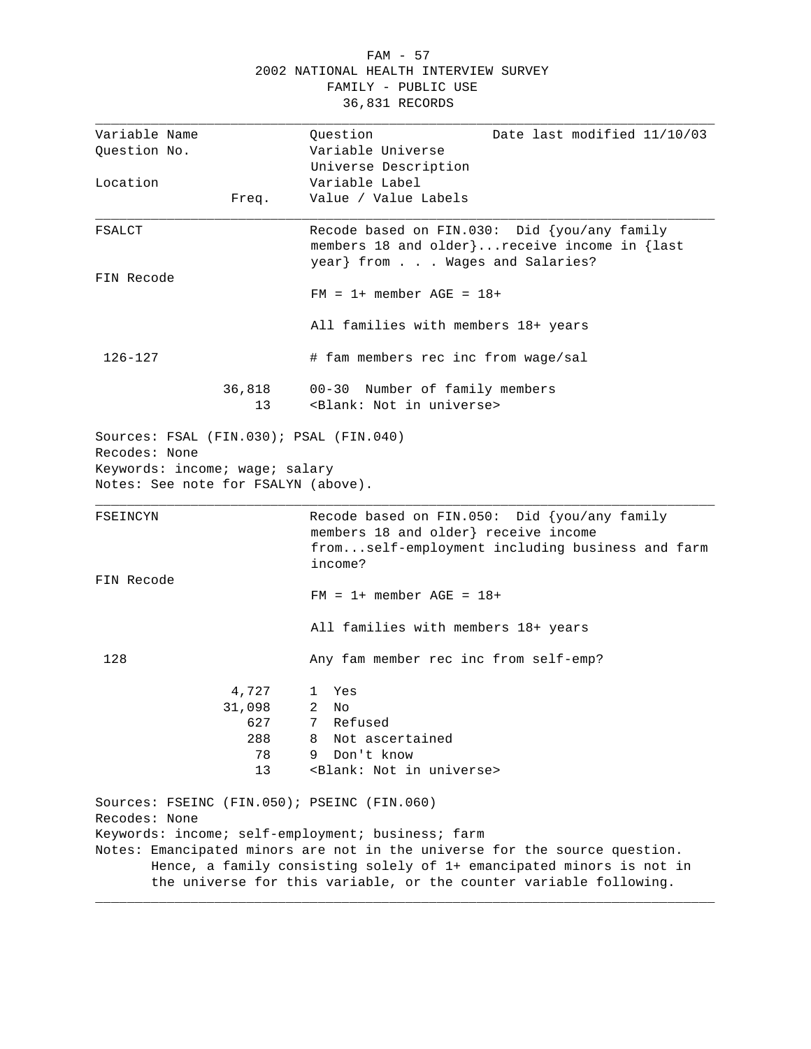#### FAM - 57 2002 NATIONAL HEALTH INTERVIEW SURVEY FAMILY - PUBLIC USE 36,831 RECORDS

| Variable Name<br>Question No.                                                              |                                           | Question<br>Date last modified 11/10/03<br>Variable Universe                                                                                                                                                                                                                  |
|--------------------------------------------------------------------------------------------|-------------------------------------------|-------------------------------------------------------------------------------------------------------------------------------------------------------------------------------------------------------------------------------------------------------------------------------|
| Location                                                                                   |                                           | Universe Description<br>Variable Label                                                                                                                                                                                                                                        |
|                                                                                            | Freq.                                     | Value / Value Labels                                                                                                                                                                                                                                                          |
| FSALCT                                                                                     |                                           | Recode based on FIN.030: Did {you/any family<br>members 18 and older}receive income in {last<br>year} from Wages and Salaries?                                                                                                                                                |
| FIN Recode                                                                                 |                                           | $FM = 1+$ member $AGE = 18+$                                                                                                                                                                                                                                                  |
|                                                                                            |                                           | All families with members 18+ years                                                                                                                                                                                                                                           |
| 126-127                                                                                    |                                           | # fam members rec inc from wage/sal                                                                                                                                                                                                                                           |
|                                                                                            | 36,818<br>13                              | 00-30 Number of family members<br><blank: in="" not="" universe=""></blank:>                                                                                                                                                                                                  |
| Sources: FSAL (FIN.030); PSAL (FIN.040)<br>Recodes: None<br>Keywords: income; wage; salary |                                           |                                                                                                                                                                                                                                                                               |
| Notes: See note for FSALYN (above).                                                        |                                           |                                                                                                                                                                                                                                                                               |
| FSEINCYN                                                                                   |                                           | Recode based on FIN.050: Did {you/any family<br>members 18 and older} receive income<br>fromself-employment including business and farm<br>income?                                                                                                                            |
| FIN Recode                                                                                 |                                           | $FM = 1 + member AGE = 18 +$                                                                                                                                                                                                                                                  |
|                                                                                            |                                           | All families with members 18+ years                                                                                                                                                                                                                                           |
| 128                                                                                        |                                           | Any fam member rec inc from self-emp?                                                                                                                                                                                                                                         |
|                                                                                            | 4,727<br>31,098<br>627<br>288<br>78<br>13 | Yes<br>$\mathbf{1}$<br>2 $NO$<br>Refused<br>7<br>Not ascertained<br>8<br>Don't know<br>9<br><blank: in="" not="" universe=""></blank:>                                                                                                                                        |
| Recodes: None                                                                              |                                           | Sources: FSEINC (FIN.050); PSEINC (FIN.060)                                                                                                                                                                                                                                   |
|                                                                                            |                                           | Keywords: income; self-employment; business; farm<br>Notes: Emancipated minors are not in the universe for the source question.<br>Hence, a family consisting solely of 1+ emancipated minors is not in<br>the universe for this variable, or the counter variable following. |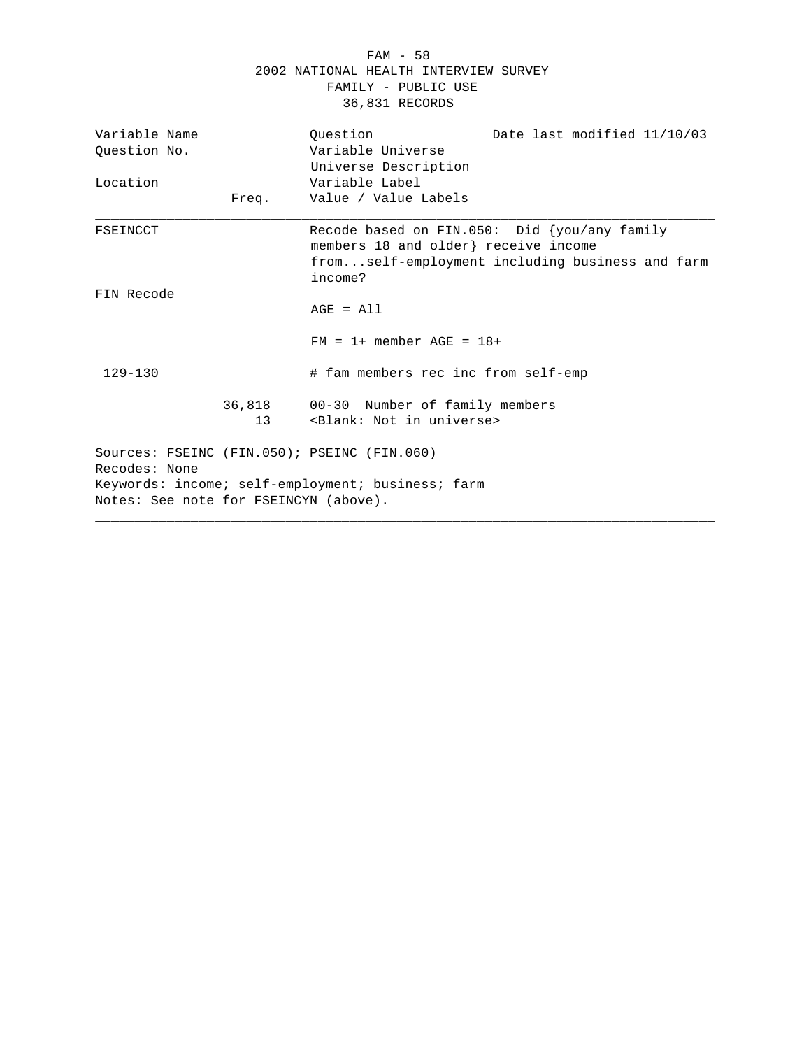|  |                                       | FAM - 58            |  |  |
|--|---------------------------------------|---------------------|--|--|
|  | 2002 NATIONAL HEALTH INTERVIEW SURVEY |                     |  |  |
|  |                                       | FAMILY - PUBLIC USE |  |  |
|  |                                       | 36,831 RECORDS      |  |  |

| Variable Name                         |        | Date last modified 11/10/03<br>Ouestion                                                                                                               |
|---------------------------------------|--------|-------------------------------------------------------------------------------------------------------------------------------------------------------|
| Ouestion No.                          |        | Variable Universe                                                                                                                                     |
|                                       |        | Universe Description                                                                                                                                  |
| Location                              |        | Variable Label                                                                                                                                        |
|                                       | Freq.  | Value / Value Labels                                                                                                                                  |
| FSEINCCT                              |        | Recode based on FIN.050: Did $\{you/any family$<br>members 18 and older} receive income<br>fromself-employment including business and farm<br>income? |
| FIN Recode                            |        |                                                                                                                                                       |
|                                       |        | $AGE = All$                                                                                                                                           |
|                                       |        | $FM = 1+$ member $AGE = 18+$                                                                                                                          |
| $129 - 130$                           |        | # fam members rec inc from self-emp                                                                                                                   |
|                                       | 36,818 | 00-30 Number of family members                                                                                                                        |
|                                       | 13     | <blank: in="" not="" universe=""></blank:>                                                                                                            |
| Recodes: None                         |        | Sources: FSEINC (FIN.050); PSEINC (FIN.060)                                                                                                           |
|                                       |        | Keywords: income; self-employment; business; farm                                                                                                     |
| Notes: See note for FSEINCYN (above). |        |                                                                                                                                                       |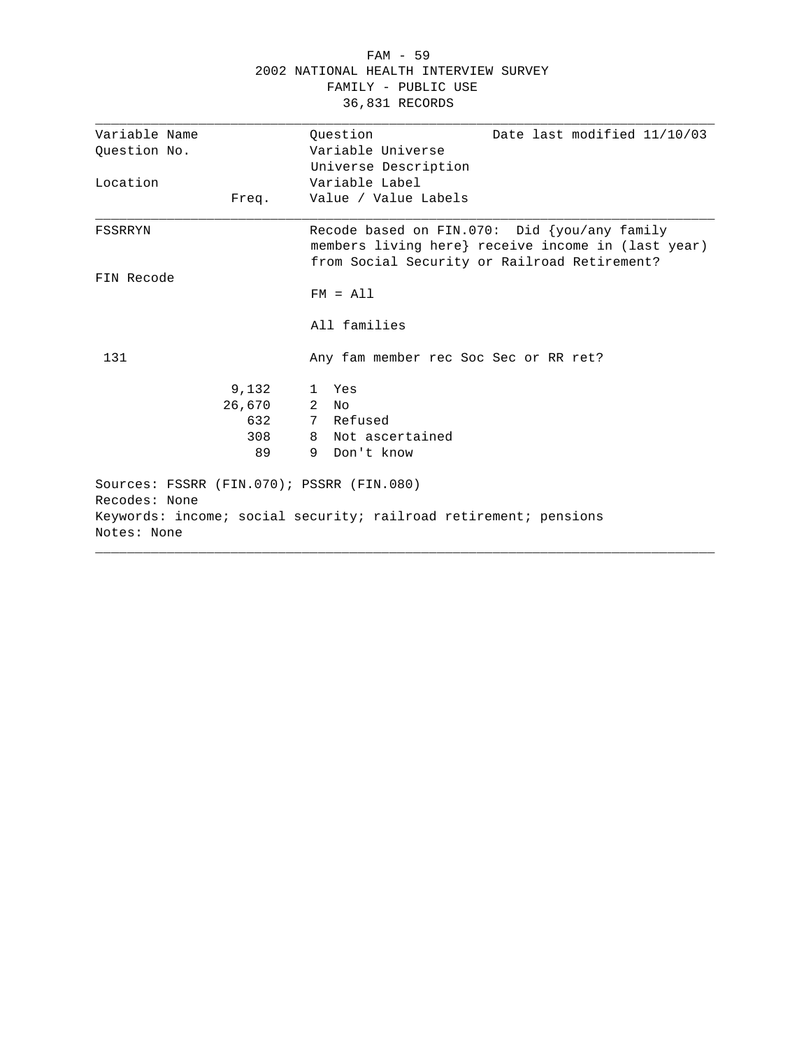| 2002 NATIONAL HEALTH INTERVIEW SURVEY |        |                                                                                                                                                    |  |  |
|---------------------------------------|--------|----------------------------------------------------------------------------------------------------------------------------------------------------|--|--|
|                                       |        | FAMILY - PUBLIC USE                                                                                                                                |  |  |
|                                       |        | 36,831 RECORDS                                                                                                                                     |  |  |
| Variable Name                         |        | Ouestion<br>Date last modified 11/10/03                                                                                                            |  |  |
| Question No.                          |        | Variable Universe                                                                                                                                  |  |  |
|                                       |        | Universe Description                                                                                                                               |  |  |
| Location                              |        | Variable Label                                                                                                                                     |  |  |
|                                       | Freq.  | Value / Value Labels                                                                                                                               |  |  |
| FSSRRYN                               |        | Recode based on FIN.070: Did {you/any family<br>members living here} receive income in (last year)<br>from Social Security or Railroad Retirement? |  |  |
| FIN Recode                            |        |                                                                                                                                                    |  |  |
|                                       |        | $FM = A11$                                                                                                                                         |  |  |
|                                       |        | All families                                                                                                                                       |  |  |
| 131                                   |        | Any fam member rec Soc Sec or RR ret?                                                                                                              |  |  |
|                                       | 9,132  | 1 Yes                                                                                                                                              |  |  |
|                                       | 26,670 | $2$ No                                                                                                                                             |  |  |
|                                       | 632    | 7 Refused                                                                                                                                          |  |  |
|                                       | 308    | 8 Not ascertained                                                                                                                                  |  |  |
|                                       | 89     | 9 Don't know                                                                                                                                       |  |  |
| Recodes: None                         |        | Sources: FSSRR (FIN.070); PSSRR (FIN.080)<br>Keywords: income; social security; railroad retirement; pensions                                      |  |  |
| Notes: None                           |        |                                                                                                                                                    |  |  |

FAM - 59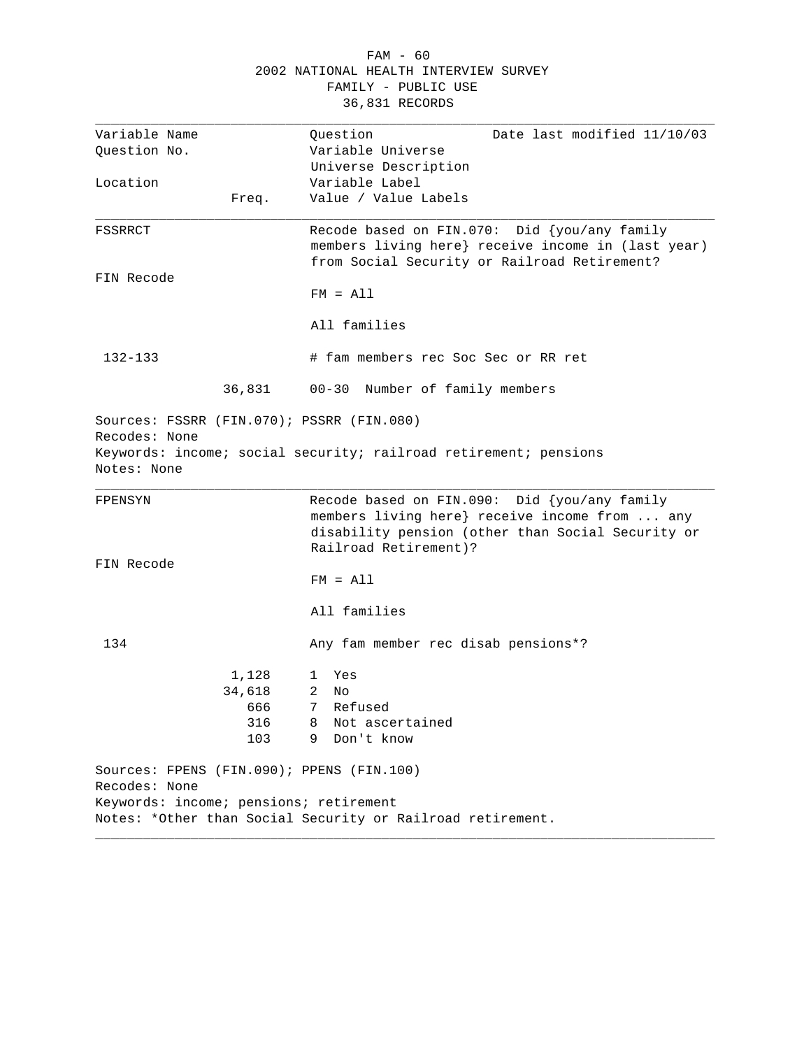| FAM - 60                              |  |
|---------------------------------------|--|
| 2002 NATIONAL HEALTH INTERVIEW SURVEY |  |
| FAMILY - PUBLIC USE                   |  |
| 36,831 RECORDS                        |  |

| Variable Name                |                                        | Question<br>Date last modified 11/10/03                                                                                                                                     |
|------------------------------|----------------------------------------|-----------------------------------------------------------------------------------------------------------------------------------------------------------------------------|
| Question No.                 |                                        | Variable Universe                                                                                                                                                           |
|                              |                                        | Universe Description                                                                                                                                                        |
| Location                     |                                        | Variable Label                                                                                                                                                              |
|                              | Freq.                                  | Value / Value Labels                                                                                                                                                        |
| FSSRRCT                      |                                        | Recode based on FIN.070: Did {you/any family<br>members living here} receive income in (last year)<br>from Social Security or Railroad Retirement?                          |
| FIN Recode                   |                                        |                                                                                                                                                                             |
|                              |                                        | $FM = A11$                                                                                                                                                                  |
|                              |                                        | All families                                                                                                                                                                |
| 132-133                      |                                        | # fam members rec Soc Sec or RR ret                                                                                                                                         |
|                              | 36,831                                 | 00-30 Number of family members                                                                                                                                              |
| Recodes: None<br>Notes: None |                                        | Sources: FSSRR (FIN.070); PSSRR (FIN.080)<br>Keywords: income; social security; railroad retirement; pensions                                                               |
| FPENSYN                      |                                        | Recode based on FIN.090: Did {you/any family<br>members living here} receive income from  any<br>disability pension (other than Social Security or<br>Railroad Retirement)? |
| FIN Recode                   |                                        |                                                                                                                                                                             |
|                              |                                        | $FM = A11$                                                                                                                                                                  |
|                              |                                        |                                                                                                                                                                             |
|                              |                                        | All families                                                                                                                                                                |
| 134                          |                                        | Any fam member rec disab pensions*?                                                                                                                                         |
|                              | 1,128                                  | Yes<br>$\mathbf{1}$                                                                                                                                                         |
|                              | 34,618                                 | 2<br>No                                                                                                                                                                     |
|                              | 666                                    | 7 Refused                                                                                                                                                                   |
|                              | 316                                    | 8 Not ascertained                                                                                                                                                           |
|                              | 103                                    | 9 Don't know                                                                                                                                                                |
| Recodes: None                |                                        | Sources: FPENS (FIN.090); PPENS (FIN.100)                                                                                                                                   |
|                              | Keywords: income; pensions; retirement |                                                                                                                                                                             |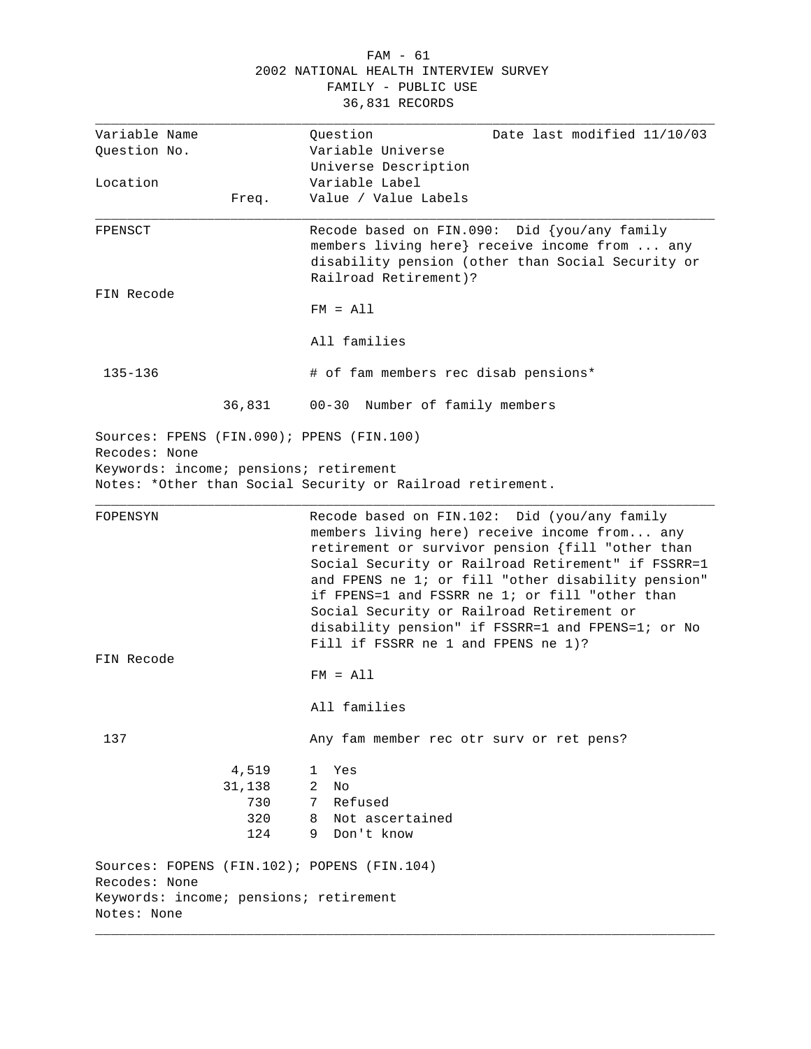#### FAM - 61 2002 NATIONAL HEALTH INTERVIEW SURVEY FAMILY - PUBLIC USE 36,831 RECORDS

| Variable Name                             |        | Question<br>Date last modified 11/10/03                                                      |
|-------------------------------------------|--------|----------------------------------------------------------------------------------------------|
| Question No.                              |        | Variable Universe                                                                            |
|                                           |        | Universe Description                                                                         |
| Location                                  |        | Variable Label                                                                               |
|                                           | Freq.  | Value / Value Labels                                                                         |
| FPENSCT                                   |        | Recode based on FIN.090: Did {you/any family                                                 |
|                                           |        | members living here} receive income from  any                                                |
|                                           |        | disability pension (other than Social Security or                                            |
|                                           |        | Railroad Retirement)?                                                                        |
| FIN Recode                                |        |                                                                                              |
|                                           |        | $FM = A11$                                                                                   |
|                                           |        | All families                                                                                 |
| 135-136                                   |        | # of fam members rec disab pensions*                                                         |
|                                           | 36,831 | 00-30 Number of family members                                                               |
| Sources: FPENS (FIN.090); PPENS (FIN.100) |        |                                                                                              |
| Recodes: None                             |        |                                                                                              |
| Keywords: income; pensions; retirement    |        |                                                                                              |
|                                           |        | Notes: *Other than Social Security or Railroad retirement.                                   |
|                                           |        |                                                                                              |
| FOPENSYN                                  |        | Recode based on FIN.102: Did (you/any family<br>members living here) receive income from any |
|                                           |        | retirement or survivor pension {fill "other than                                             |
|                                           |        | Social Security or Railroad Retirement" if FSSRR=1                                           |
|                                           |        | and FPENS ne 1; or fill "other disability pension"                                           |
|                                           |        | if FPENS=1 and FSSRR ne 1; or fill "other than                                               |
|                                           |        | Social Security or Railroad Retirement or                                                    |
|                                           |        | disability pension" if FSSRR=1 and FPENS=1; or No                                            |
|                                           |        | Fill if FSSRR ne 1 and FPENS ne 1)?                                                          |
| FIN Recode                                |        |                                                                                              |
|                                           |        | $FM = A11$                                                                                   |
|                                           |        | All families                                                                                 |
| 137                                       |        | Any fam member rec otr surv or ret pens?                                                     |
|                                           | 4,519  | Yes<br>1                                                                                     |
|                                           | 31,138 | 2<br>No                                                                                      |
|                                           | 730    | Refused<br>7                                                                                 |
|                                           | 320    | Not ascertained<br>8                                                                         |
|                                           | 124    | 9 Don't know                                                                                 |
|                                           |        | Sources: FOPENS (FIN.102); POPENS (FIN.104)                                                  |
| Recodes: None                             |        |                                                                                              |
| Keywords: income; pensions; retirement    |        |                                                                                              |
| Notes: None                               |        |                                                                                              |

\_\_\_\_\_\_\_\_\_\_\_\_\_\_\_\_\_\_\_\_\_\_\_\_\_\_\_\_\_\_\_\_\_\_\_\_\_\_\_\_\_\_\_\_\_\_\_\_\_\_\_\_\_\_\_\_\_\_\_\_\_\_\_\_\_\_\_\_\_\_\_\_\_\_\_\_\_\_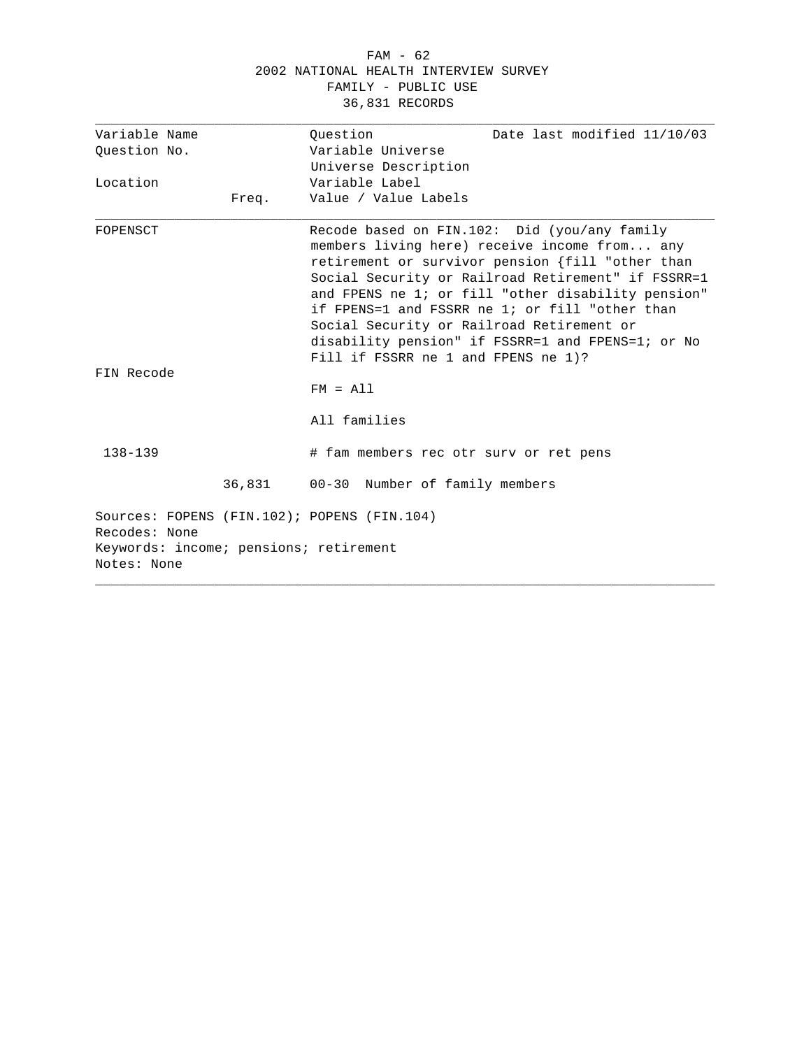#### FAM - 62 2002 NATIONAL HEALTH INTERVIEW SURVEY FAMILY - PUBLIC USE 36,831 RECORDS

| Variable Name                                                                                                         |       | Ouestion                                                                         | Date last modified 11/10/03                                                                                                                                                                                                                                                                                                                                         |
|-----------------------------------------------------------------------------------------------------------------------|-------|----------------------------------------------------------------------------------|---------------------------------------------------------------------------------------------------------------------------------------------------------------------------------------------------------------------------------------------------------------------------------------------------------------------------------------------------------------------|
| Question No.                                                                                                          |       | Variable Universe                                                                |                                                                                                                                                                                                                                                                                                                                                                     |
|                                                                                                                       |       | Universe Description                                                             |                                                                                                                                                                                                                                                                                                                                                                     |
| Location                                                                                                              |       | Variable Label                                                                   |                                                                                                                                                                                                                                                                                                                                                                     |
|                                                                                                                       | Freq. | Value / Value Labels                                                             |                                                                                                                                                                                                                                                                                                                                                                     |
| FOPENSCT                                                                                                              |       | Social Security or Railroad Retirement or<br>Fill if FSSRR ne 1 and FPENS ne 1)? | Recode based on FIN.102: Did (you/any family<br>members living here) receive income from any<br>retirement or survivor pension {fill "other than<br>Social Security or Railroad Retirement" if FSSRR=1<br>and FPENS ne 1; or fill "other disability pension"<br>if FPENS=1 and FSSRR ne 1; or fill "other than<br>disability pension" if FSSRR=1 and FPENS=1; or No |
| FIN Recode                                                                                                            |       |                                                                                  |                                                                                                                                                                                                                                                                                                                                                                     |
|                                                                                                                       |       | $FM = A11$                                                                       |                                                                                                                                                                                                                                                                                                                                                                     |
|                                                                                                                       |       | All families                                                                     |                                                                                                                                                                                                                                                                                                                                                                     |
| $138 - 139$                                                                                                           |       | # fam members rec otr surv or ret pens                                           |                                                                                                                                                                                                                                                                                                                                                                     |
|                                                                                                                       |       | 36,831 00-30 Number of family members                                            |                                                                                                                                                                                                                                                                                                                                                                     |
| Sources: FOPENS (FIN.102); POPENS (FIN.104)<br>Recodes: None<br>Keywords: income; pensions; retirement<br>Notes: None |       |                                                                                  |                                                                                                                                                                                                                                                                                                                                                                     |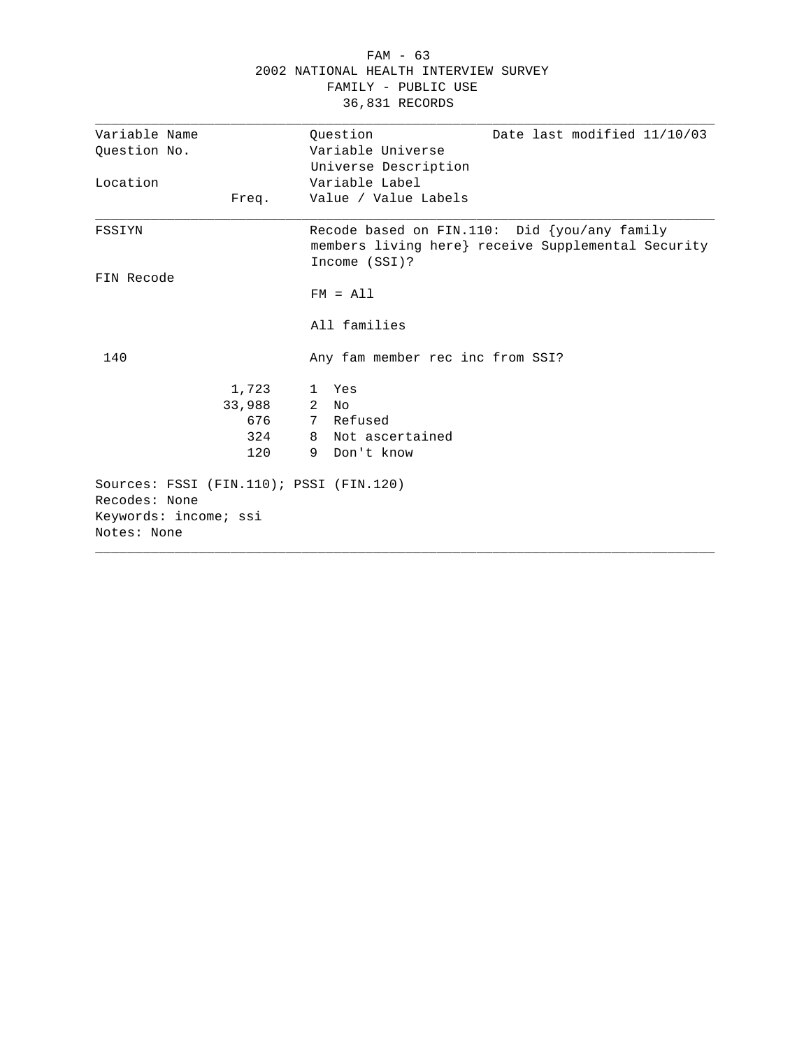|                                         |        |   | FAMILY - PUBLIC USE              |                                                                                                       |
|-----------------------------------------|--------|---|----------------------------------|-------------------------------------------------------------------------------------------------------|
|                                         |        |   | 36,831 RECORDS                   |                                                                                                       |
| Variable Name                           |        |   | Question                         | Date last modified 11/10/03                                                                           |
| Question No.                            |        |   | Variable Universe                |                                                                                                       |
|                                         |        |   | Universe Description             |                                                                                                       |
| Location                                |        |   | Variable Label                   |                                                                                                       |
|                                         | Freq.  |   | Value / Value Labels             |                                                                                                       |
| FSSIYN                                  |        |   | Income (SSI)?                    | Recode based on FIN.110: Did $\{you/any family$<br>members living here} receive Supplemental Security |
| FIN Recode                              |        |   |                                  |                                                                                                       |
|                                         |        |   | $FM = A11$                       |                                                                                                       |
|                                         |        |   | All families                     |                                                                                                       |
| 140                                     |        |   | Any fam member rec inc from SSI? |                                                                                                       |
|                                         | 1,723  |   | 1 Yes                            |                                                                                                       |
|                                         | 33,988 |   | $2$ No                           |                                                                                                       |
|                                         | 676    |   | 7 Refused                        |                                                                                                       |
|                                         | 324    |   | 8 Not ascertained                |                                                                                                       |
|                                         | 120    | 9 | Don't know                       |                                                                                                       |
| Sources: FSSI (FIN.110); PSSI (FIN.120) |        |   |                                  |                                                                                                       |
| Recodes: None                           |        |   |                                  |                                                                                                       |
| Keywords: income; ssi<br>Notes: None    |        |   |                                  |                                                                                                       |
|                                         |        |   |                                  |                                                                                                       |

# FAM - 63 2002 NATIONAL HEALTH INTERVIEW SURVEY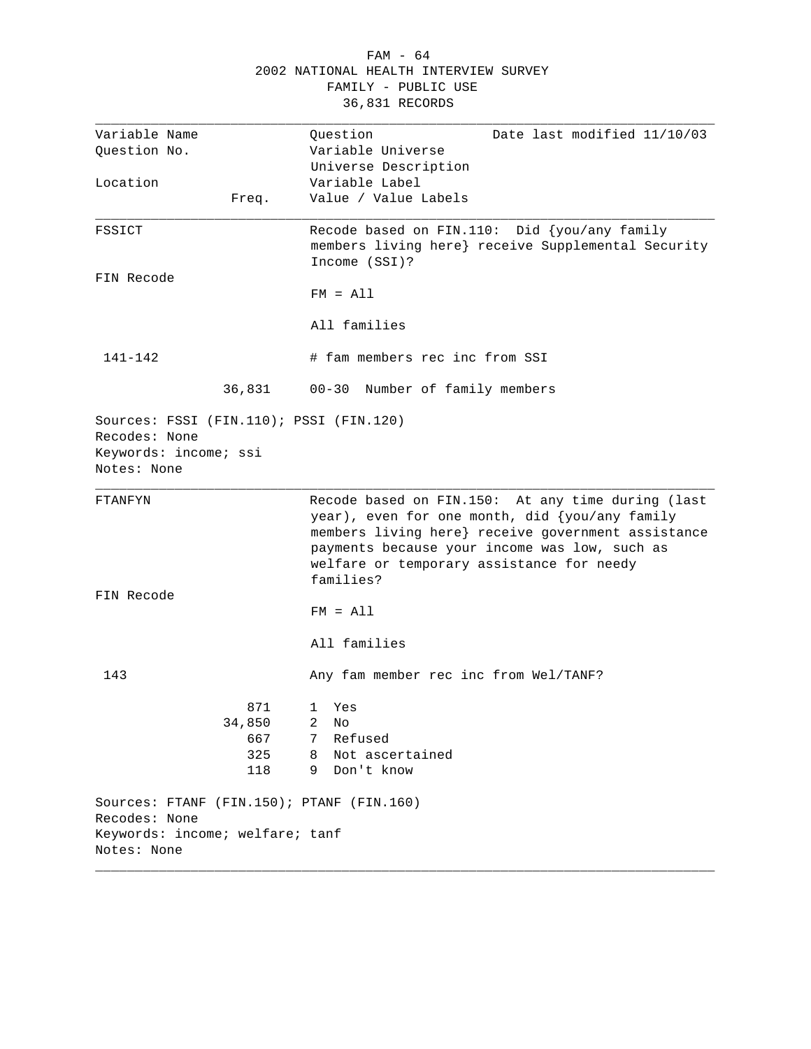|                                                                                                  |        | LAMITTI - RADTIC AST                                                                                                                                                                                                                                                 |
|--------------------------------------------------------------------------------------------------|--------|----------------------------------------------------------------------------------------------------------------------------------------------------------------------------------------------------------------------------------------------------------------------|
|                                                                                                  |        | 36,831 RECORDS                                                                                                                                                                                                                                                       |
| Variable Name                                                                                    |        | Question<br>Date last modified 11/10/03                                                                                                                                                                                                                              |
| Question No.                                                                                     |        | Variable Universe                                                                                                                                                                                                                                                    |
|                                                                                                  |        | Universe Description                                                                                                                                                                                                                                                 |
| Location                                                                                         |        | Variable Label                                                                                                                                                                                                                                                       |
|                                                                                                  |        | Value / Value Labels                                                                                                                                                                                                                                                 |
|                                                                                                  | Freq.  |                                                                                                                                                                                                                                                                      |
| FSSICT                                                                                           |        | Recode based on FIN.110: Did {you/any family<br>members living here} receive Supplemental Security<br>Income (SSI)?                                                                                                                                                  |
| FIN Recode                                                                                       |        |                                                                                                                                                                                                                                                                      |
|                                                                                                  |        | $FM = A11$                                                                                                                                                                                                                                                           |
|                                                                                                  |        | All families                                                                                                                                                                                                                                                         |
| 141-142                                                                                          |        | # fam members rec inc from SSI                                                                                                                                                                                                                                       |
|                                                                                                  | 36,831 | 00-30 Number of family members                                                                                                                                                                                                                                       |
| Sources: FSSI (FIN.110); PSSI (FIN.120)<br>Recodes: None<br>Keywords: income; ssi<br>Notes: None |        |                                                                                                                                                                                                                                                                      |
| FTANFYN                                                                                          |        | Recode based on FIN.150: At any time during (last<br>year), even for one month, did {you/any family<br>members living here} receive government assistance<br>payments because your income was low, such as<br>welfare or temporary assistance for needy<br>families? |
| FIN Recode                                                                                       |        |                                                                                                                                                                                                                                                                      |
|                                                                                                  |        | $FM = A11$                                                                                                                                                                                                                                                           |
|                                                                                                  |        | All families                                                                                                                                                                                                                                                         |
| 143                                                                                              |        | Any fam member rec inc from Wel/TANF?                                                                                                                                                                                                                                |
|                                                                                                  | 871    | Yes<br>1                                                                                                                                                                                                                                                             |
|                                                                                                  | 34,850 | 2<br>No                                                                                                                                                                                                                                                              |
|                                                                                                  | 667    | Refused<br>7                                                                                                                                                                                                                                                         |
|                                                                                                  | 325    | Not ascertained<br>8                                                                                                                                                                                                                                                 |
|                                                                                                  | 118    | Don't know<br>9                                                                                                                                                                                                                                                      |
|                                                                                                  |        |                                                                                                                                                                                                                                                                      |
| Sources: FTANF (FIN.150); PTANF (FIN.160)                                                        |        |                                                                                                                                                                                                                                                                      |
| Recodes: None                                                                                    |        |                                                                                                                                                                                                                                                                      |
| Keywords: income; welfare; tanf                                                                  |        |                                                                                                                                                                                                                                                                      |
| Notes: None                                                                                      |        |                                                                                                                                                                                                                                                                      |

# FAM - 64 2002 NATIONAL HEALTH INTERVIEW SURVEY FAMILY - PUBLIC USE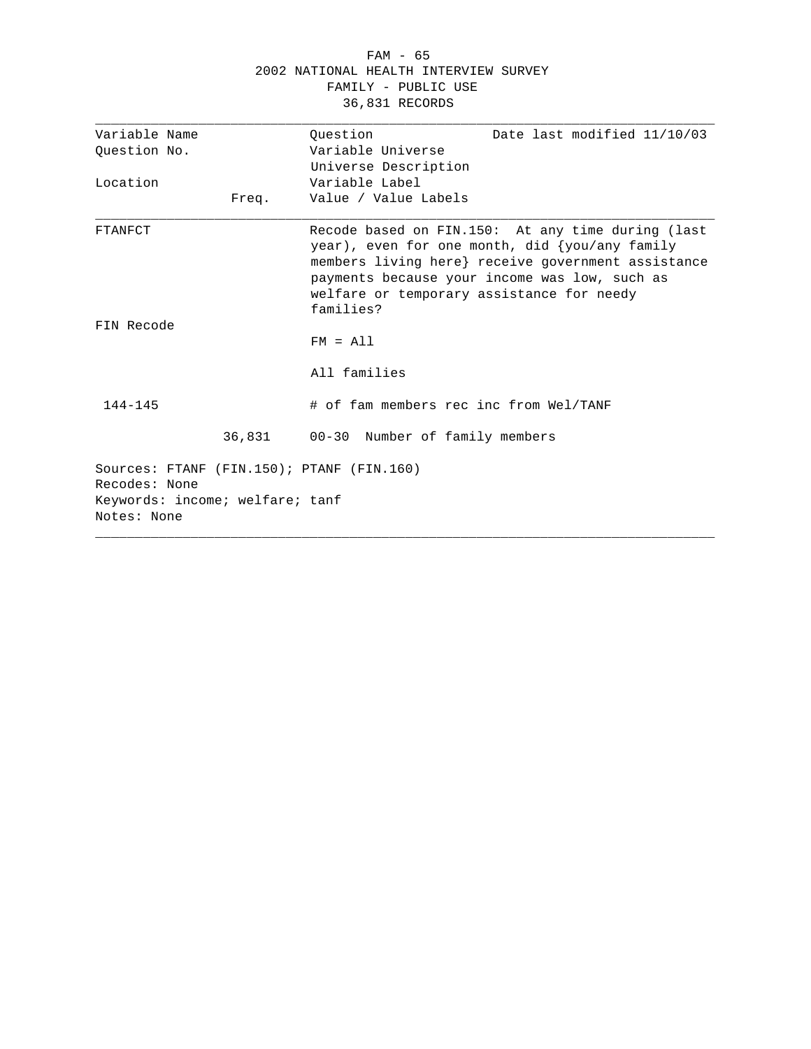#### FAM - 65 2002 NATIONAL HEALTH INTERVIEW SURVEY FAMILY - PUBLIC USE 36,831 RECORDS

| Variable Name                             | Date last modified 11/10/03<br>Ouestion                                                                                                                                                                                                                              |
|-------------------------------------------|----------------------------------------------------------------------------------------------------------------------------------------------------------------------------------------------------------------------------------------------------------------------|
|                                           |                                                                                                                                                                                                                                                                      |
| Question No.                              | Variable Universe                                                                                                                                                                                                                                                    |
|                                           | Universe Description                                                                                                                                                                                                                                                 |
| Location                                  | Variable Label                                                                                                                                                                                                                                                       |
| Freq.                                     | Value / Value Labels                                                                                                                                                                                                                                                 |
| FTANFCT                                   | Recode based on FIN.150: At any time during (last<br>year), even for one month, did {you/any family<br>members living here} receive government assistance<br>payments because your income was low, such as<br>welfare or temporary assistance for needy<br>families? |
| FIN Recode                                |                                                                                                                                                                                                                                                                      |
|                                           | $FM = A11$                                                                                                                                                                                                                                                           |
|                                           | All families                                                                                                                                                                                                                                                         |
| $144 - 145$                               | # of fam members rec inc from Wel/TANF                                                                                                                                                                                                                               |
|                                           | 36,831 00-30 Number of family members                                                                                                                                                                                                                                |
| Sources: FTANF (FIN.150); PTANF (FIN.160) |                                                                                                                                                                                                                                                                      |
| Recodes: None                             |                                                                                                                                                                                                                                                                      |
| Keywords: income; welfare; tanf           |                                                                                                                                                                                                                                                                      |
| Notes: None                               |                                                                                                                                                                                                                                                                      |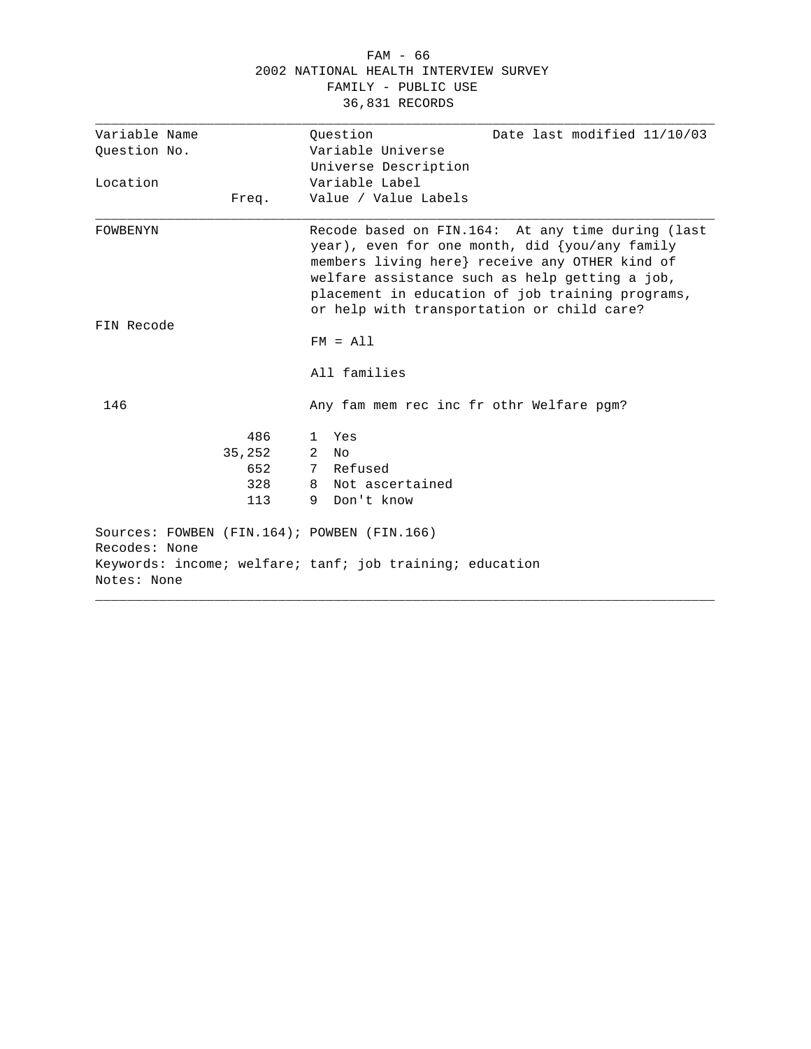#### FAM - 66 2002 NATIONAL HEALTH INTERVIEW SURVEY FAMILY - PUBLIC USE 36,831 RECORDS

| Variable Name                                                | Ouestion<br>Date last modified 11/10/03                                                                                                                                                                                                                                                                      |
|--------------------------------------------------------------|--------------------------------------------------------------------------------------------------------------------------------------------------------------------------------------------------------------------------------------------------------------------------------------------------------------|
| Ouestion No.                                                 | Variable Universe                                                                                                                                                                                                                                                                                            |
|                                                              | Universe Description                                                                                                                                                                                                                                                                                         |
| Location                                                     | Variable Label                                                                                                                                                                                                                                                                                               |
| Freq.                                                        | Value / Value Labels                                                                                                                                                                                                                                                                                         |
| FOWBENYN                                                     | Recode based on FIN.164: At any time during (last<br>year), even for one month, did $\{you/any$ family<br>members living here} receive any OTHER kind of<br>welfare assistance such as help getting a job,<br>placement in education of job training programs,<br>or help with transportation or child care? |
| FIN Recode                                                   | $FM = A11$                                                                                                                                                                                                                                                                                                   |
|                                                              | All families                                                                                                                                                                                                                                                                                                 |
| 146                                                          | Any fam mem rec inc fr othr Welfare pqm?                                                                                                                                                                                                                                                                     |
| 486                                                          | 1 Yes                                                                                                                                                                                                                                                                                                        |
| 35,252                                                       | 2<br>No                                                                                                                                                                                                                                                                                                      |
| 652                                                          | 7 Refused                                                                                                                                                                                                                                                                                                    |
| 328                                                          | 8 Not ascertained                                                                                                                                                                                                                                                                                            |
| 113                                                          | 9 Don't know                                                                                                                                                                                                                                                                                                 |
| Sources: FOWBEN (FIN.164); POWBEN (FIN.166)<br>Recodes: None |                                                                                                                                                                                                                                                                                                              |
| Notes: None                                                  | Keywords: income; welfare; tanf; job training; education                                                                                                                                                                                                                                                     |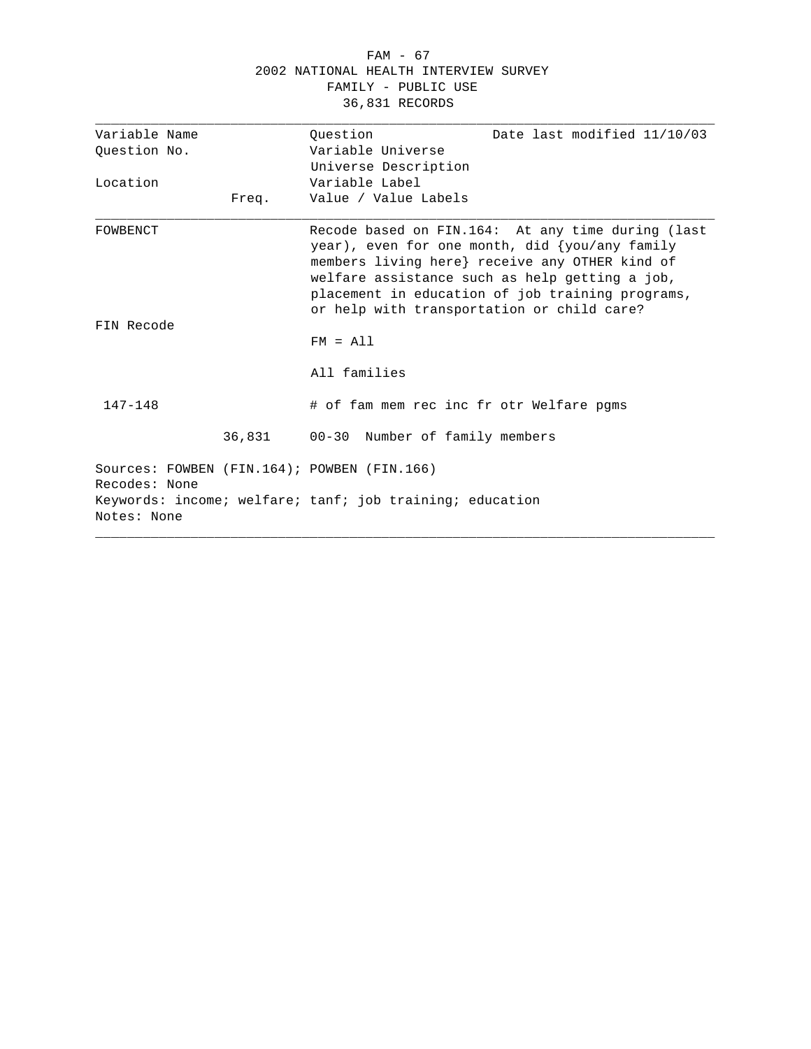#### FAM - 67 2002 NATIONAL HEALTH INTERVIEW SURVEY FAMILY - PUBLIC USE 36,831 RECORDS

| Variable Name |       | Date last modified 11/10/03<br>Ouestion                                                                                                                                                                                                                                                                      |
|---------------|-------|--------------------------------------------------------------------------------------------------------------------------------------------------------------------------------------------------------------------------------------------------------------------------------------------------------------|
| Question No.  |       | Variable Universe                                                                                                                                                                                                                                                                                            |
|               |       | Universe Description                                                                                                                                                                                                                                                                                         |
| Location      |       | Variable Label                                                                                                                                                                                                                                                                                               |
|               | Freq. | Value / Value Labels                                                                                                                                                                                                                                                                                         |
| FOWBENCT      |       | Recode based on FIN.164: At any time during (last<br>year), even for one month, did $\{you/any$ family<br>members living here} receive any OTHER kind of<br>welfare assistance such as help getting a job,<br>placement in education of job training programs,<br>or help with transportation or child care? |
| FIN Recode    |       | $FM = A11$                                                                                                                                                                                                                                                                                                   |
|               |       | All families                                                                                                                                                                                                                                                                                                 |
| $147 - 148$   |       | # of fam mem rec inc fr otr Welfare pqms                                                                                                                                                                                                                                                                     |
|               |       | 36,831 00-30 Number of family members                                                                                                                                                                                                                                                                        |
| Recodes: None |       | Sources: FOWBEN (FIN.164); POWBEN (FIN.166)                                                                                                                                                                                                                                                                  |
| Notes: None   |       | Keywords: income; welfare; tanf; job training; education                                                                                                                                                                                                                                                     |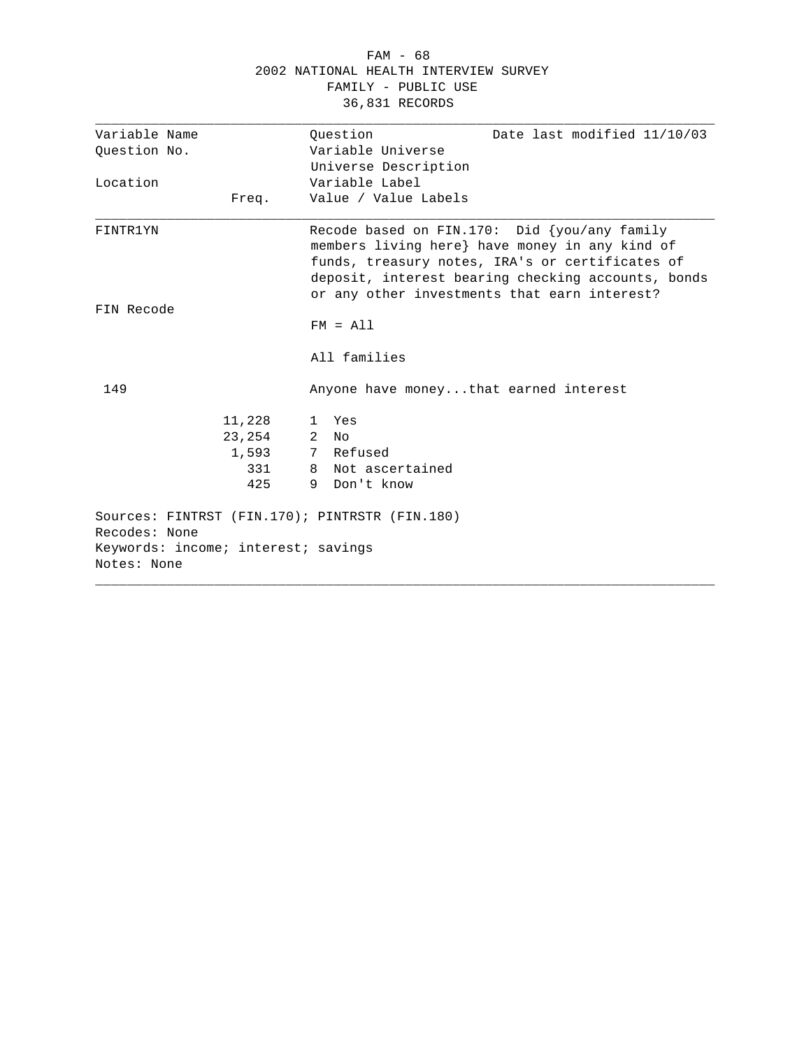|                                                                                                                       |       | 2002 NATIONAL HEALTH INTERVIEW SURVEY<br>FAMILY - PUBLIC USE<br>36,831 RECORDS |                                                                                                                                                                                                                                                            |
|-----------------------------------------------------------------------------------------------------------------------|-------|--------------------------------------------------------------------------------|------------------------------------------------------------------------------------------------------------------------------------------------------------------------------------------------------------------------------------------------------------|
| Variable Name<br>Question No.                                                                                         |       | Ouestion<br>Variable Universe                                                  | Date last modified 11/10/03                                                                                                                                                                                                                                |
|                                                                                                                       |       | Universe Description                                                           |                                                                                                                                                                                                                                                            |
| Location                                                                                                              |       | Variable Label                                                                 |                                                                                                                                                                                                                                                            |
| Freq.                                                                                                                 |       | Value / Value Labels                                                           |                                                                                                                                                                                                                                                            |
| FINTR1YN                                                                                                              |       |                                                                                | Recode based on FIN.170: Did $\{you/any family$<br>members living here} have money in any kind of<br>funds, treasury notes, IRA's or certificates of<br>deposit, interest bearing checking accounts, bonds<br>or any other investments that earn interest? |
| FIN Recode                                                                                                            |       | $FM = A11$                                                                     |                                                                                                                                                                                                                                                            |
|                                                                                                                       |       | All families                                                                   |                                                                                                                                                                                                                                                            |
| 149                                                                                                                   |       | Anyone have moneythat earned interest                                          |                                                                                                                                                                                                                                                            |
| 11,228                                                                                                                |       | 1 Yes                                                                          |                                                                                                                                                                                                                                                            |
| 23,254                                                                                                                |       | $2$ No                                                                         |                                                                                                                                                                                                                                                            |
|                                                                                                                       | 1,593 | 7 Refused                                                                      |                                                                                                                                                                                                                                                            |
|                                                                                                                       | 331   | 8 Not ascertained                                                              |                                                                                                                                                                                                                                                            |
|                                                                                                                       | 425   | 9 Don't know                                                                   |                                                                                                                                                                                                                                                            |
| Sources: FINTRST (FIN.170); PINTRSTR (FIN.180)<br>Recodes: None<br>Keywords: income; interest; savings<br>Notes: None |       |                                                                                |                                                                                                                                                                                                                                                            |
|                                                                                                                       |       |                                                                                |                                                                                                                                                                                                                                                            |

FAM - 68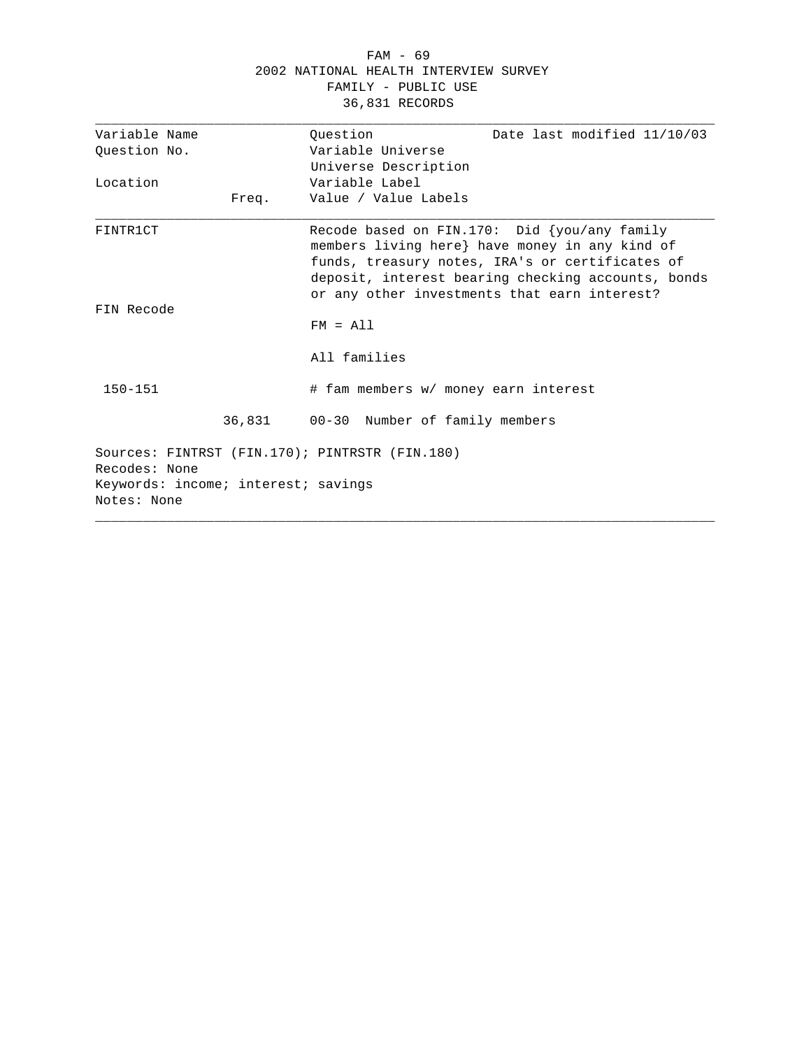#### FAM - 69 2002 NATIONAL HEALTH INTERVIEW SURVEY FAMILY - PUBLIC USE 36,831 RECORDS

| Variable Name                                        |            | Date last modified 11/10/03<br>Ouestion                                                                                                                                                                                                                    |
|------------------------------------------------------|------------|------------------------------------------------------------------------------------------------------------------------------------------------------------------------------------------------------------------------------------------------------------|
| Ouestion No.                                         |            | Variable Universe                                                                                                                                                                                                                                          |
|                                                      |            | Universe Description                                                                                                                                                                                                                                       |
| Location                                             |            | Variable Label                                                                                                                                                                                                                                             |
|                                                      | Freq.      | Value / Value Labels                                                                                                                                                                                                                                       |
| FINTR1CT                                             |            | Recode based on FIN.170: Did $\{you/any family$<br>members living here} have money in any kind of<br>funds, treasury notes, IRA's or certificates of<br>deposit, interest bearing checking accounts, bonds<br>or any other investments that earn interest? |
| FIN Recode                                           | $FM = A11$ |                                                                                                                                                                                                                                                            |
|                                                      |            | All families                                                                                                                                                                                                                                               |
| $150 - 151$                                          |            | # fam members w/ money earn interest                                                                                                                                                                                                                       |
|                                                      |            | 36,831 00-30 Number of family members                                                                                                                                                                                                                      |
| Recodes: None<br>Keywords: income; interest; savings |            | Sources: FINTRST (FIN.170); PINTRSTR (FIN.180)                                                                                                                                                                                                             |
| Notes: None                                          |            |                                                                                                                                                                                                                                                            |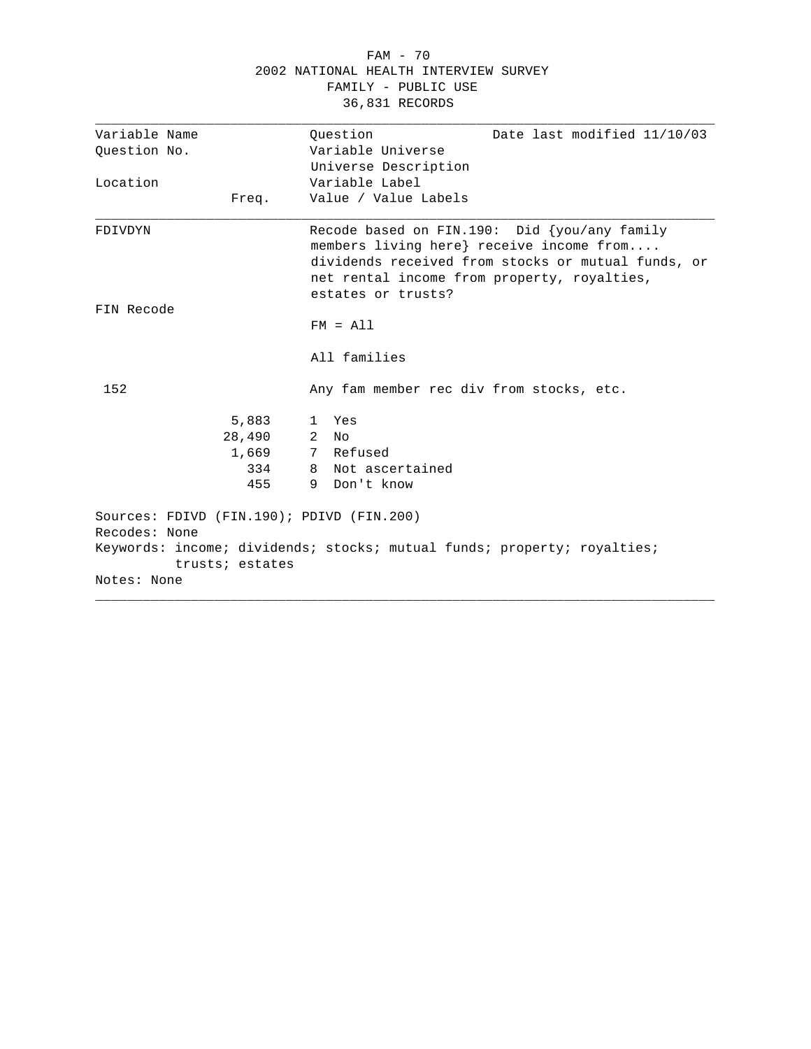|                                                                                              | 2002 NATIONAL HEALTH INTERVIEW SURVEY<br>FAMILY - PUBLIC USE<br>36,831 RECORDS                                                                                                                                      |
|----------------------------------------------------------------------------------------------|---------------------------------------------------------------------------------------------------------------------------------------------------------------------------------------------------------------------|
| Variable Name<br>Question No.                                                                | Date last modified 11/10/03<br>Question<br>Variable Universe<br>Universe Description                                                                                                                                |
| Location<br>Freq.                                                                            | Variable Label<br>Value / Value Labels                                                                                                                                                                              |
| FDIVDYN                                                                                      | Recode based on FIN.190: Did {you/any family<br>members living here} receive income from<br>dividends received from stocks or mutual funds, or<br>net rental income from property, royalties,<br>estates or trusts? |
| FIN Recode                                                                                   | $FM = A11$<br>All families                                                                                                                                                                                          |
| 152                                                                                          | Any fam member rec div from stocks, etc.                                                                                                                                                                            |
| 5,883<br>28,490<br>1,669<br>334<br>455                                                       | Yes<br>$\mathbf{1}$<br>$2^{\circ}$<br>No<br>7 Refused<br>Not ascertained<br>8<br>Don't know<br>9                                                                                                                    |
| Sources: FDIVD (FIN.190); PDIVD (FIN.200)<br>Recodes: None<br>trusts; estates<br>Notes: None | Keywords: income; dividends; stocks; mutual funds; property; royalties;                                                                                                                                             |

FAM - 70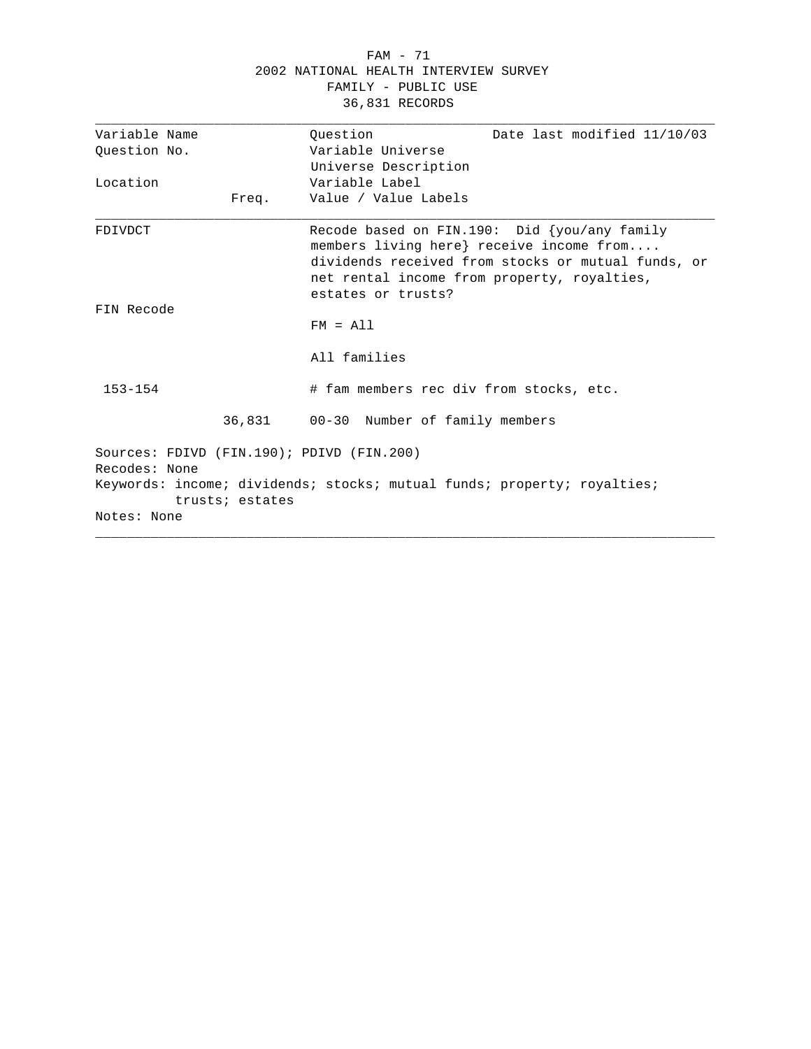#### FAM - 71 2002 NATIONAL HEALTH INTERVIEW SURVEY FAMILY - PUBLIC USE 36,831 RECORDS

| Variable Name |                 | Date last modified 11/10/03                                                                                                                                                                                            |
|---------------|-----------------|------------------------------------------------------------------------------------------------------------------------------------------------------------------------------------------------------------------------|
|               |                 | Ouestion<br>Variable Universe                                                                                                                                                                                          |
| Question No.  |                 |                                                                                                                                                                                                                        |
|               |                 | Universe Description                                                                                                                                                                                                   |
| Location      |                 | Variable Label                                                                                                                                                                                                         |
|               | Freq.           | Value / Value Labels                                                                                                                                                                                                   |
| FDIVDCT       |                 | Recode based on FIN.190: Did $\{you/any$ family<br>members living here} receive income from<br>dividends received from stocks or mutual funds, or<br>net rental income from property, royalties,<br>estates or trusts? |
| FIN Recode    |                 |                                                                                                                                                                                                                        |
|               |                 | $FM = A11$                                                                                                                                                                                                             |
|               |                 | All families                                                                                                                                                                                                           |
| $153 - 154$   |                 | # fam members rec div from stocks, etc.                                                                                                                                                                                |
|               | 36,831          | 00-30 Number of family members                                                                                                                                                                                         |
| Recodes: None |                 | Sources: FDIVD (FIN.190); PDIVD (FIN.200)                                                                                                                                                                              |
|               | trusts; estates | Keywords: income; dividends; stocks; mutual funds; property; royalties;                                                                                                                                                |
| Notes: None   |                 |                                                                                                                                                                                                                        |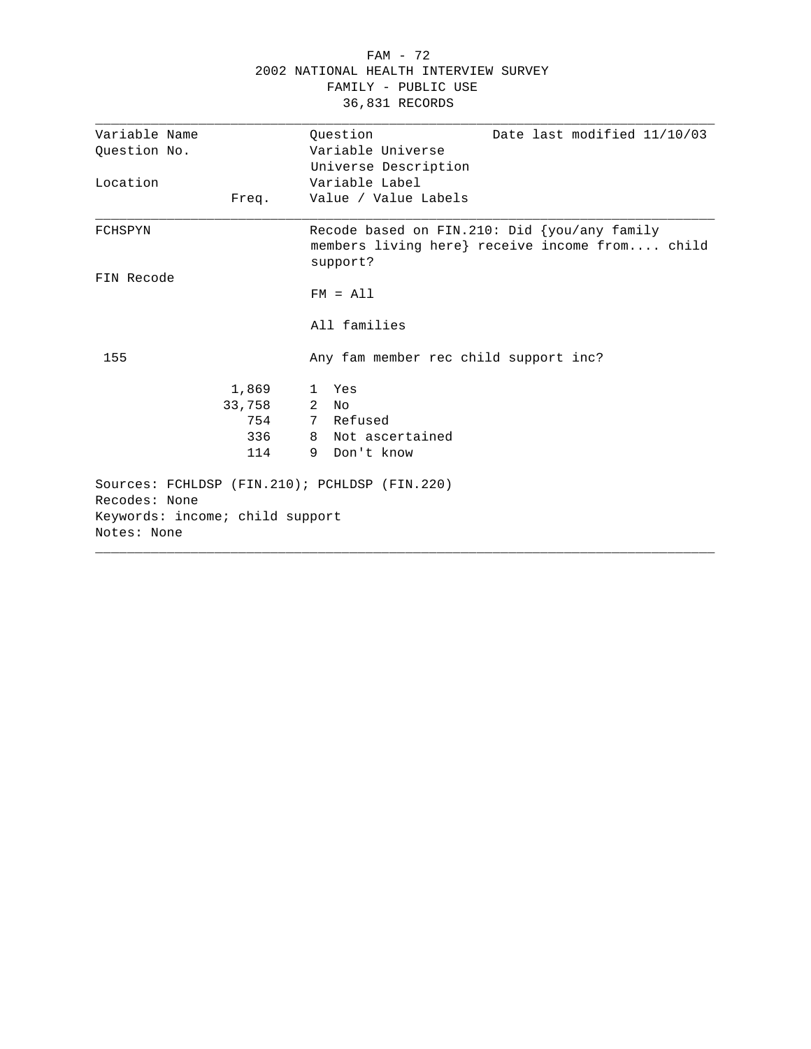|                                                                | 2002 NATIONAL HEALTH INTERVIEW SURVEY<br>FAMILY - PUBLIC USE<br>36,831 RECORDS                             |
|----------------------------------------------------------------|------------------------------------------------------------------------------------------------------------|
| Variable Name                                                  | Ouestion<br>Date last modified 11/10/03                                                                    |
| Ouestion No.                                                   | Variable Universe<br>Universe Description                                                                  |
| Location                                                       | Variable Label                                                                                             |
| Freq.                                                          | Value / Value Labels                                                                                       |
| FCHSPYN                                                        | Recode based on FIN.210: Did {you/any family<br>members living here} receive income from child<br>support? |
| FIN Recode                                                     |                                                                                                            |
|                                                                | $FM = A11$                                                                                                 |
|                                                                | All families                                                                                               |
| 155                                                            | Any fam member rec child support inc?                                                                      |
| 1,869                                                          | 1 Yes                                                                                                      |
| 33,758                                                         | $2$ No                                                                                                     |
| 754                                                            | 7 Refused                                                                                                  |
| 336                                                            | 8 Not ascertained                                                                                          |
| 114                                                            | 9 Don't know                                                                                               |
| Sources: FCHLDSP (FIN.210); PCHLDSP (FIN.220)<br>Recodes: None |                                                                                                            |
| Keywords: income; child support<br>Notes: None                 |                                                                                                            |

FAM - 72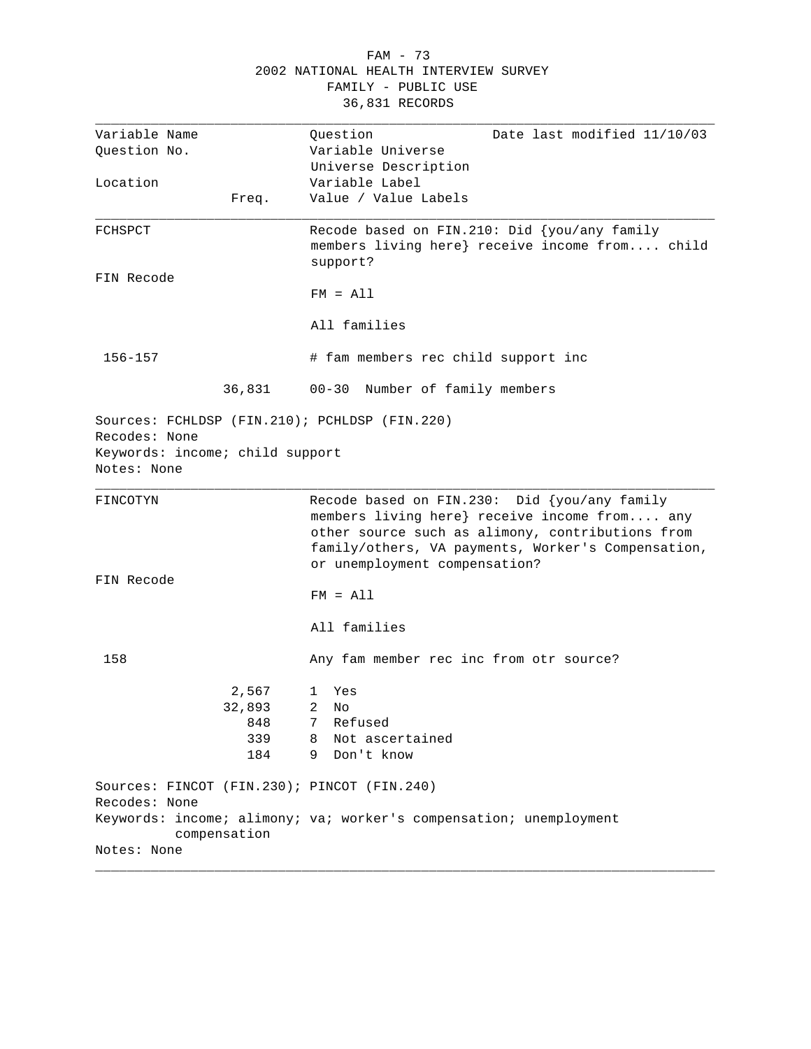|                                                | FAMILY - PUBLIC USE<br>36,831 RECORDS                                                                                                            |
|------------------------------------------------|--------------------------------------------------------------------------------------------------------------------------------------------------|
| Variable Name                                  | Date last modified 11/10/03<br>Question                                                                                                          |
| Question No.                                   | Variable Universe<br>Universe Description                                                                                                        |
| Location                                       | Variable Label                                                                                                                                   |
| Freq.                                          | Value / Value Labels                                                                                                                             |
| FCHSPCT                                        | Recode based on FIN.210: Did $\{you/any family$<br>members living here} receive income from child<br>support?                                    |
| FIN Recode                                     | $FM = A11$                                                                                                                                       |
|                                                | All families                                                                                                                                     |
| 156-157                                        | # fam members rec child support inc                                                                                                              |
| 36,831                                         | 00-30 Number of family members                                                                                                                   |
| Keywords: income; child support<br>Notes: None |                                                                                                                                                  |
| FINCOTYN                                       | Recode based on FIN.230: Did {you/any family<br>members living here} receive income from any<br>other source such as alimony, contributions from |
|                                                | family/others, VA payments, Worker's Compensation,<br>or unemployment compensation?                                                              |
| FIN Recode                                     |                                                                                                                                                  |
|                                                | $FM = A11$                                                                                                                                       |
|                                                | All families                                                                                                                                     |
| 158                                            | Any fam member rec inc from otr source?                                                                                                          |
| 2,567                                          | 1<br>Yes                                                                                                                                         |
| 32,893                                         | 2<br>No                                                                                                                                          |
| 848                                            | 7<br>Refused                                                                                                                                     |
| 339                                            | Not ascertained<br>8                                                                                                                             |
| 184                                            | 9<br>Don't know                                                                                                                                  |
| Sources: FINCOT (FIN.230); PINCOT (FIN.240)    |                                                                                                                                                  |
| Recodes: None                                  | Keywords: income; alimony; va; worker's compensation; unemployment                                                                               |
| compensation<br>Notes: None                    |                                                                                                                                                  |
|                                                |                                                                                                                                                  |

## FAM - 73 2002 NATIONAL HEALTH INTERVIEW SURVEY FAMILY - PUBLIC USE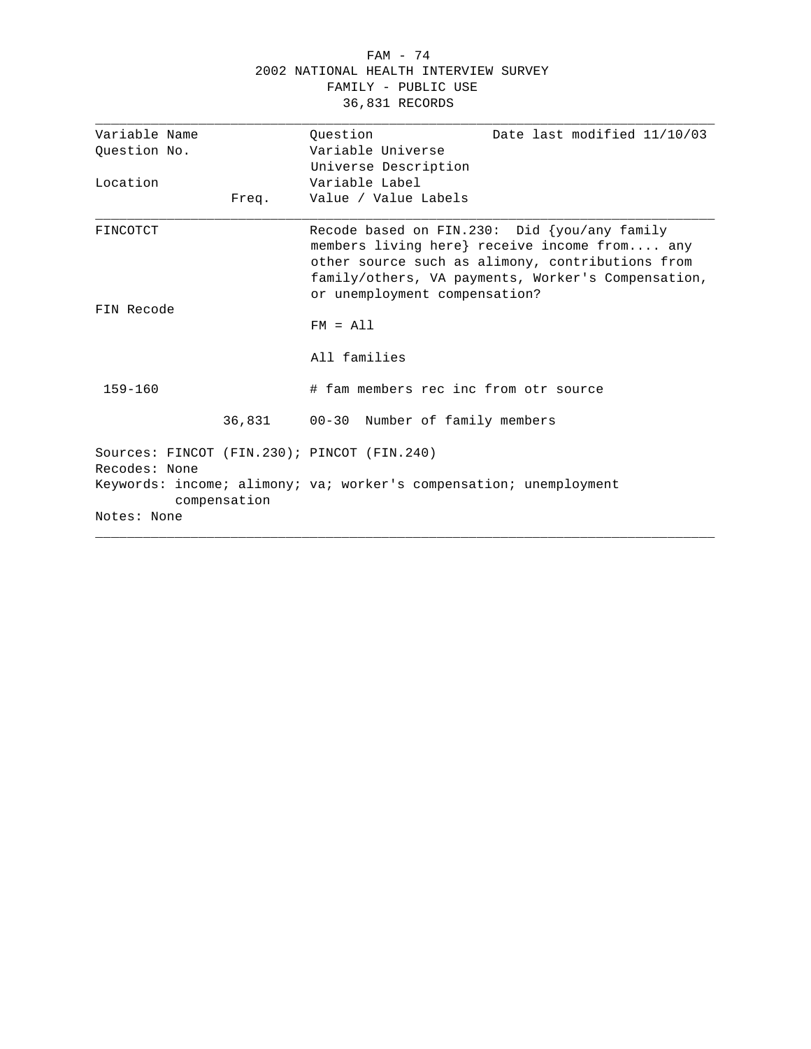#### FAM - 74 2002 NATIONAL HEALTH INTERVIEW SURVEY FAMILY - PUBLIC USE 36,831 RECORDS

| Variable Name |              | Date last modified 11/10/03<br>Ouestion                                                                                                                                                                                                    |
|---------------|--------------|--------------------------------------------------------------------------------------------------------------------------------------------------------------------------------------------------------------------------------------------|
| Question No.  |              | Variable Universe                                                                                                                                                                                                                          |
|               |              | Universe Description                                                                                                                                                                                                                       |
| Location      |              | Variable Label                                                                                                                                                                                                                             |
|               | Freq.        | Value / Value Labels                                                                                                                                                                                                                       |
| FINCOTCT      |              | Recode based on FIN.230: Did $\{you/any family$<br>members living here} receive income from any<br>other source such as alimony, contributions from<br>family/others, VA payments, Worker's Compensation,<br>or unemployment compensation? |
| FIN Recode    |              |                                                                                                                                                                                                                                            |
|               |              | $FM = A11$                                                                                                                                                                                                                                 |
|               |              | All families                                                                                                                                                                                                                               |
| $159 - 160$   |              | # fam members rec inc from otr source                                                                                                                                                                                                      |
|               | 36,831       | 00-30 Number of family members                                                                                                                                                                                                             |
| Recodes: None |              | Sources: FINCOT (FIN.230); PINCOT (FIN.240)                                                                                                                                                                                                |
|               | compensation | Keywords: income; alimony; va; worker's compensation; unemployment                                                                                                                                                                         |
| Notes: None   |              |                                                                                                                                                                                                                                            |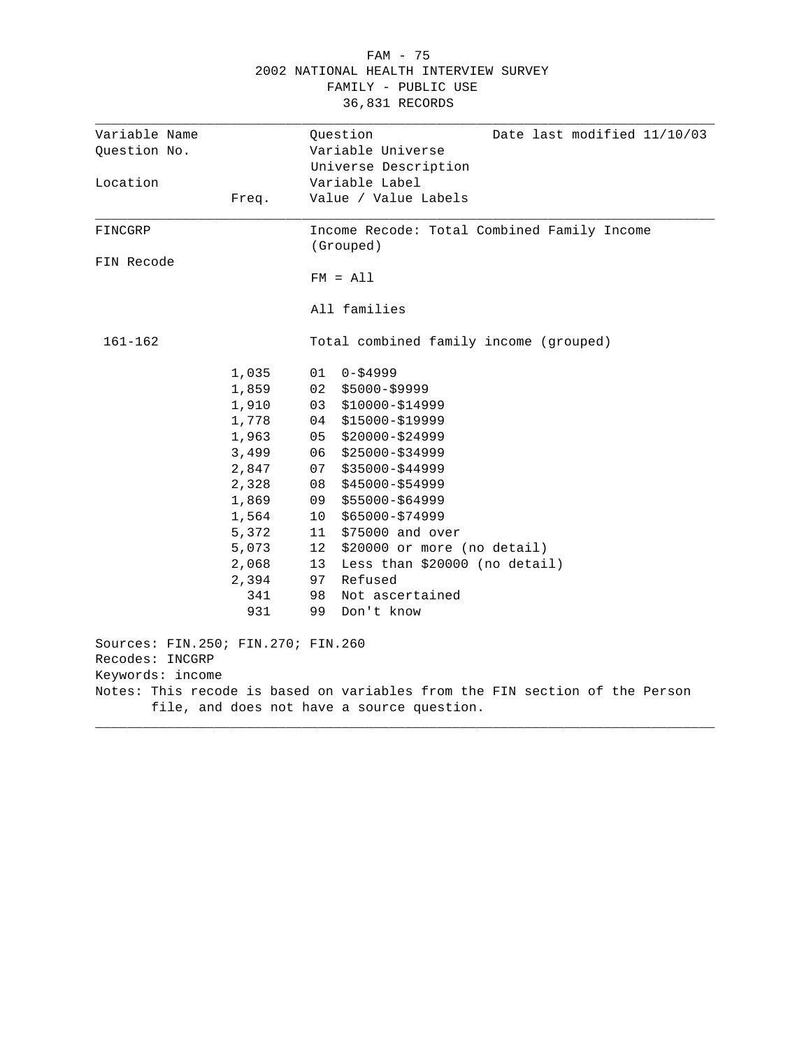| Variable Name                      |       | Question<br>Date last modified 11/10/03                                     |
|------------------------------------|-------|-----------------------------------------------------------------------------|
| Question No.                       |       | Variable Universe                                                           |
|                                    |       | Universe Description                                                        |
| Location                           |       | Variable Label                                                              |
|                                    | Freq. | Value / Value Labels                                                        |
| FINCGRP                            |       | Income Recode: Total Combined Family Income                                 |
|                                    |       | (Grouped)                                                                   |
| FIN Recode                         |       | $FM = A11$                                                                  |
|                                    |       |                                                                             |
|                                    |       | All families                                                                |
| 161-162                            |       | Total combined family income (grouped)                                      |
|                                    | 1,035 | 01<br>$0 - $4999$                                                           |
|                                    | 1,859 | 02<br>\$5000-\$9999                                                         |
|                                    | 1,910 | 03<br>$$10000 - $14999$                                                     |
|                                    | 1,778 | \$15000-\$19999<br>04                                                       |
|                                    | 1,963 | \$20000-\$24999<br>05                                                       |
|                                    | 3,499 | $$25000 - $34999$<br>06                                                     |
|                                    | 2,847 | 07<br>$$35000 - $44999$                                                     |
|                                    | 2,328 | $$45000 - $54999$<br>08                                                     |
|                                    | 1,869 | \$55000-\$64999<br>09                                                       |
|                                    | 1,564 | 10<br>\$65000-\$74999                                                       |
|                                    | 5,372 | \$75000 and over<br>11                                                      |
|                                    | 5,073 | \$20000 or more (no detail)<br>12                                           |
|                                    | 2,068 | Less than \$20000 (no detail)<br>13                                         |
|                                    | 2,394 | Refused<br>97                                                               |
|                                    | 341   | 98<br>Not ascertained                                                       |
|                                    | 931   | 99<br>Don't know                                                            |
| Sources: FIN.250; FIN.270; FIN.260 |       |                                                                             |
| Recodes: INCGRP                    |       |                                                                             |
| Keywords: income                   |       |                                                                             |
|                                    |       | Notes: This recode is based on variables from the FIN section of the Person |

### FAM - 75 2002 NATIONAL HEALTH INTERVIEW SURVEY FAMILY - PUBLIC USE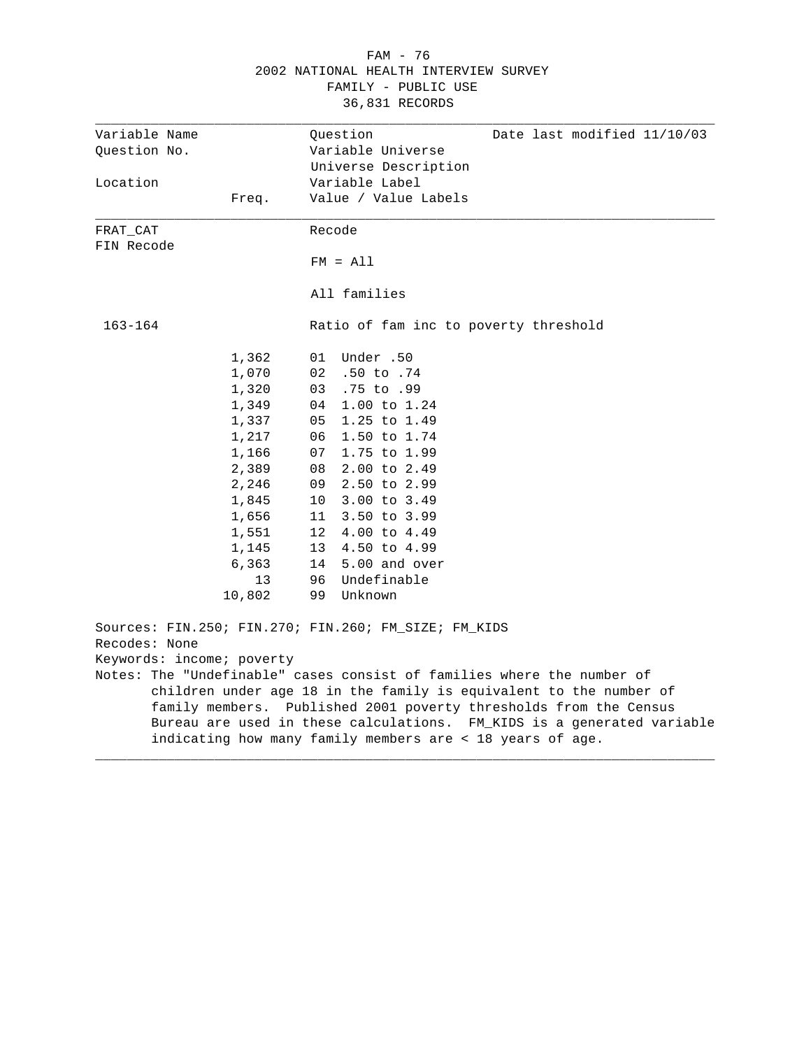|                           |        | 2002 NATIONAL HEALTH INTERVIEW SURVEY<br>FAMILY - PUBLIC USE<br>36,831 RECORDS                                                              |
|---------------------------|--------|---------------------------------------------------------------------------------------------------------------------------------------------|
| Variable Name             |        | Date last modified 11/10/03<br>Question                                                                                                     |
| Question No.              |        | Variable Universe                                                                                                                           |
|                           |        | Universe Description                                                                                                                        |
| Location                  |        | Variable Label                                                                                                                              |
|                           | Freq.  | Value / Value Labels                                                                                                                        |
| FRAT CAT                  |        | Recode                                                                                                                                      |
| FIN Recode                |        | $FM = A11$                                                                                                                                  |
|                           |        | All families                                                                                                                                |
| 163-164                   |        | Ratio of fam inc to poverty threshold                                                                                                       |
|                           | 1,362  | 50. Under<br>01                                                                                                                             |
|                           | 1,070  | 02<br>$.50$ to $.74$                                                                                                                        |
|                           | 1,320  | .75 to .99<br>03                                                                                                                            |
|                           | 1,349  | 1.00 to 1.24<br>04                                                                                                                          |
|                           | 1,337  | 1.25 to 1.49<br>05                                                                                                                          |
|                           | 1,217  | 1.50 to 1.74<br>06                                                                                                                          |
|                           | 1,166  | 1.75 to 1.99<br>07                                                                                                                          |
|                           | 2,389  | 08<br>$2.00$ to $2.49$                                                                                                                      |
|                           | 2,246  | 2.50 to 2.99<br>09                                                                                                                          |
|                           | 1,845  | 3.00 to 3.49<br>10                                                                                                                          |
|                           | 1,656  | 3.50 to 3.99<br>11 -                                                                                                                        |
|                           | 1,551  | 12 <sub>1</sub><br>4.00 to 4.49                                                                                                             |
|                           | 1,145  | 13<br>4.50 to 4.99                                                                                                                          |
|                           | 6,363  | 14<br>5.00 and over                                                                                                                         |
|                           | 13     | Undefinable<br>96                                                                                                                           |
|                           | 10,802 | Unknown<br>99                                                                                                                               |
|                           |        | Sources: FIN.250; FIN.270; FIN.260; FM_SIZE; FM_KIDS                                                                                        |
| Recodes: None             |        |                                                                                                                                             |
| Keywords: income; poverty |        |                                                                                                                                             |
|                           |        | Notes: The "Undefinable" cases consist of families where the number of                                                                      |
|                           |        | children under age 18 in the family is equivalent to the number of                                                                          |
|                           |        | family members. Published 2001 poverty thresholds from the Census<br>Bureau are used in these calculations. FM KIDS is a generated variable |
|                           |        | indicating how many family members are < 18 years of age.                                                                                   |
|                           |        |                                                                                                                                             |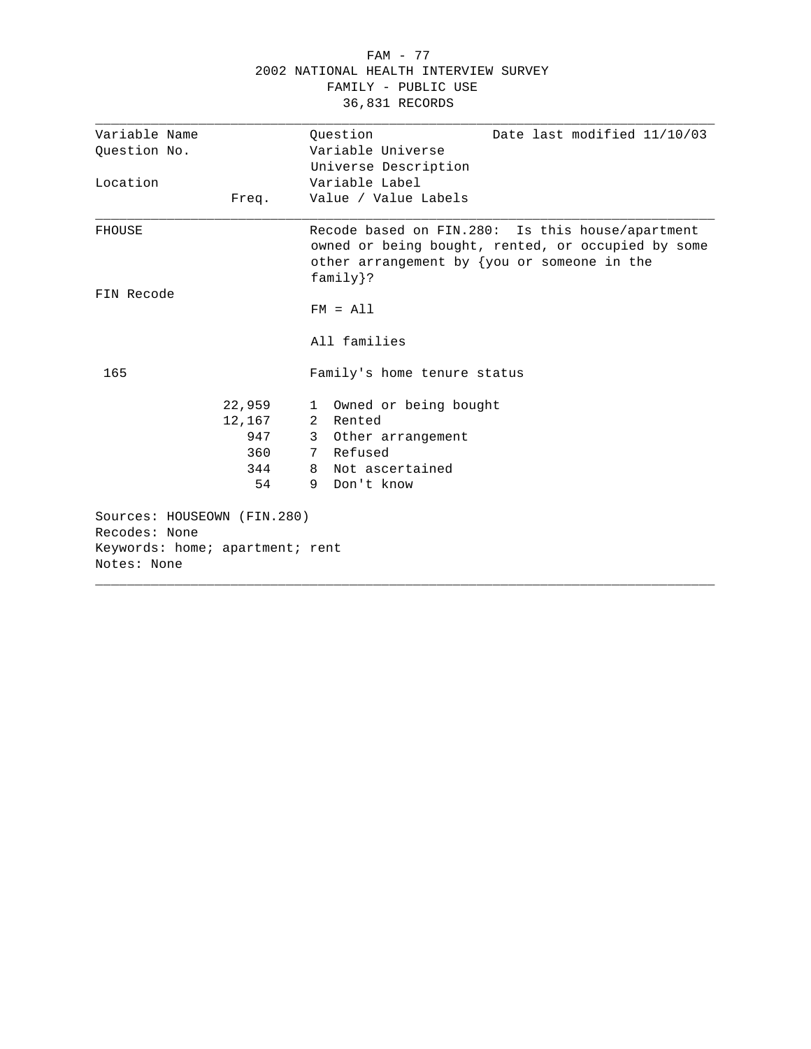|                                              |        |   | 36,831 RECORDS              |                                                                                                                                                          |
|----------------------------------------------|--------|---|-----------------------------|----------------------------------------------------------------------------------------------------------------------------------------------------------|
| Variable Name                                |        |   | Ouestion                    | Date last modified 11/10/03                                                                                                                              |
| Question No.                                 |        |   | Variable Universe           |                                                                                                                                                          |
|                                              |        |   | Universe Description        |                                                                                                                                                          |
| Location                                     |        |   | Variable Label              |                                                                                                                                                          |
|                                              | Freq.  |   | Value / Value Labels        |                                                                                                                                                          |
| <b>FHOUSE</b>                                |        |   | $family$ ?                  | Recode based on FIN.280: Is this house/apartment<br>owned or being bought, rented, or occupied by some<br>other arrangement by $\{you or someone in the$ |
| FIN Recode                                   |        |   |                             |                                                                                                                                                          |
|                                              |        |   | $FM = A11$                  |                                                                                                                                                          |
|                                              |        |   | All families                |                                                                                                                                                          |
| 165                                          |        |   | Family's home tenure status |                                                                                                                                                          |
|                                              | 22,959 | 1 | Owned or being bought       |                                                                                                                                                          |
|                                              | 12,167 |   | 2 Rented                    |                                                                                                                                                          |
|                                              | 947    |   | 3 Other arrangement         |                                                                                                                                                          |
|                                              | 360    |   | 7 Refused                   |                                                                                                                                                          |
|                                              | 344    | 8 | Not ascertained             |                                                                                                                                                          |
|                                              | 54     | 9 | Don't know                  |                                                                                                                                                          |
| Sources: HOUSEOWN (FIN.280)<br>Recodes: None |        |   |                             |                                                                                                                                                          |
| Keywords: home; apartment; rent              |        |   |                             |                                                                                                                                                          |
| Notes: None                                  |        |   |                             |                                                                                                                                                          |
|                                              |        |   |                             |                                                                                                                                                          |

## FAM - 77 2002 NATIONAL HEALTH INTERVIEW SURVEY FAMILY - PUBLIC USE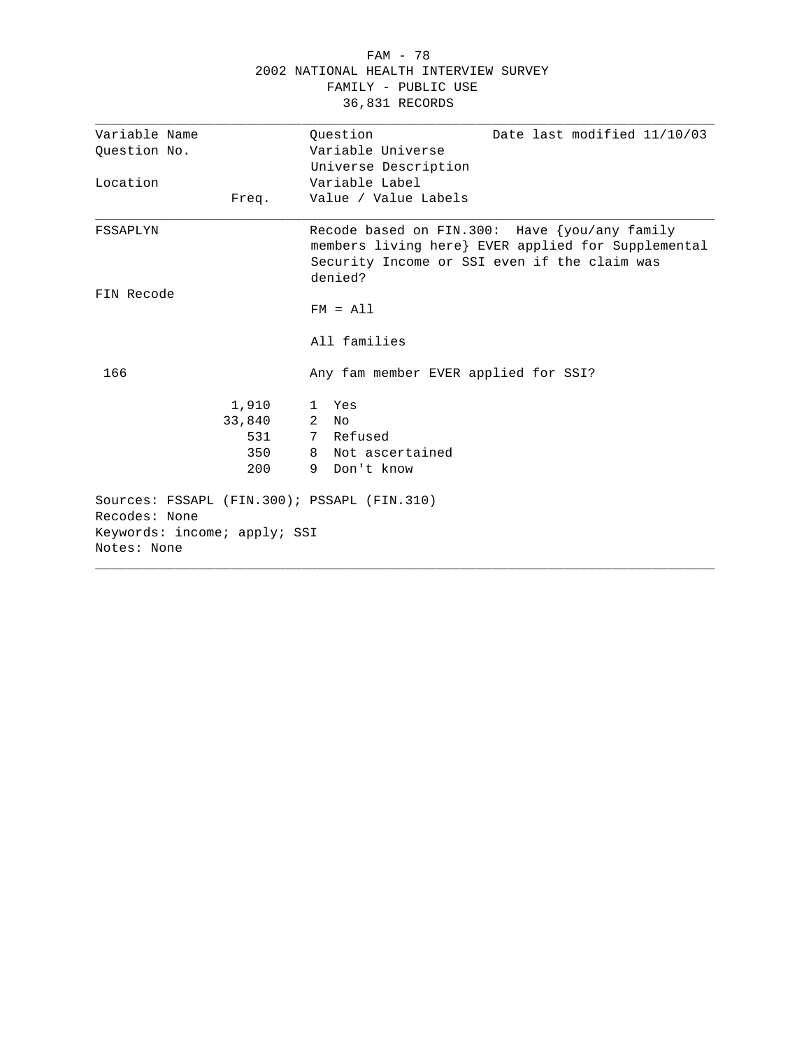|                                                              | FAMILY - PUBLIC USE<br>36,831 RECORDS                                                                                                                          |
|--------------------------------------------------------------|----------------------------------------------------------------------------------------------------------------------------------------------------------------|
| Variable Name                                                | Question<br>Date last modified 11/10/03                                                                                                                        |
| Ouestion No.                                                 | Variable Universe                                                                                                                                              |
|                                                              | Universe Description                                                                                                                                           |
| Location                                                     | Variable Label                                                                                                                                                 |
| Freq.                                                        | Value / Value Labels                                                                                                                                           |
| FSSAPLYN                                                     | Recode based on FIN.300: Have {you/any family<br>members living here} EVER applied for Supplemental<br>Security Income or SSI even if the claim was<br>denied? |
| FIN Recode                                                   |                                                                                                                                                                |
|                                                              | $FM = A11$                                                                                                                                                     |
|                                                              | All families                                                                                                                                                   |
| 166                                                          | Any fam member EVER applied for SSI?                                                                                                                           |
| 1,910                                                        | Yes<br>$\mathbf{1}$                                                                                                                                            |
| 33,840                                                       | $\overline{2}$<br>N <sub>O</sub>                                                                                                                               |
| 531                                                          | 7 Refused                                                                                                                                                      |
| 350                                                          | 8 Not ascertained                                                                                                                                              |
| 200                                                          | 9 Don't know                                                                                                                                                   |
| Sources: FSSAPL (FIN.300); PSSAPL (FIN.310)<br>Recodes: None |                                                                                                                                                                |
| Keywords: income; apply; SSI<br>Notes: None                  |                                                                                                                                                                |

 FAM - 78 2002 NATIONAL HEALTH INTERVIEW SURVEY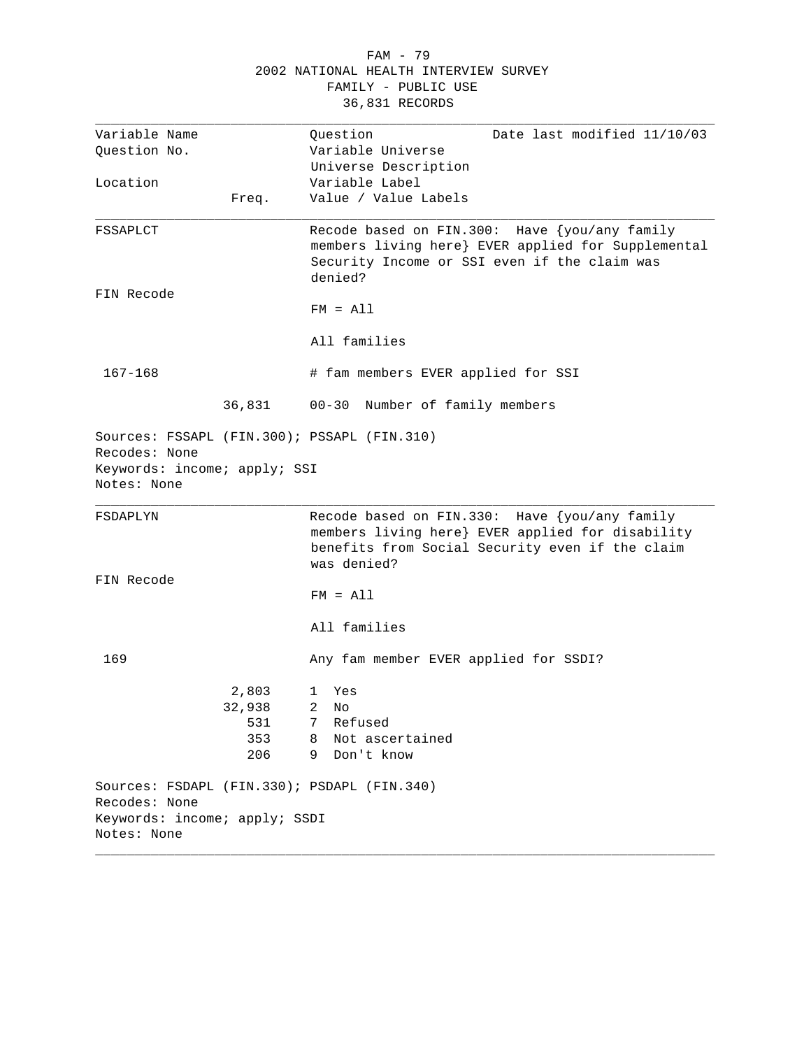|                                                               |        | 2002 NATIONAL HEALTH INTERVIEW SURVEY<br>FAMILY - PUBLIC USE<br>36,831 RECORDS                                                                                      |
|---------------------------------------------------------------|--------|---------------------------------------------------------------------------------------------------------------------------------------------------------------------|
| Variable Name                                                 |        | Date last modified 11/10/03<br>Question                                                                                                                             |
| Question No.                                                  |        | Variable Universe                                                                                                                                                   |
|                                                               |        | Universe Description<br>Variable Label                                                                                                                              |
| Location                                                      | Freq.  | Value / Value Labels                                                                                                                                                |
|                                                               |        |                                                                                                                                                                     |
| FSSAPLCT                                                      |        | Recode based on FIN.300: Have {you/any family<br>members living here} EVER applied for Supplemental<br>Security Income or SSI even if the claim was<br>denied?      |
| FIN Recode                                                    |        |                                                                                                                                                                     |
|                                                               |        | $FM = A11$                                                                                                                                                          |
|                                                               |        | All families                                                                                                                                                        |
| $167 - 168$                                                   |        | # fam members EVER applied for SSI                                                                                                                                  |
|                                                               | 36,831 | $00 - 30$<br>Number of family members                                                                                                                               |
| Recodes: None<br>Keywords: income; apply; SSI<br>Notes: None  |        | Sources: FSSAPL (FIN.300); PSSAPL (FIN.310)                                                                                                                         |
|                                                               |        |                                                                                                                                                                     |
| FSDAPLYN                                                      |        | Recode based on FIN.330: Have {you/any family<br>members living here} EVER applied for disability<br>benefits from Social Security even if the claim<br>was denied? |
| FIN Recode                                                    |        |                                                                                                                                                                     |
|                                                               |        | $FM = A11$                                                                                                                                                          |
|                                                               |        | All families                                                                                                                                                        |
| 169                                                           |        | Any fam member EVER applied for SSDI?                                                                                                                               |
|                                                               | 2,803  | Yes<br>1                                                                                                                                                            |
|                                                               | 32,938 | 2<br>No                                                                                                                                                             |
|                                                               | 531    | 7<br>Refused                                                                                                                                                        |
|                                                               | 353    | Not ascertained<br>8                                                                                                                                                |
|                                                               | 206    | Don't know<br>9                                                                                                                                                     |
| Recodes: None<br>Keywords: income; apply; SSDI<br>Notes: None |        | Sources: FSDAPL (FIN.330); PSDAPL (FIN.340)                                                                                                                         |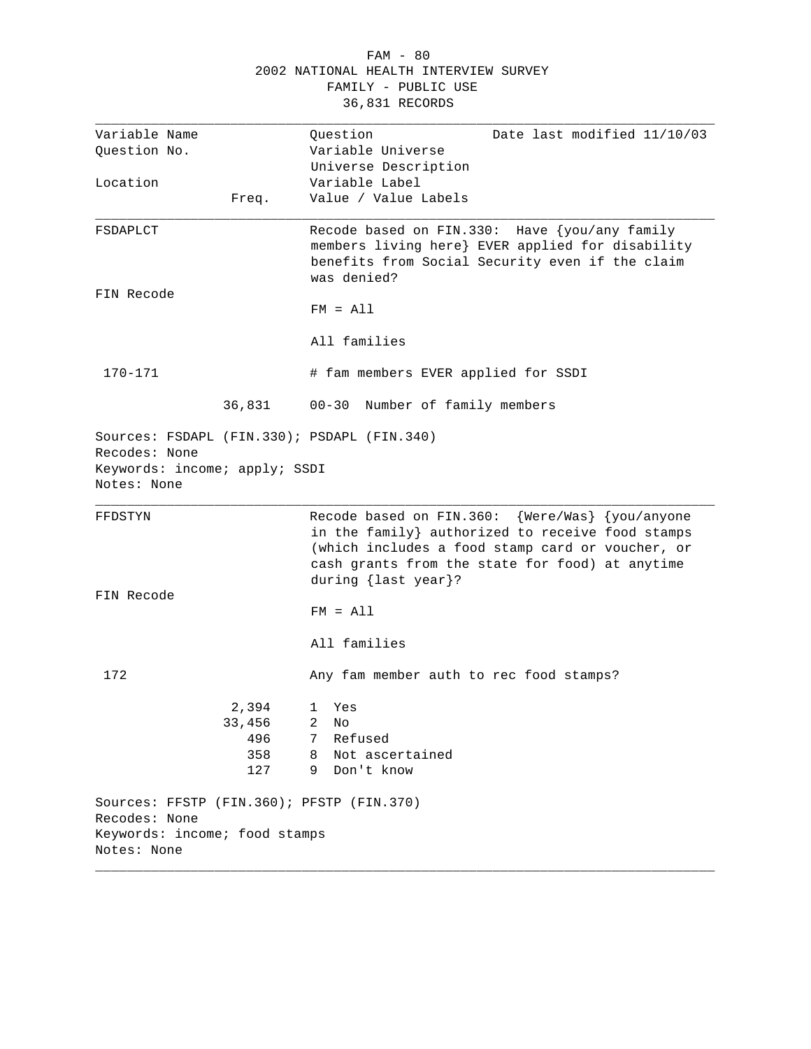|                                                               |        | 2002 NATIONAL HEALTH INTERVIEW SURVEY                                                                                                                                                                                             |
|---------------------------------------------------------------|--------|-----------------------------------------------------------------------------------------------------------------------------------------------------------------------------------------------------------------------------------|
|                                                               |        | FAMILY - PUBLIC USE                                                                                                                                                                                                               |
|                                                               |        | 36,831 RECORDS                                                                                                                                                                                                                    |
| Variable Name                                                 |        | Date last modified 11/10/03<br>Question                                                                                                                                                                                           |
| Question No.                                                  |        | Variable Universe                                                                                                                                                                                                                 |
|                                                               |        | Universe Description                                                                                                                                                                                                              |
| Location                                                      |        | Variable Label                                                                                                                                                                                                                    |
|                                                               | Freq.  | Value / Value Labels                                                                                                                                                                                                              |
| FSDAPLCT                                                      |        | Recode based on FIN.330: Have {you/any family<br>members living here} EVER applied for disability<br>benefits from Social Security even if the claim<br>was denied?                                                               |
| FIN Recode                                                    |        | $FM = A11$                                                                                                                                                                                                                        |
|                                                               |        | All families                                                                                                                                                                                                                      |
| $170 - 171$                                                   |        | # fam members EVER applied for SSDI                                                                                                                                                                                               |
|                                                               | 36,831 | $00 - 30$<br>Number of family members                                                                                                                                                                                             |
| Recodes: None<br>Keywords: income; apply; SSDI<br>Notes: None |        | Sources: FSDAPL (FIN.330); PSDAPL (FIN.340)                                                                                                                                                                                       |
|                                                               |        |                                                                                                                                                                                                                                   |
| FFDSTYN                                                       |        | Recode based on FIN.360: {Were/Was} {you/anyone<br>in the family} authorized to receive food stamps<br>(which includes a food stamp card or voucher, or<br>cash grants from the state for food) at anytime<br>during {last year}? |
| FIN Recode                                                    |        |                                                                                                                                                                                                                                   |
|                                                               |        | $FM = A11$                                                                                                                                                                                                                        |
|                                                               |        | All families                                                                                                                                                                                                                      |
| 172                                                           |        | Any fam member auth to rec food stamps?                                                                                                                                                                                           |
|                                                               | 2,394  | Yes<br>1                                                                                                                                                                                                                          |
|                                                               | 33,456 | $\overline{2}$<br>No                                                                                                                                                                                                              |
|                                                               | 496    | Refused<br>7                                                                                                                                                                                                                      |
|                                                               | 358    | Not ascertained<br>8                                                                                                                                                                                                              |
|                                                               | 127    | Don't know<br>9                                                                                                                                                                                                                   |
|                                                               |        | Sources: FFSTP (FIN.360); PFSTP (FIN.370)                                                                                                                                                                                         |
| Recodes: None<br>Keywords: income; food stamps                |        |                                                                                                                                                                                                                                   |
| Notes: None                                                   |        |                                                                                                                                                                                                                                   |
|                                                               |        |                                                                                                                                                                                                                                   |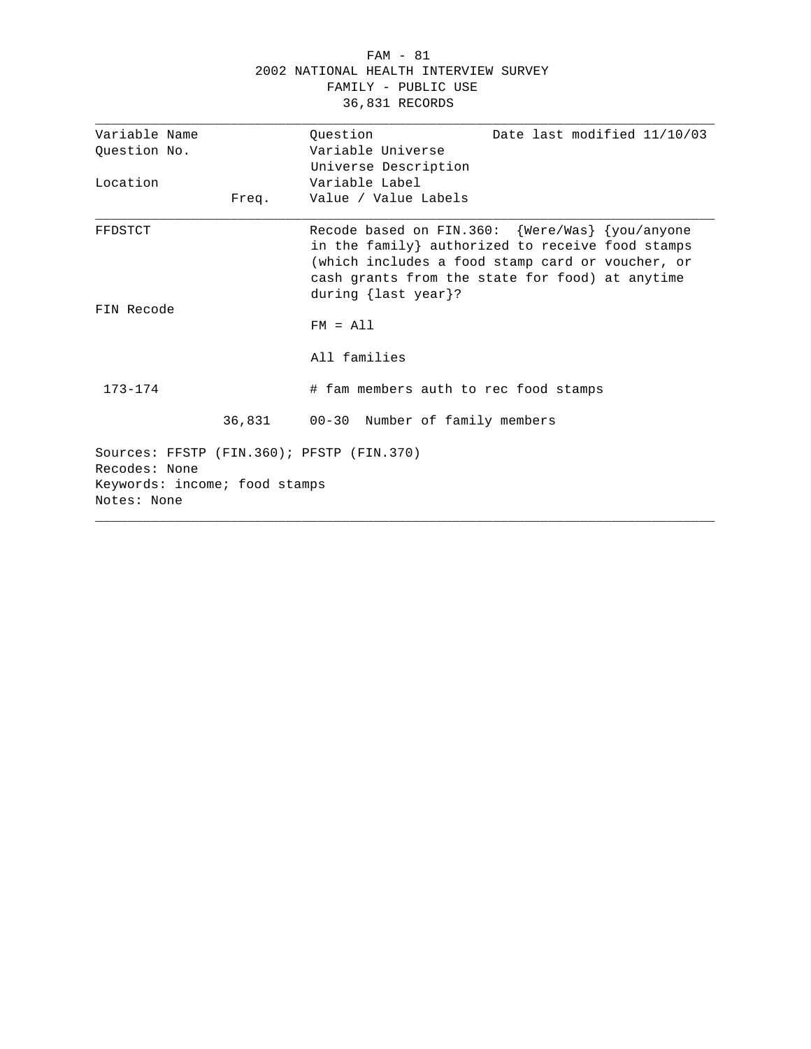#### FAM - 81 2002 NATIONAL HEALTH INTERVIEW SURVEY FAMILY - PUBLIC USE 36,831 RECORDS

| Variable Name                                              | Question<br>Date last modified 11/10/03                                                                                                                                                                                           |
|------------------------------------------------------------|-----------------------------------------------------------------------------------------------------------------------------------------------------------------------------------------------------------------------------------|
| Ouestion No.                                               | Variable Universe                                                                                                                                                                                                                 |
|                                                            | Universe Description                                                                                                                                                                                                              |
| Location                                                   | Variable Label                                                                                                                                                                                                                    |
|                                                            | Value / Value Labels                                                                                                                                                                                                              |
| Freq.                                                      |                                                                                                                                                                                                                                   |
| FFDSTCT                                                    | Recode based on FIN.360: {Were/Was} {you/anyone<br>in the family} authorized to receive food stamps<br>(which includes a food stamp card or voucher, or<br>cash grants from the state for food) at anytime<br>during {last year}? |
| FIN Recode                                                 |                                                                                                                                                                                                                                   |
|                                                            | $FM = A11$                                                                                                                                                                                                                        |
|                                                            | All families                                                                                                                                                                                                                      |
| $173 - 174$                                                | # fam members auth to rec food stamps                                                                                                                                                                                             |
|                                                            | 36,831 00-30 Number of family members                                                                                                                                                                                             |
| Sources: FFSTP (FIN.360); PFSTP (FIN.370)<br>Recodes: None |                                                                                                                                                                                                                                   |
| Keywords: income; food stamps                              |                                                                                                                                                                                                                                   |
| Notes: None                                                |                                                                                                                                                                                                                                   |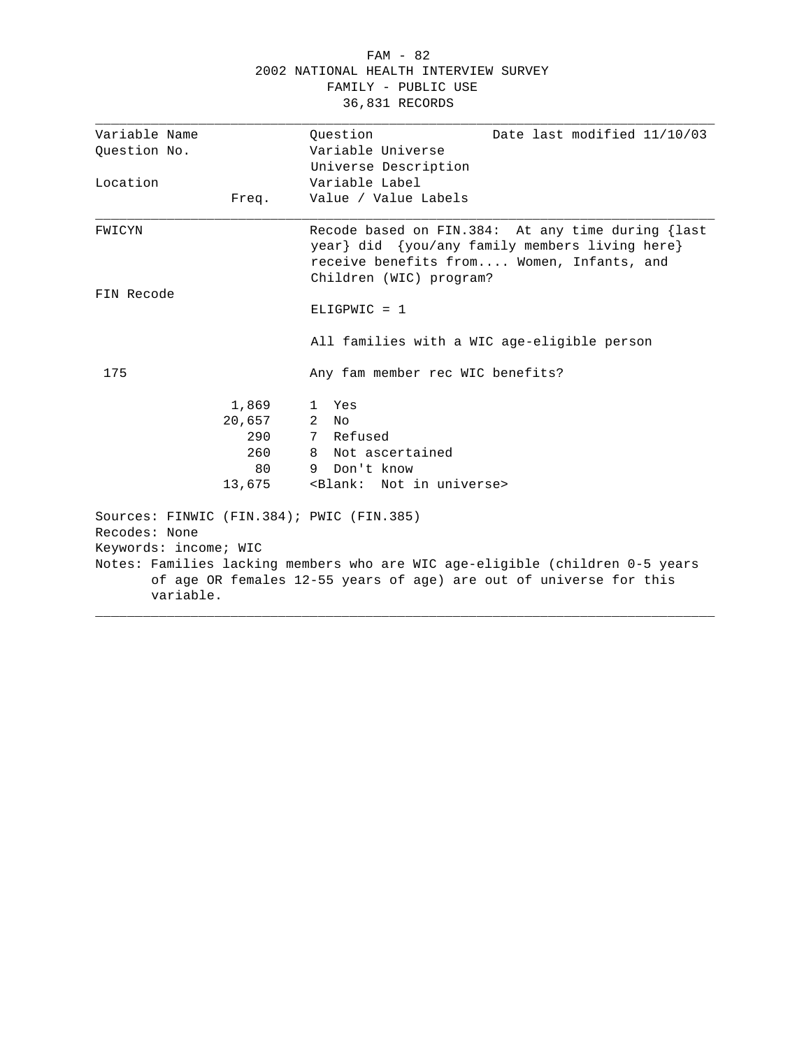#### FAM - 82 2002 NATIONAL HEALTH INTERVIEW SURVEY FAMILY - PUBLIC USE 36,831 RECORDS

| Variable Name                      |        | Ouestion<br>Date last modified 11/10/03                                                                                                                                     |
|------------------------------------|--------|-----------------------------------------------------------------------------------------------------------------------------------------------------------------------------|
| Ouestion No.                       |        | Variable Universe                                                                                                                                                           |
|                                    |        | Universe Description                                                                                                                                                        |
| Location                           |        | Variable Label                                                                                                                                                              |
|                                    | Freq.  | Value / Value Labels                                                                                                                                                        |
| FWICYN                             |        | Recode based on FIN.384: At any time during {last<br>year} did {you/any family members living here}<br>receive benefits from Women, Infants, and<br>Children (WIC) program? |
| FIN Recode                         |        |                                                                                                                                                                             |
|                                    |        | $ELIGPWIC = 1$                                                                                                                                                              |
|                                    |        | All families with a WIC age-eligible person                                                                                                                                 |
| 175                                |        | Any fam member rec WIC benefits?                                                                                                                                            |
|                                    | 1,869  | 1 Yes                                                                                                                                                                       |
|                                    | 20,657 | 2<br>No                                                                                                                                                                     |
|                                    | 290    | 7 Refused                                                                                                                                                                   |
|                                    | 260    | 8 Not ascertained                                                                                                                                                           |
|                                    | 80     | Don't know<br>9                                                                                                                                                             |
|                                    | 13,675 | <blank: in="" not="" universe=""></blank:>                                                                                                                                  |
| Recodes: None                      |        | Sources: FINWIC (FIN.384); PWIC (FIN.385)                                                                                                                                   |
| Keywords: income; WIC<br>variable. |        | Notes: Families lacking members who are WIC age-eligible (children 0-5 years<br>of age OR females 12-55 years of age) are out of universe for this                          |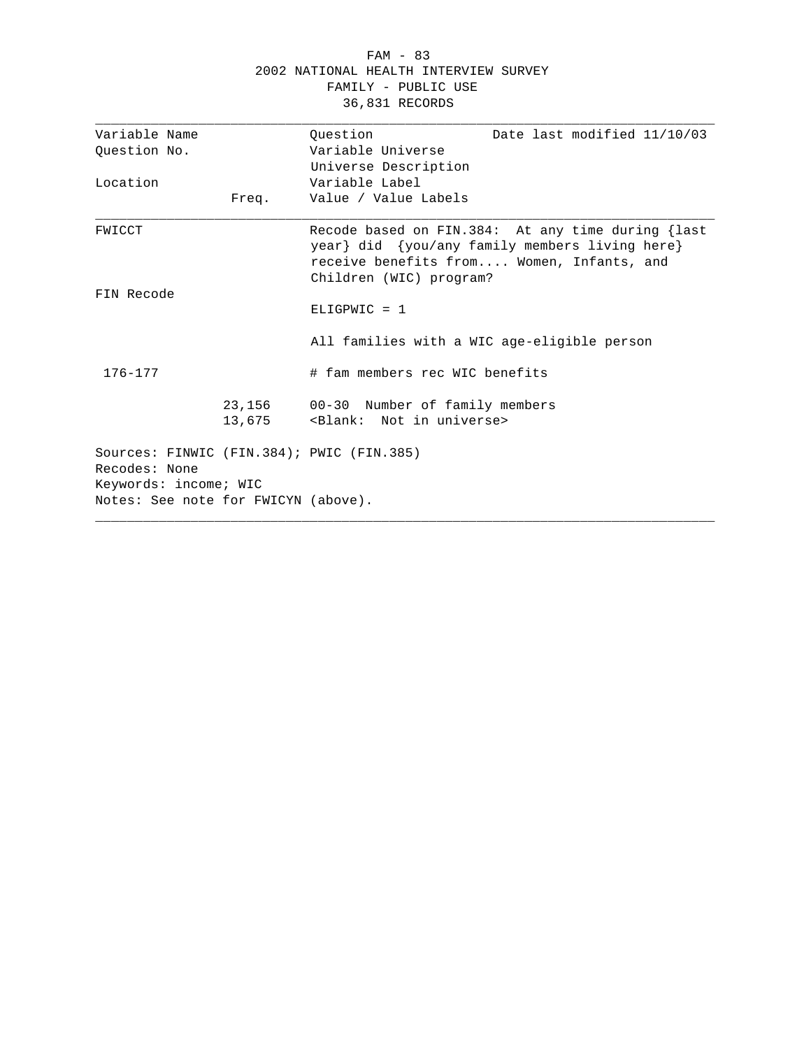#### FAM - 83 2002 NATIONAL HEALTH INTERVIEW SURVEY FAMILY - PUBLIC USE 36,831 RECORDS

| Variable Name                                              |        | Question                                                                            | Date last modified 11/10/03                                                                                                                      |
|------------------------------------------------------------|--------|-------------------------------------------------------------------------------------|--------------------------------------------------------------------------------------------------------------------------------------------------|
| Ouestion No.                                               |        | Variable Universe                                                                   |                                                                                                                                                  |
|                                                            |        | Universe Description                                                                |                                                                                                                                                  |
| Location                                                   |        | Variable Label                                                                      |                                                                                                                                                  |
|                                                            | Freq.  | Value / Value Labels                                                                |                                                                                                                                                  |
| FWICCT                                                     |        | Children (WIC) program?                                                             | Recode based on FIN.384: At any time during {last<br>year} did {you/any family members living here}<br>receive benefits from Women, Infants, and |
| FIN Recode                                                 |        |                                                                                     |                                                                                                                                                  |
|                                                            |        | $ELIGPWIC = 1$                                                                      |                                                                                                                                                  |
|                                                            |        | All families with a WIC age-eligible person                                         |                                                                                                                                                  |
| 176-177                                                    |        | # fam members rec WIC benefits                                                      |                                                                                                                                                  |
|                                                            | 13,675 | 23,156 00-30 Number of family members<br><blank: in="" not="" universe=""></blank:> |                                                                                                                                                  |
| Sources: FINWIC (FIN.384); PWIC (FIN.385)<br>Recodes: None |        |                                                                                     |                                                                                                                                                  |
| Keywords: income; WIC                                      |        |                                                                                     |                                                                                                                                                  |
| Notes: See note for FWICYN (above).                        |        |                                                                                     |                                                                                                                                                  |
|                                                            |        |                                                                                     |                                                                                                                                                  |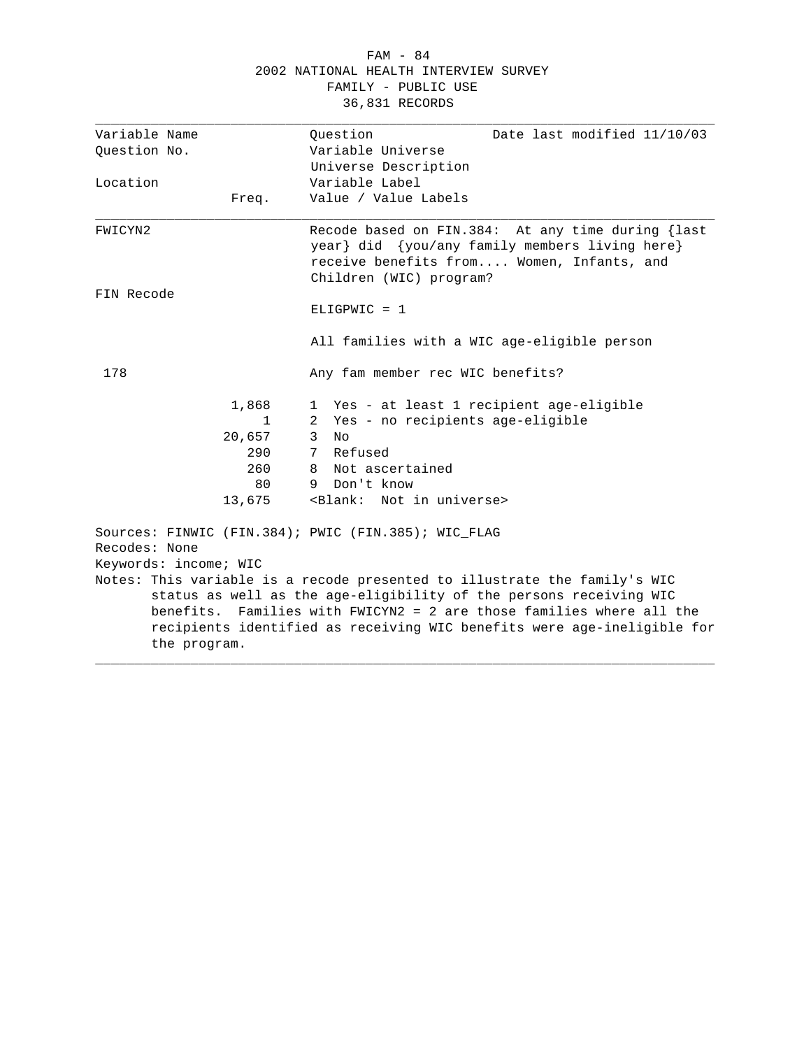#### FAM - 84 2002 NATIONAL HEALTH INTERVIEW SURVEY FAMILY - PUBLIC USE 36,831 RECORDS

| Variable Name |                       | Ouestion<br>Date last modified 11/10/03                                                                                                                                                                               |
|---------------|-----------------------|-----------------------------------------------------------------------------------------------------------------------------------------------------------------------------------------------------------------------|
| Question No.  |                       | Variable Universe                                                                                                                                                                                                     |
|               |                       | Universe Description                                                                                                                                                                                                  |
| Location      |                       | Variable Label                                                                                                                                                                                                        |
|               | Freq.                 | Value / Value Labels                                                                                                                                                                                                  |
| FWICYN2       |                       | Recode based on FIN.384: At any time during {last<br>year} did {you/any family members living here}<br>receive benefits from Women, Infants, and<br>Children (WIC) program?                                           |
| FIN Recode    |                       | $ELIGPWIC = 1$                                                                                                                                                                                                        |
|               |                       | All families with a WIC age-eligible person                                                                                                                                                                           |
| 178           |                       | Any fam member rec WIC benefits?                                                                                                                                                                                      |
|               | 1,868                 | 1 Yes - at least 1 recipient age-eligible                                                                                                                                                                             |
|               | $\mathbf{1}$          | Yes - no recipients age-eligible<br>2                                                                                                                                                                                 |
|               | 20,657                | 3<br>Nο                                                                                                                                                                                                               |
|               | 290                   | Refused<br>7                                                                                                                                                                                                          |
|               | 260                   | 8 Not ascertained                                                                                                                                                                                                     |
|               | 80                    | 9 Don't know                                                                                                                                                                                                          |
|               | 13,675                | <blank: in="" not="" universe=""></blank:>                                                                                                                                                                            |
| Recodes: None | Keywords: income; WIC | Sources: FINWIC (FIN.384); PWIC (FIN.385); WIC_FLAG<br>Notes: This variable is a recode presented to illustrate the family's WIC                                                                                      |
|               | the program.          | status as well as the age-eligibility of the persons receiving WIC<br>benefits. Families with FWICYN2 = 2 are those families where all the<br>recipients identified as receiving WIC benefits were age-ineligible for |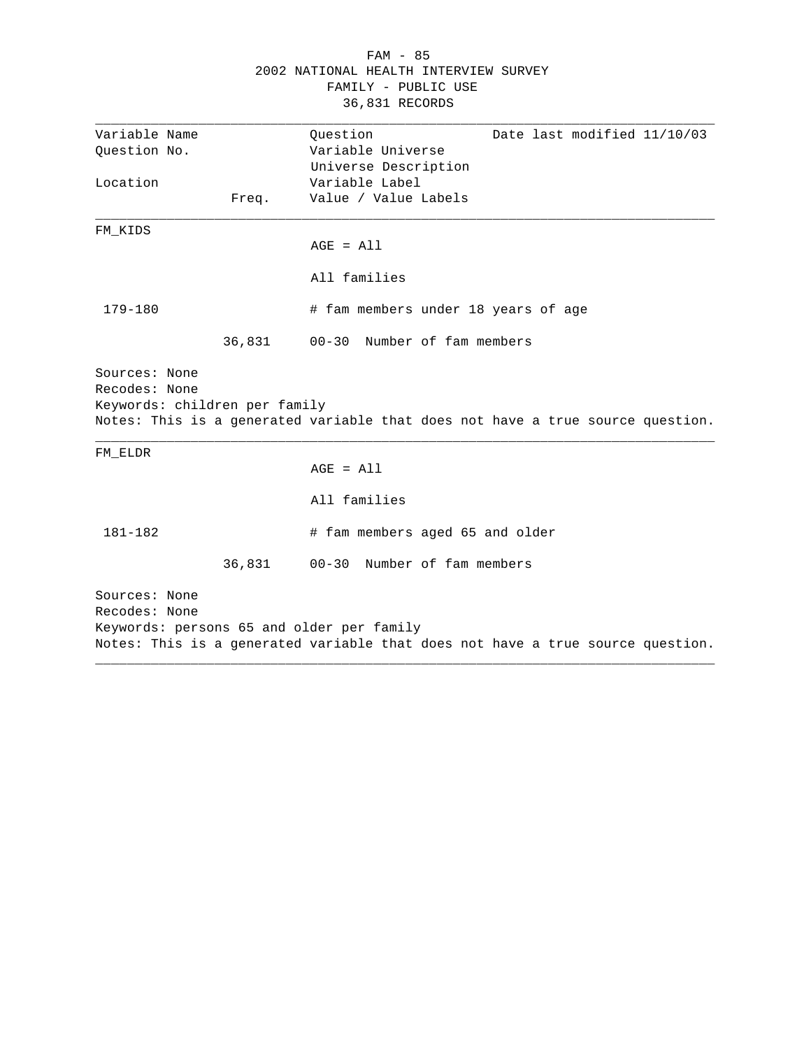|                                                                 |        | $FAM - 85$<br>2002 NATIONAL HEALTH INTERVIEW SURVEY<br>FAMILY - PUBLIC USE<br>36,831 RECORDS                                |
|-----------------------------------------------------------------|--------|-----------------------------------------------------------------------------------------------------------------------------|
| Variable Name<br>Question No.                                   |        | Date last modified 11/10/03<br>Question<br>Variable Universe<br>Universe Description                                        |
| Location                                                        | Freq.  | Variable Label<br>Value / Value Labels                                                                                      |
| FM KIDS                                                         |        | $AGE = All$                                                                                                                 |
|                                                                 |        | All families                                                                                                                |
| 179-180                                                         | 36,831 | # fam members under 18 years of age<br>Number of fam members<br>$00 - 30$                                                   |
| Sources: None<br>Recodes: None<br>Keywords: children per family |        | Notes: This is a generated variable that does not have a true source question.                                              |
| FM ELDR                                                         |        | $AGE = All$                                                                                                                 |
|                                                                 |        | All families                                                                                                                |
| $181 - 182$                                                     |        | # fam members aged 65 and older                                                                                             |
|                                                                 | 36,831 | Number of fam members<br>$00 - 30$                                                                                          |
| Sources: None<br>Recodes: None                                  |        | Keywords: persons 65 and older per family<br>Notes: This is a generated variable that does not have a true source question. |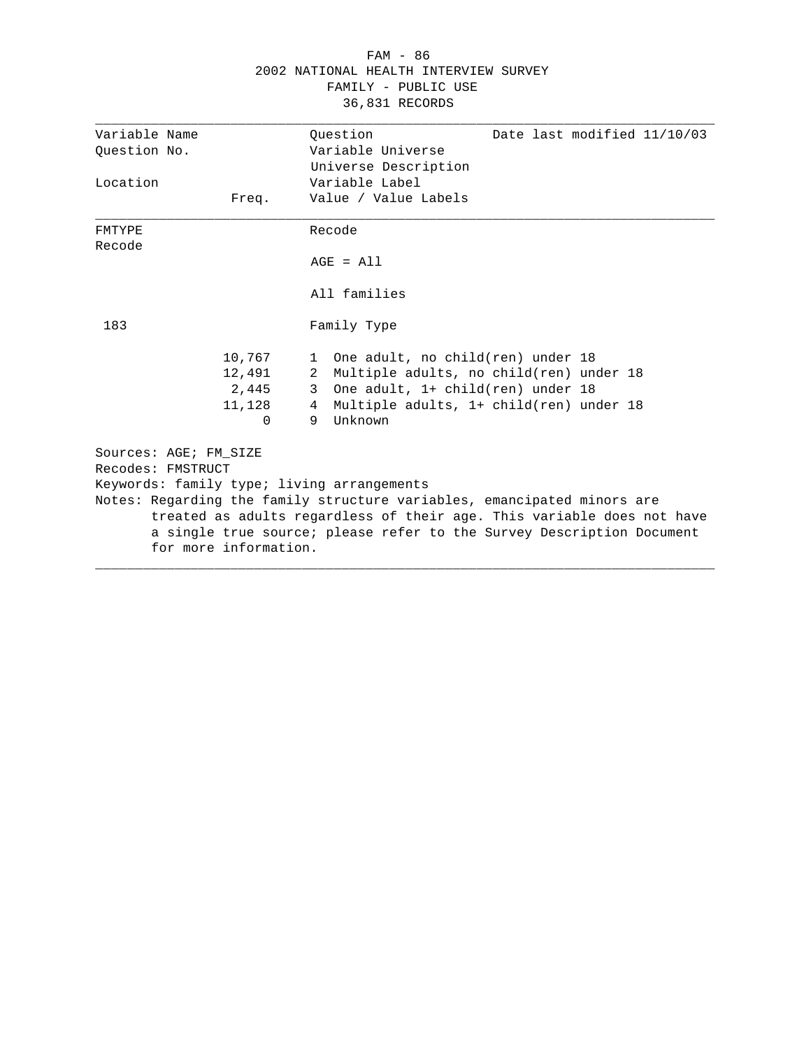| 2002 NATIONAL HEALTH INTERVIEW SURVEY<br>FAMILY - PUBLIC USE<br>36,831 RECORDS |                                                 |                                                                                                                                                                                                                                                                          |  |
|--------------------------------------------------------------------------------|-------------------------------------------------|--------------------------------------------------------------------------------------------------------------------------------------------------------------------------------------------------------------------------------------------------------------------------|--|
| Variable Name<br>Ouestion No.                                                  |                                                 | Date last modified 11/10/03<br>Ouestion<br>Variable Universe<br>Universe Description                                                                                                                                                                                     |  |
| Location                                                                       | Freq.                                           | Variable Label<br>Value / Value Labels                                                                                                                                                                                                                                   |  |
| FMTYPE<br>Recode                                                               |                                                 | Recode<br>$AGE = A11$<br>All families                                                                                                                                                                                                                                    |  |
| 183                                                                            | 10,767<br>12,491<br>2,445<br>11,128<br>$\Omega$ | Family Type<br>One adult, no child(ren) under 18<br>1<br>Multiple adults, no child(ren) under 18<br>2<br>One adult, 1+ child(ren) under 18<br>3<br>Multiple adults, 1+ child(ren) under 18<br>4<br>Unknown<br>9                                                          |  |
| Sources: AGE; FM SIZE<br>Recodes: FMSTRUCT                                     | for more information.                           | Keywords: family type; living arrangements<br>Notes: Regarding the family structure variables, emancipated minors are<br>treated as adults regardless of their age. This variable does not have<br>a single true source; please refer to the Survey Description Document |  |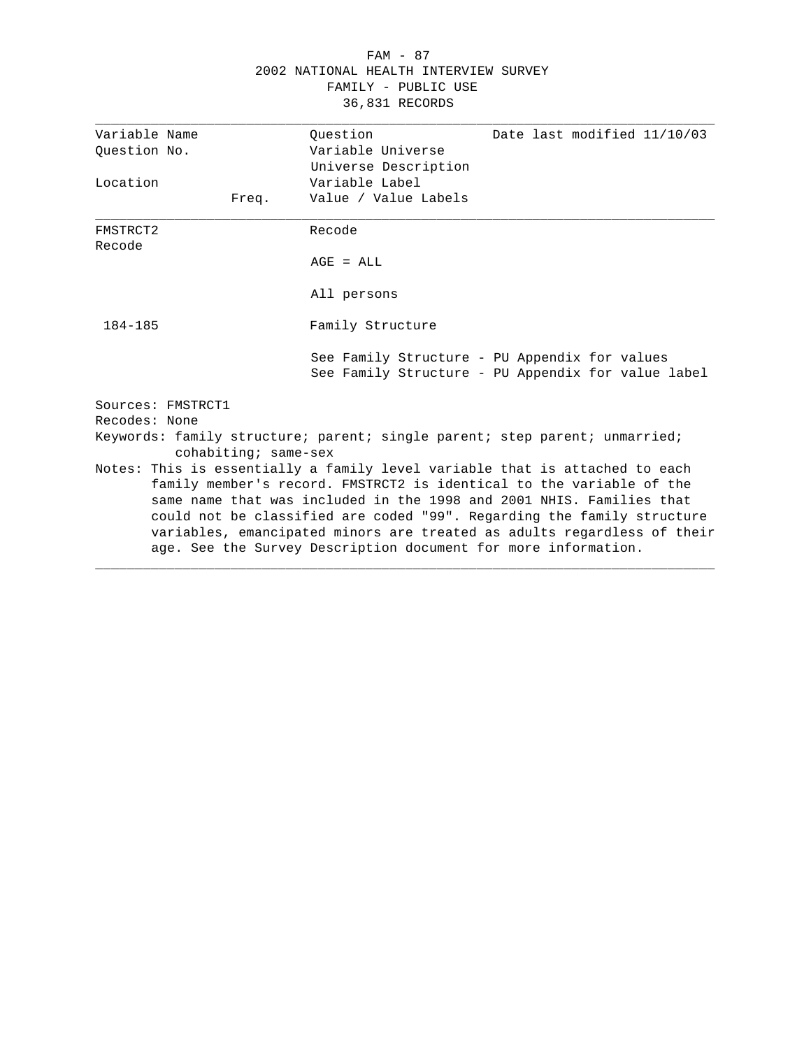| FAM - 87                              |  |  |  |  |
|---------------------------------------|--|--|--|--|
| 2002 NATIONAL HEALTH INTERVIEW SURVEY |  |  |  |  |
| FAMILY - PUBLIC USE                   |  |  |  |  |
| 36,831 RECORDS                        |  |  |  |  |

| Variable Name      |                      | Ouestion                                                       | Date last modified 11/10/03                                                                                                                                                                                                                                                                                                                                                      |
|--------------------|----------------------|----------------------------------------------------------------|----------------------------------------------------------------------------------------------------------------------------------------------------------------------------------------------------------------------------------------------------------------------------------------------------------------------------------------------------------------------------------|
| Ouestion No.       |                      | Variable Universe                                              |                                                                                                                                                                                                                                                                                                                                                                                  |
|                    |                      | Universe Description                                           |                                                                                                                                                                                                                                                                                                                                                                                  |
| Location           |                      | Variable Label                                                 |                                                                                                                                                                                                                                                                                                                                                                                  |
|                    | Freq.                | Value / Value Labels                                           |                                                                                                                                                                                                                                                                                                                                                                                  |
| FMSTRCT2<br>Recode |                      | Recode                                                         |                                                                                                                                                                                                                                                                                                                                                                                  |
|                    |                      | $AGE = ALL$                                                    |                                                                                                                                                                                                                                                                                                                                                                                  |
|                    |                      | All persons                                                    |                                                                                                                                                                                                                                                                                                                                                                                  |
| $184 - 185$        |                      | Family Structure                                               |                                                                                                                                                                                                                                                                                                                                                                                  |
|                    |                      |                                                                | See Family Structure - PU Appendix for values<br>See Family Structure - PU Appendix for value label                                                                                                                                                                                                                                                                              |
|                    | Sources: FMSTRCT1    |                                                                |                                                                                                                                                                                                                                                                                                                                                                                  |
| Recodes: None      |                      |                                                                |                                                                                                                                                                                                                                                                                                                                                                                  |
|                    | cohabiting; same-sex |                                                                | Keywords: family structure; parent; single parent; step parent; unmarried;                                                                                                                                                                                                                                                                                                       |
|                    |                      | age. See the Survey Description document for more information. | Notes: This is essentially a family level variable that is attached to each<br>family member's record. FMSTRCT2 is identical to the variable of the<br>same name that was included in the 1998 and 2001 NHIS. Families that<br>could not be classified are coded "99". Regarding the family structure<br>variables, emancipated minors are treated as adults regardless of their |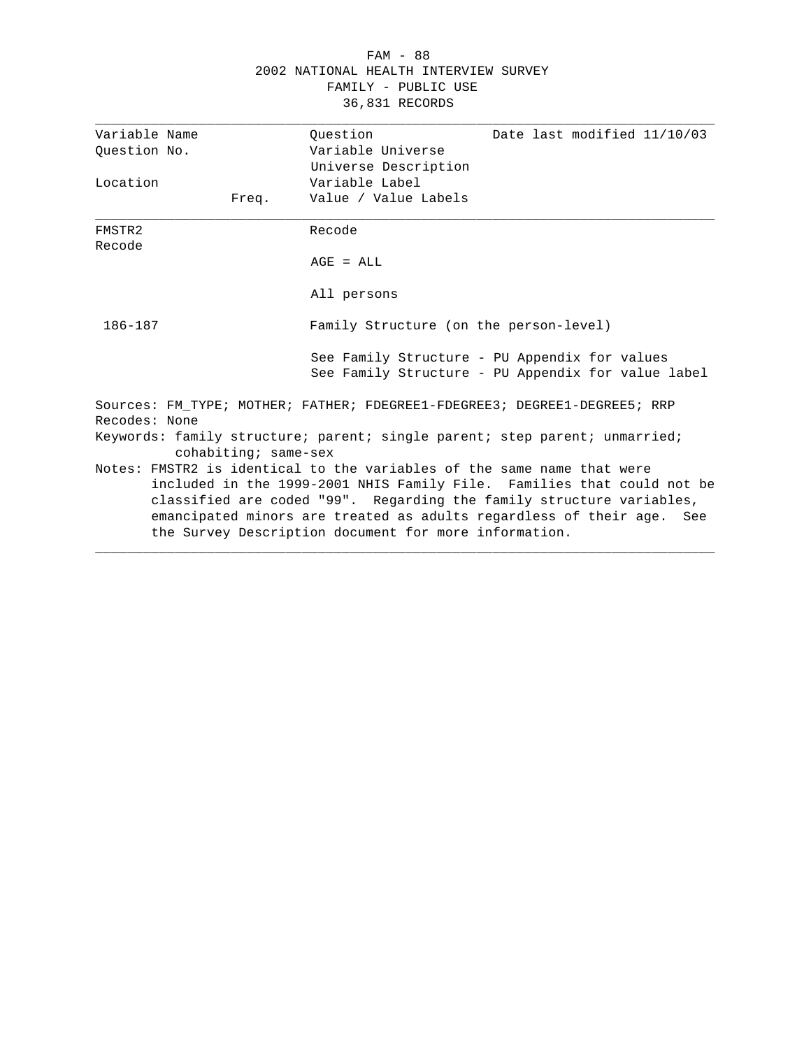#### FAM - 88 2002 NATIONAL HEALTH INTERVIEW SURVEY FAMILY - PUBLIC USE 36,831 RECORDS

| Variable Name                                                                                                                                                                                                                                                                                                                                              |                      | Ouestion                               | Date last modified 11/10/03                                                                         |
|------------------------------------------------------------------------------------------------------------------------------------------------------------------------------------------------------------------------------------------------------------------------------------------------------------------------------------------------------------|----------------------|----------------------------------------|-----------------------------------------------------------------------------------------------------|
| Ouestion No.                                                                                                                                                                                                                                                                                                                                               |                      | Variable Universe                      |                                                                                                     |
|                                                                                                                                                                                                                                                                                                                                                            |                      | Universe Description                   |                                                                                                     |
| Location                                                                                                                                                                                                                                                                                                                                                   |                      | Variable Label                         |                                                                                                     |
|                                                                                                                                                                                                                                                                                                                                                            | Freq.                | Value / Value Labels                   |                                                                                                     |
| FMSTR2<br>Recode                                                                                                                                                                                                                                                                                                                                           |                      | Recode                                 |                                                                                                     |
|                                                                                                                                                                                                                                                                                                                                                            |                      | $AGE = ALL$                            |                                                                                                     |
|                                                                                                                                                                                                                                                                                                                                                            |                      | All persons                            |                                                                                                     |
| 186-187                                                                                                                                                                                                                                                                                                                                                    |                      | Family Structure (on the person-level) |                                                                                                     |
|                                                                                                                                                                                                                                                                                                                                                            |                      |                                        | See Family Structure - PU Appendix for values<br>See Family Structure - PU Appendix for value label |
|                                                                                                                                                                                                                                                                                                                                                            |                      |                                        | Sources: FM TYPE; MOTHER; FATHER; FDEGREE1-FDEGREE3; DEGREE1-DEGREE5; RRP                           |
| Recodes: None                                                                                                                                                                                                                                                                                                                                              |                      |                                        |                                                                                                     |
|                                                                                                                                                                                                                                                                                                                                                            | cohabiting; same-sex |                                        | Keywords: family structure; parent; single parent; step parent; unmarried;                          |
| Notes: FMSTR2 is identical to the variables of the same name that were<br>included in the 1999-2001 NHIS Family File. Families that could not be<br>classified are coded "99". Regarding the family structure variables,<br>emancipated minors are treated as adults regardless of their age. See<br>the Survey Description document for more information. |                      |                                        |                                                                                                     |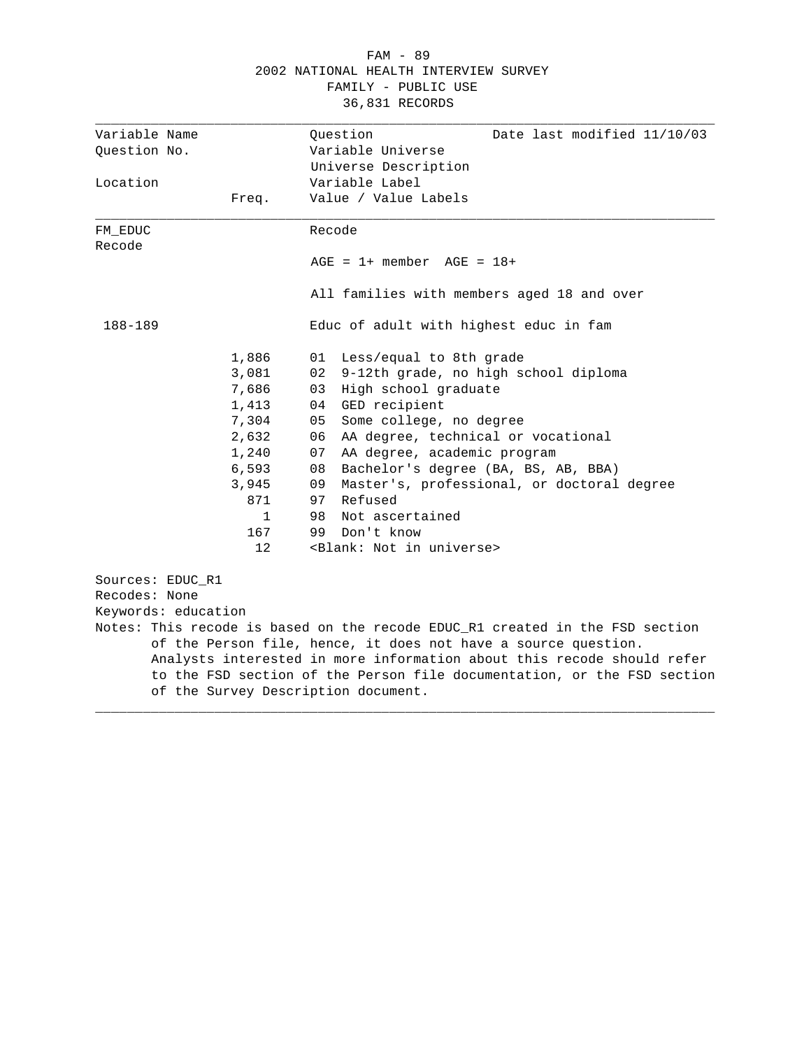#### FAM - 89 2002 NATIONAL HEALTH INTERVIEW SURVEY FAMILY - PUBLIC USE 36,831 RECORDS

| Variable Name       |                                     |        | Question<br>Date last modified 11/10/03<br>Variable Universe                 |
|---------------------|-------------------------------------|--------|------------------------------------------------------------------------------|
| Ouestion No.        |                                     |        |                                                                              |
| Location            |                                     |        | Universe Description<br>Variable Label                                       |
|                     | Freq.                               |        | Value / Value Labels                                                         |
|                     |                                     |        |                                                                              |
| FM EDUC             |                                     | Recode |                                                                              |
| Recode              |                                     |        |                                                                              |
|                     |                                     |        | $AGE = 1 + member AGE = 18 +$                                                |
|                     |                                     |        | All families with members aged 18 and over                                   |
| 188-189             |                                     |        | Educ of adult with highest educ in fam                                       |
|                     | 1,886                               | 01     | Less/equal to 8th grade                                                      |
|                     | 3,081                               | 02     | 9-12th grade, no high school diploma                                         |
|                     | 7,686                               | 03     | High school graduate                                                         |
|                     | 1,413                               | 04     | GED recipient                                                                |
|                     | 7,304                               | 05     | Some college, no degree                                                      |
|                     | 2,632                               | 06     | AA degree, technical or vocational                                           |
|                     | 1,240                               | 07     | AA degree, academic program                                                  |
|                     | 6,593                               | 08     | Bachelor's degree (BA, BS, AB, BBA)                                          |
|                     | 3,945                               | 09     | Master's, professional, or doctoral degree                                   |
|                     | 871                                 |        | 97 Refused                                                                   |
|                     | $\mathbf{1}$                        | 98     | Not ascertained                                                              |
|                     | 167                                 | 99     | Don't know                                                                   |
|                     | 12                                  |        | <blank: in="" not="" universe=""></blank:>                                   |
| Sources: EDUC_R1    |                                     |        |                                                                              |
| Recodes: None       |                                     |        |                                                                              |
| Keywords: education |                                     |        |                                                                              |
|                     |                                     |        | Notes: This recode is based on the recode EDUC_R1 created in the FSD section |
|                     |                                     |        | of the Person file, hence, it does not have a source question.               |
|                     |                                     |        | Analysts interested in more information about this recode should refer       |
|                     |                                     |        | to the FSD section of the Person file documentation, or the FSD section      |
|                     | of the Survey Description document. |        |                                                                              |
|                     |                                     |        |                                                                              |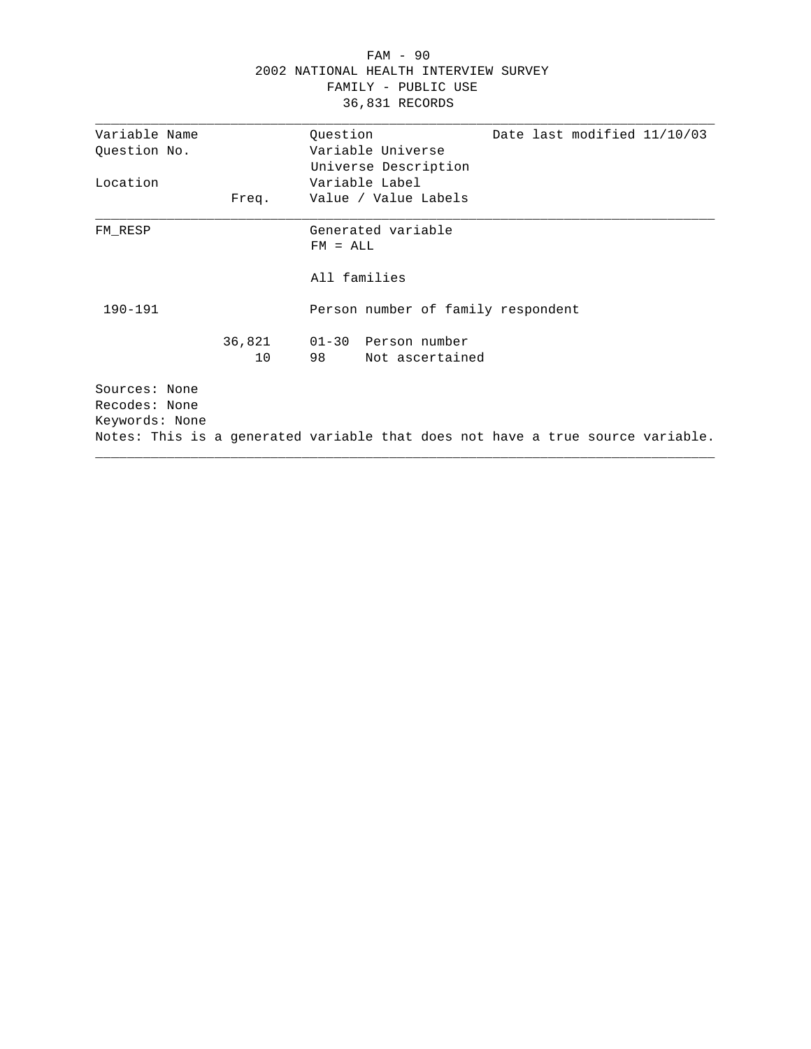|                |        | $FAM - 90$                                                                     |
|----------------|--------|--------------------------------------------------------------------------------|
|                |        | 2002 NATIONAL HEALTH INTERVIEW SURVEY                                          |
|                |        | FAMILY - PUBLIC USE                                                            |
|                |        | 36,831 RECORDS                                                                 |
| Variable Name  |        | Ouestion<br>Date last modified 11/10/03                                        |
| Question No.   |        | Variable Universe                                                              |
|                |        | Universe Description                                                           |
| Location       |        | Variable Label                                                                 |
|                | Freq.  | Value / Value Labels                                                           |
| FM RESP        |        | Generated variable                                                             |
|                |        | $FM = ALL$                                                                     |
|                |        | All families                                                                   |
| $190 - 191$    |        | Person number of family respondent                                             |
|                | 36,821 | 01-30 Person number                                                            |
|                | 10     | 98 —<br>Not ascertained                                                        |
| Sources: None  |        |                                                                                |
| Recodes: None  |        |                                                                                |
| Keywords: None |        |                                                                                |
|                |        | Notes: This is a generated variable that does not have a true source variable. |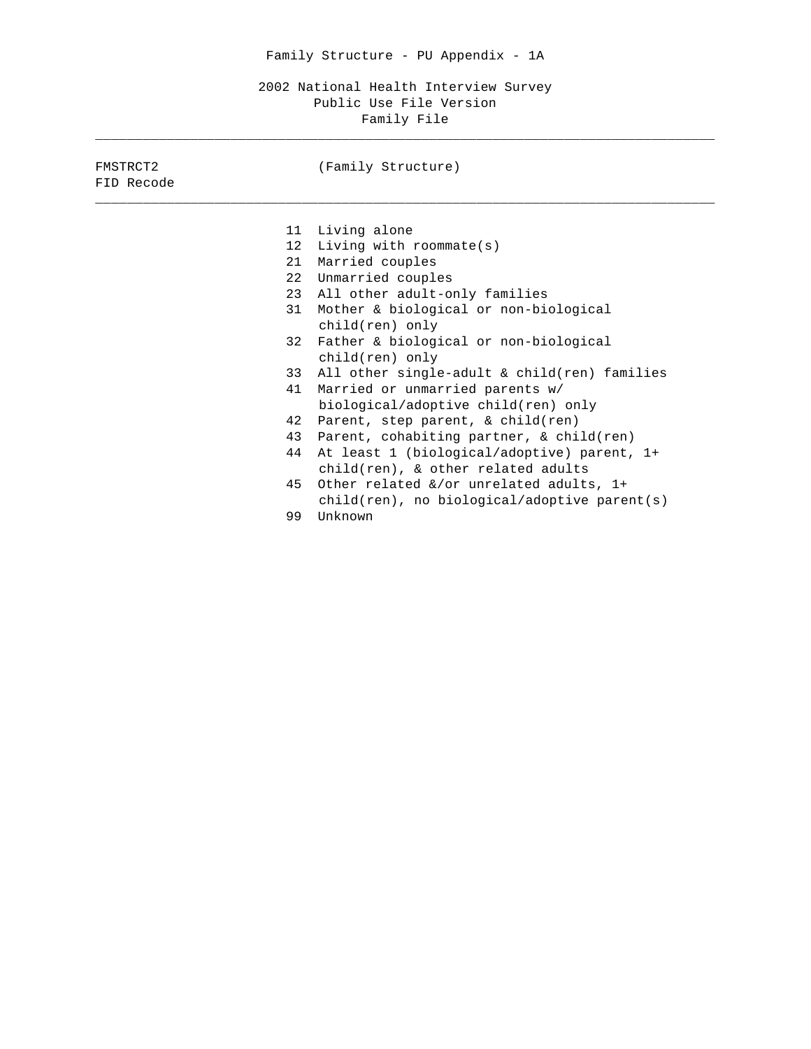2002 National Health Interview Survey Public Use File Version Family File

\_\_\_\_\_\_\_\_\_\_\_\_\_\_\_\_\_\_\_\_\_\_\_\_\_\_\_\_\_\_\_\_\_\_\_\_\_\_\_\_\_\_\_\_\_\_\_\_\_\_\_\_\_\_\_\_\_\_\_\_\_\_\_\_\_\_\_\_\_\_\_\_\_\_\_\_\_\_

| FMSTRCT2<br>FID Recode | (Family Structure)                              |
|------------------------|-------------------------------------------------|
|                        |                                                 |
| 11                     | Living alone                                    |
| 12 <sup>°</sup>        | Living with roommate $(s)$                      |
| 21                     | Married couples                                 |
|                        | 22 Unmarried couples                            |
| 23                     | All other adult-only families                   |
| 31                     | Mother & biological or non-biological           |
|                        | child(ren) only                                 |
|                        | 32 Father & biological or non-biological        |
|                        | child(ren) only                                 |
| 33                     | All other single-adult & child(ren) families    |
| 41                     | Married or unmarried parents w/                 |
|                        |                                                 |
|                        | biological/adoptive child(ren) only             |
| 42                     | Parent, step parent, & child(ren)               |
| 43                     | Parent, cohabiting partner, & child(ren)        |
| 44                     | At least 1 (biological/adoptive) parent, 1+     |
|                        | $child(ren)$ , & other related adults           |
| 45                     | Other related &/or unrelated adults, 1+         |
|                        | $child(ren)$ , no biological/adoptive parent(s) |
| 99                     | Unknown                                         |
|                        |                                                 |